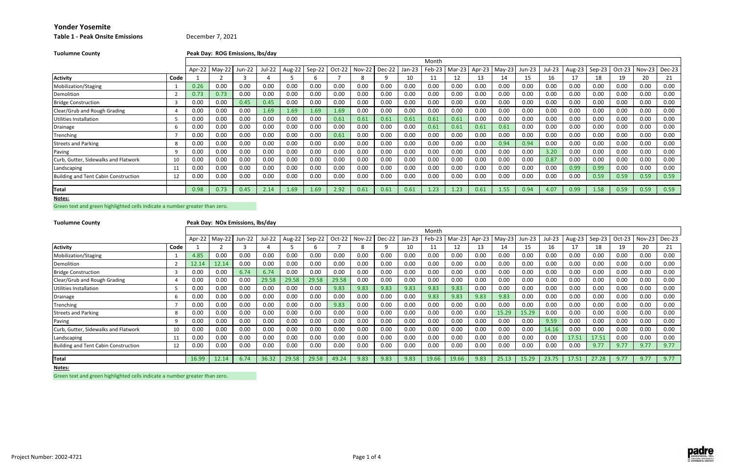## **Table 1 ‐ Peak Onsite Emissions**

**County Peak Day: ROG Emissions, lbs/day**

Green text and green highlighted cells indicate <sup>a</sup> number greater than zero.

| <b>Tuolumne County</b>                      |      |      | Peak Day: ROG Emissions, lbs/day |        |        |        |        |          |        |        |          |        |               |      |          |        |        |        |        |          |      |               |
|---------------------------------------------|------|------|----------------------------------|--------|--------|--------|--------|----------|--------|--------|----------|--------|---------------|------|----------|--------|--------|--------|--------|----------|------|---------------|
|                                             |      |      |                                  |        |        |        |        |          |        |        |          | Month  |               |      |          |        |        |        |        |          |      |               |
|                                             |      |      | Apr-22   May-22                  | Jun-22 | Jul-22 | Aug-22 | Sep-22 | $Oct-22$ | Nov-22 | Dec-22 | $Jan-23$ | Feb-23 | Mar-23 Apr-23 |      | $May-23$ | Jun-23 | Jul-23 | Aug-23 | Sep-23 | $Oct-23$ |      | Nov-23 Dec-23 |
| <b>Activity</b>                             | Code |      |                                  |        |        |        | b      |          |        |        | 10       | 11     | 12            | 13   | 14       | 15     | 16     | 17     | 18     | 19       | 20   | 21            |
| Mobilization/Staging                        |      | 0.26 | 0.00                             | 0.00   | 0.00   | 0.00   | 0.00   | 0.00     | 0.00   | 0.00   | 0.00     | 0.00   | 0.00          | 0.00 | 0.00     | 0.00   | 0.00   | 0.00   | 0.00   | 0.00     | 0.00 | 0.00          |
| Demolition                                  |      | 0.73 | 0.73                             | 0.00   | 0.00   | 0.00   | 0.00   | 0.00     | 0.00   | 0.00   | 0.00     | 0.00   | 0.00          | 0.00 | 0.00     | 0.00   | 0.00   | 0.00   | 0.00   | 0.00     | 0.00 | 0.00          |
| <b>Bridge Construction</b>                  |      | 0.00 | 0.00                             | 0.45   | 0.45   | 0.00   | 0.00   | 0.00     | 0.00   | 0.00   | 0.00     | 0.00   | 0.00          | 0.00 | 0.00     | 0.00   | 0.00   | 0.00   | 0.00   | 0.00     | 0.00 | 0.00          |
| Clear/Grub and Rough Grading                |      | 0.00 | 0.00                             | 0.00   | 1.69   | 1.69   | 1.69   | 1.69     | 0.00   | 0.00   | 0.00     | 0.00   | 0.00          | 0.00 | 0.00     | 0.00   | 0.00   | 0.00   | 0.00   | 0.00     | 0.00 | 0.00          |
| Utilities Installation                      |      | 0.00 | 0.00                             | 0.00   | 0.00   | 0.00   | 0.00   | 0.61     | 0.61   | 0.61   | 0.61     | 0.61   | 0.61          | 0.00 | 0.00     | 0.00   | 0.00   | 0.00   | 0.00   | 0.00     | 0.00 | 0.00          |
| Drainage                                    |      | 0.00 | 0.00                             | 0.00   | 0.00   | 0.00   | 0.00   | 0.00     | 0.00   | 0.00   | 0.00     | 0.61   | 0.61          | 0.61 | 0.61     | 0.00   | 0.00   | 0.00   | 0.00   | 0.00     | 0.00 | 0.00          |
| Trenching                                   |      | 0.00 | 0.00                             | 0.00   | 0.00   | 0.00   | 0.00   | 0.61     | 0.00   | 0.00   | 0.00     | 0.00   | 0.00          | 0.00 | 0.00     | 0.00   | 0.00   | 0.00   | 0.00   | 0.00     | 0.00 | 0.00          |
| <b>Streets and Parking</b>                  |      | 0.00 | 0.00                             | 0.00   | 0.00   | 0.00   | 0.00   | 0.00     | 0.00   | 0.00   | 0.00     | 0.00   | 0.00          | 0.00 | 0.94     | 0.94   | 0.00   | 0.00   | 0.00   | 0.00     | 0.00 | 0.00          |
| Paving                                      |      | 0.00 | 0.00                             | 0.00   | 0.00   | 0.00   | 0.00   | 0.00     | 0.00   | 0.00   | 0.00     | 0.00   | 0.00          | 0.00 | 0.00     | 0.00   | 3.20   | 0.00   | 0.00   | 0.00     | 0.00 | 0.00          |
| Curb, Gutter, Sidewalks and Flatwork        | 10   | 0.00 | 0.00                             | 0.00   | 0.00   | 0.00   | 0.00   | 0.00     | 0.00   | 0.00   | 0.00     | 0.00   | 0.00          | 0.00 | 0.00     | 0.00   | 0.87   | 0.00   | 0.00   | 0.00     | 0.00 | 0.00          |
| Landscaping                                 | 11   | 0.00 | 0.00                             | 0.00   | 0.00   | 0.00   | 0.00   | 0.00     | 0.00   | 0.00   | 0.00     | 0.00   | 0.00          | 0.00 | 0.00     | 0.00   | 0.00   | 0.99   | 0.99   | 0.00     | 0.00 | 0.00          |
| <b>Building and Tent Cabin Construction</b> | 12   | 0.00 | 0.00                             | 0.00   | 0.00   | 0.00   | 0.00   | 0.00     | 0.00   | 0.00   | 0.00     | 0.00   | 0.00          | 0.00 | 0.00     | 0.00   | 0.00   | 0.00   | 0.59   | 0.59     | 0.59 | 0.59          |
| Total                                       |      | 0.98 | 0.73                             | 0.45   | 2.14   | 1.69   | 1.69   | 2.92     | 0.61   | 0.61   | 0.61     | 1.23   | 1.23          | 0.61 | 1.55     | 0.94   | 4.07   | 0.99   | 1.58   | 0.59     | 0.59 | 0.59          |
| Notes:                                      |      |      |                                  |        |        |        |        |          |        |        |          |        |               |      |          |        |        |        |        |          |      |               |

| <b>Tuolumne County</b>               |      |        |          | Peak Day: NOx Emissions, lbs/day |        |          |        |          |               |          |        |        |        |        |          |        |        |        |        |        |               |        |
|--------------------------------------|------|--------|----------|----------------------------------|--------|----------|--------|----------|---------------|----------|--------|--------|--------|--------|----------|--------|--------|--------|--------|--------|---------------|--------|
|                                      |      |        |          |                                  |        |          |        |          |               |          |        | Month  |        |        |          |        |        |        |        |        |               |        |
|                                      |      | Apr-22 | $May-22$ | <b>Jun-22</b>                    | Jul-22 | $Aug-22$ | Sep-22 | $Oct-22$ | <b>Nov-22</b> | $Dec-22$ | Jan-23 | Feb-23 | Mar-23 | Apr-23 | $May-23$ | Jun-23 | Jul-23 | Aug-23 | Sep-23 | Oct-23 | <b>Nov-23</b> | Dec-23 |
| <b>Activity</b>                      | Code |        |          |                                  |        |          |        |          |               |          | 10     |        | 12     |        |          | 15     | 16     | 17     | 18     | 19     | 20            | 21     |
| Mobilization/Staging                 |      | 4.85   | 0.00     | 0.00                             | 0.00   | 0.00     | 0.00   | 0.00     | 0.00          | 0.00     | 0.00   | 0.00   | 0.00   | 0.00   | 0.00     | 0.00   | 0.00   | 0.00   | 0.00   | 0.00   | 0.00          | 0.00   |
| Demolition                           |      | 12.14  | 12.14    | 0.00                             | 0.00   | 0.00     | 0.00   | 0.00     | 0.00          | 0.00     | 0.00   | 0.00   | 0.00   | 0.00   | 0.00     | 0.00   | 0.00   | 0.00   | 0.00   | 0.00   | 0.00          | 0.00   |
| <b>Bridge Construction</b>           |      | 0.00   | 0.00     | 6.74                             | 6.74   | 0.00     | 0.00   | 0.00     | 0.00          | 0.00     | 0.00   | 0.00   | 0.00   | 0.00   | 0.00     | 0.00   | 0.00   | 0.00   | 0.00   | 0.00   | 0.00          | 0.00   |
| Clear/Grub and Rough Grading         |      | 0.00   | 0.00     | 0.00                             | 29.58  | 29.58    | 29.58  | 29.58    | 0.00          | 0.00     | 0.00   | 0.00   | 0.00   | 0.00   | 0.00     | 0.00   | 0.00   | 0.00   | 0.00   | 0.00   | 0.00          | 0.00   |
| <b>Utilities Installation</b>        |      | 0.00   | 0.00     | 0.00                             | 0.00   | 0.00     | 0.00   | 9.83     | 9.83          | 9.83     | 9.83   | 9.83   | 9.83   | 0.00   | 0.00     | 0.00   | 0.00   | 0.00   | 0.00   | 0.00   | 0.00          | 0.00   |
| Drainage                             | h    | 0.00   | 0.00     | 0.00                             | 0.00   | 0.00     | 0.00   | 0.00     | 0.00          | 0.00     | 0.00   | 9.83   | 9.83   | 9.83   | 9.83     | 0.00   | 0.00   | 0.00   | 0.00   | 0.00   | 0.00          | 0.00   |
| Trenching                            |      | 0.00   | 0.00     | 0.00                             | 0.00   | 0.00     | 0.00   | 9.83     | 0.00          | 0.00     | 0.00   | 0.00   | 0.00   | 0.00   | 0.00     | 0.00   | 0.00   | 0.00   | 0.00   | 0.00   | 0.00          | 0.00   |
| <b>Streets and Parking</b>           |      | 0.00   | 0.00     | 0.00                             | 0.00   | 0.00     | 0.00   | 0.00     | 0.00          | 0.00     | 0.00   | 0.00   | 0.00   | 0.00   | 15.29    | 15.29  | 0.00   | 0.00   | 0.00   | 0.00   | 0.00          | 0.00   |
| Paving                               |      | 0.00   | 0.00     | 0.00                             | 0.00   | 0.00     | 0.00   | 0.00     | 0.00          | 0.00     | 0.00   | 0.00   | 0.00   | 0.00   | 0.00     | 0.00   | 9.59   | 0.00   | 0.00   | 0.00   | 0.00          | 0.00   |
| Curb, Gutter, Sidewalks and Flatwork | 10   | 0.00   | 0.00     | 0.00                             | 0.00   | 0.00     | 0.00   | 0.00     | 0.00          | 0.00     | 0.00   | 0.00   | 0.00   | 0.00   | 0.00     | 0.00   | 14.16  | 0.00   | 0.00   | 0.00   | 0.00          | 0.00   |
| Landscaping                          | 1:   | 0.00   | 0.00     | 0.00                             | 0.00   | 0.00     | 0.00   | 0.00     | 0.00          | 0.00     | 0.00   | 0.00   | 0.00   | 0.00   | 0.00     | 0.00   | 0.00   | 17.51  | 17.51  | 0.00   | 0.00          | 0.00   |
| Building and Tent Cabin Construction | 12   | 0.00   | 0.00     | 0.00                             | 0.00   | 0.00     | 0.00   | 0.00     | 0.00          | 0.00     | 0.00   | 0.00   | 0.00   | 0.00   | 0.00     | 0.00   | 0.00   | 0.00   | 9.77   | 9.77   | 9.77          | 9.77   |
| Total                                |      | 16.99  | 12.14    | 6.74                             | 36.32  | 29.58    | 29.58  | 49.24    | 9.83          | 9.83     | 9.83   | 19.66  | 19.66  | 9.83   | 25.13    | 15.29  | 23.75  | 17.51  | 27.28  | 9.77   | 9.77          | 9.77   |

**Notes:**

Green text and green highlighted cells indicate <sup>a</sup> number greater than zero.



## December 7, 2021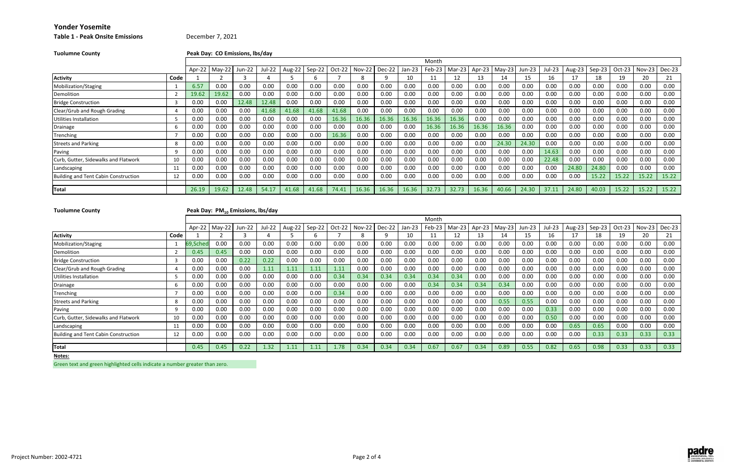## **Table 1 ‐ Peak Onsite Emissions** December 7, 2021

| <b>Tuolumne County</b> | Peak Day: CO Emissions, Ibs/day |  |  |  |  |                                                                                |  |
|------------------------|---------------------------------|--|--|--|--|--------------------------------------------------------------------------------|--|
|                        |                                 |  |  |  |  |                                                                                |  |
|                        |                                 |  |  |  |  | Apr-22   May-22   Jun-22   Jul-22   Aug-22   Sep-22   Oct-22   Nov-22   Dec-22 |  |
| <b>Activity</b>        | Code                            |  |  |  |  |                                                                                |  |

## **Tuolumne**

## **County Peak Day: PM10 Emissions, lbs/day**

|                                      |      |        |          |        |        |        |        |        |        |        |          | Month  |          |               |       |        |        |        |        |          |               |       |
|--------------------------------------|------|--------|----------|--------|--------|--------|--------|--------|--------|--------|----------|--------|----------|---------------|-------|--------|--------|--------|--------|----------|---------------|-------|
|                                      |      | Apr-22 | $May-22$ | Jun-22 | Jul-22 | Aug-22 | Sep-22 | Oct-22 | Nov-22 | Dec-22 | $Jan-23$ | Feb-23 | $Mar-23$ | Apr-23 May-23 |       | Jun-23 | Jul-23 | Aug-23 | Sep-23 | $Oct-23$ | Nov-23 Dec-23 |       |
| <b>Activity</b>                      | Code |        |          |        |        |        |        |        |        |        | τu       |        | 12.      | 13            | 14    | ᆦ      | 16     |        | 18     |          | 20            |       |
| Mobilization/Staging                 |      | 6.57   | 0.00     | 0.00   | 0.00   | 0.00   | 0.00   | 0.00   | 0.00   | 0.00   | 0.00     | 0.00   | 0.00     | 0.00          | 0.00  | 0.00   | 0.00   | 0.00   | 0.00   | 0.00     | 0.00          | 0.00  |
| Demolition                           |      | 19.62  | 19.62    | 0.00   | 0.00   | 0.00   | 0.00   | 0.00   | 0.00   | 0.00   | 0.00     | 0.00   | 0.00     | 0.00          | 0.00  | 0.00   | 0.00   | 0.00   | 0.00   | $0.00\,$ | 0.00          | 0.00  |
| <b>Bridge Construction</b>           |      | 0.00   | 0.00     | 12.48  | 12.48  | 0.00   | 0.00   | 0.00   | 0.00   | 0.00   | 0.00     | 0.00   | 0.00     | 0.00          | 0.00  | 0.00   | 0.00   | 0.00   | 0.00   | 0.00     | 0.00          | 0.00  |
| Clear/Grub and Rough Grading         |      | 0.00   | 0.00     | 0.00   | 41.68  | 41.68  | 41.68  | 41.68  | 0.00   | 0.00   | 0.00     | 0.00   | 0.00     | 0.00          | 0.00  | 0.00   | 0.00   | 0.00   | 0.00   | 0.00     | 0.00          | 0.00  |
| Utilities Installation               |      | 0.00   | 0.00     | 0.00   | 0.00   | 0.00   | 0.00   | 16.36  | 16.36  | 16.36  | 16.36    | 16.36  | 16.36    | 0.00          | 0.00  | 0.00   | 0.00   | 0.00   | 0.00   | 0.00     | 0.00          | 0.00  |
| Drainage                             |      | 0.00   | 0.00     | 0.00   | 0.00   | 0.00   | 0.00   | 0.00   | 0.00   | 0.00   | 0.00     | 16.36  | 16.36    | 16.36         | 16.36 | 0.00   | 0.00   | 0.00   | 0.00   | 0.00     | 0.00          | 0.00  |
| Trenching                            |      | 0.00   | 0.00     | 0.00   | 0.00   | 0.00   | 0.00   | 16.36  | 0.00   | 0.00   | 0.00     | 0.00   | 0.00     | 0.00          | 0.00  | 0.00   | 0.00   | 0.00   | 0.00   | 0.00     | 0.00          | 0.00  |
| <b>Streets and Parking</b>           |      | 0.00   | 0.00     | 0.00   | 0.00   | 0.00   | 0.00   | 0.00   | 0.00   | 0.00   | 0.00     | 0.00   | 0.00     | 0.00          | 24.30 | 24.30  | 0.00   | 0.00   | 0.00   | 0.00     | 0.00          | 0.00  |
| Paving                               |      | 0.00   | 0.00     | 0.00   | 0.00   | 0.00   | 0.00   | 0.00   | 0.00   | 0.00   | 0.00     | 0.00   | 0.00     | 0.00          | 0.00  | 0.00   | 14.63  | 0.00   | 0.00   | 0.00     | 0.00          | 0.00  |
| Curb, Gutter, Sidewalks and Flatwork | 10   | 0.00   | 0.00     | 0.00   | 0.00   | 0.00   | 0.00   | 0.00   | 0.00   | 0.00   | 0.00     | 0.00   | 0.00     | 0.00          | 0.00  | 0.00   | 22.48  | 0.00   | 0.00   | $0.00\,$ | 0.00          | 0.00  |
| Landscaping                          |      | 0.00   | 0.00     | 0.00   | 0.00   | 0.00   | 0.00   | 0.00   | 0.00   | 0.00   | 0.00     | 0.00   | 0.00     | 0.00          | 0.00  | 0.00   | 0.00   | 24.80  | 24.80  | 0.00     | 0.00          | 0.00  |
| Building and Tent Cabin Construction | 12   | 0.00   | 0.00     | 0.00   | 0.00   | 0.00   | 0.00   | 0.00   | 0.00   | 0.00   | 0.00     | 0.00   | 0.00     | 0.00          | 0.00  | 0.00   | 0.00   | 0.00   | 15.22  | 15.22    | 15.22         | 15.22 |
| Total                                |      | 26.19  | 19.62    | 12.48  | 54.17  | 41.68  | 41.68  | 74.41  | 16.36  | 16.36  | 16.36    | 32.73  | 32.73    | 16.36         | 40.66 | 24.30  | 37.11  | 24.80  | 40.03  | 15.22    | 15.22         | 15.22 |

**Notes:**

|                                      |      |          |                 |        |        |               |      |        |               |        |          | Month  |        |        |          |        |        |        |          |          |               |          |
|--------------------------------------|------|----------|-----------------|--------|--------|---------------|------|--------|---------------|--------|----------|--------|--------|--------|----------|--------|--------|--------|----------|----------|---------------|----------|
|                                      |      |          | Apr-22   May-22 | Jun-22 | Jul-22 | Aug-22 Sep-22 |      | Oct-22 | <b>Nov-22</b> | Dec-22 | $Jan-23$ | Feb-23 | Mar-23 | Apr-23 | $May-23$ | Jun-23 | Jul-23 | Aug-23 | $Sep-23$ | $Oct-23$ | <b>Nov-23</b> | $Dec-23$ |
| <b>Activity</b>                      | Code |          |                 |        |        |               |      |        |               |        | 10       |        | 12     |        | 14       | 15     | 16     | 17     | 18       | 19       | 20            | 21       |
| Mobilization/Staging                 |      | 69,Sched | 0.00            | 0.00   | 0.00   | 0.00          | 0.00 | 0.00   | 0.00          | 0.00   | 0.00     | 0.00   | 0.00   | 0.00   | 0.00     | 0.00   | 0.00   | 0.00   | 0.00     | 0.00     | 0.00          | 0.00     |
| Demolition                           |      | 0.45     | 0.45            | 0.00   | 0.00   | 0.00          | 0.00 | 0.00   | 0.00          | 0.00   | 0.00     | 0.00   | 0.00   | 0.00   | 0.00     | 0.00   | 0.00   | 0.00   | 0.00     | 0.00     | 0.00          | 0.00     |
| <b>Bridge Construction</b>           |      | 0.00     | 0.00            | 0.22   | 0.22   | 0.00          | 0.00 | 0.00   | 0.00          | 0.00   | 0.00     | 0.00   | 0.00   | 0.00   | 0.00     | 0.00   | 0.00   | 0.00   | 0.00     | 0.00     | 0.00          | 0.00     |
| Clear/Grub and Rough Grading         |      | 0.00     | 0.00            | 0.00   | 1.11   | 1.11          | 1.11 | 1.11   | 0.00          | 0.00   | 0.00     | 0.00   | 0.00   | 0.00   | 0.00     | 0.00   | 0.00   | 0.00   | 0.00     | 0.00     | 0.00          | 0.00     |
| Utilities Installation               |      | 0.00     | 0.00            | 0.00   | 0.00   | 0.00          | 0.00 | 0.34   | 0.34          | 0.34   | 0.34     | 0.34   | 0.34   | 0.00   | 0.00     | 0.00   | 0.00   | 0.00   | 0.00     | 0.00     | 0.00          | 0.00     |
| Drainage                             |      | 0.00     | 0.00            | 0.00   | 0.00   | 0.00          | 0.00 | 0.00   | 0.00          | 0.00   | 0.00     | 0.34   | 0.34   | 0.34   | 0.34     | 0.00   | 0.00   | 0.00   | 0.00     | 0.00     | 0.00          | 0.00     |
| Trenching                            |      | 0.00     | 0.00            | 0.00   | 0.00   | 0.00          | 0.00 | 0.34   | 0.00          | 0.00   | 0.00     | 0.00   | 0.00   | 0.00   | 0.00     | 0.00   | 0.00   | 0.00   | 0.00     | 0.00     | 0.00          | 0.00     |
| <b>Streets and Parking</b>           |      | 0.00     | 0.00            | 0.00   | 0.00   | 0.0C          | 0.00 | 0.00   | 0.00          | 0.00   | 0.00     | 0.00   | 0.00   | 0.00   | 0.55     | 0.55   | 0.00   | 0.00   | 0.00     | 0.00     | 0.00          | 0.00     |
| Paving                               |      | 0.00     | 0.00            | 0.00   | 0.00   | 0.00          | 0.00 | 0.00   | 0.00          | 0.00   | 0.00     | 0.00   | 0.00   | 0.00   | 0.00     | 0.00   | 0.33   | 0.00   | 0.00     | 0.00     | 0.00          | 0.00     |
| Curb, Gutter, Sidewalks and Flatwork | 10   | 0.00     | 0.00            | 0.00   | 0.00   | 0.0C          | 0.00 | 0.00   | 0.00          | 0.00   | 0.00     | 0.00   | 0.00   | 0.00   | 0.00     | 0.00   | 0.50   | 0.00   | 0.00     | 0.00     | 0.00          | 0.00     |
| Landscaping                          |      | 0.00     | 0.00            | 0.00   | 0.00   | 0.00          | 0.00 | 0.00   | 0.00          | 0.00   | 0.00     | 0.00   | 0.00   | 0.00   | 0.00     | 0.00   | 0.00   | 0.65   | 0.65     | 0.00     | 0.00          | 0.00     |
| Building and Tent Cabin Construction | 12   | 0.00     | 0.00            | 0.00   | 0.00   | 0.0C          | 0.00 | 0.00   | 0.00          | 0.00   | 0.00     | 0.00   | 0.00   | 0.00   | 0.00     | 0.00   | 0.00   | 0.00   | 0.33     | 0.33     | 0.33          | 0.33     |
|                                      |      |          |                 |        |        |               |      |        |               |        |          |        |        |        |          |        |        |        |          |          |               |          |
| <b>ITotal</b>                        |      | 0.45     | 0.45            | 0.22   | 1.32   | 1.11          | 1.11 | 1.78   | 0.34          | 0.34   | 0.34     | 0.67   | 0.67   | 0.34   | 0.89     | 0.55   | 0.82   | 0.65   | 0.98     | 0.33     | 0.33          | 0.33     |

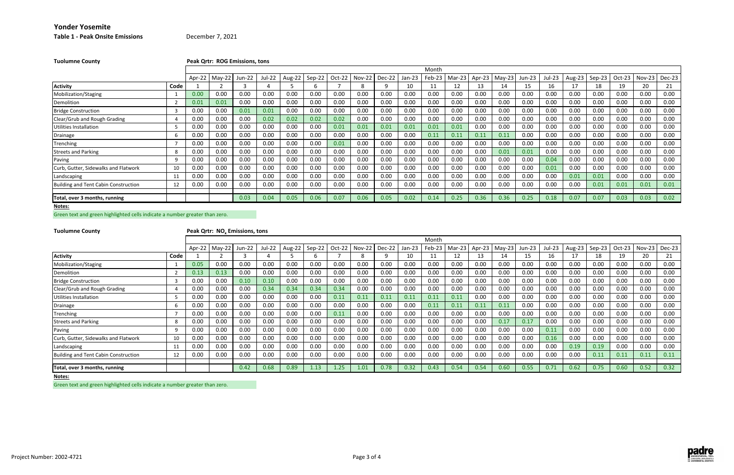**Yonder Yosemite Table 1 ‐ Peak Onsite Emissions** December 7, 2021

| <b>Tuolumne County</b>                      |      |        |          | Peak Qrtr: ROG Emissions, tons |        |        |        |        |               |        |          |        |        |        |          |          |        |               |        |        |               |        |
|---------------------------------------------|------|--------|----------|--------------------------------|--------|--------|--------|--------|---------------|--------|----------|--------|--------|--------|----------|----------|--------|---------------|--------|--------|---------------|--------|
|                                             |      |        |          |                                |        |        |        |        |               |        |          | Month  |        |        |          |          |        |               |        |        |               |        |
|                                             |      | Apr-22 | $May-22$ | Jun-22                         | Jul-22 | Aug-22 | Sep-22 | Oct-22 | <b>Nov-22</b> | Dec-22 | $Jan-23$ | Feb-23 | Mar-23 | Apr-23 | $May-23$ | $Jun-23$ | Jul-23 | <b>Aug-23</b> | Sep-23 | Oct-23 | <b>Nov-23</b> | Dec-23 |
| <b>Activity</b>                             | Code |        |          |                                |        |        | h      |        |               |        | 10       |        | 12     | 13     | 14       | 15       | 16     |               | 18     | 19     | 20            | 21     |
| Mobilization/Staging                        |      | 0.00   | 0.00     | 0.00                           | 0.00   | 0.00   | 0.00   | 0.00   | 0.00          | 0.00   | 0.00     | 0.00   | 0.00   | 0.00   | 0.00     | 0.00     | 0.00   | 0.00          | 0.00   | 0.00   | 0.00          | 0.00   |
| Demolition                                  |      | 0.01   | 0.01     | 0.00                           | 0.00   | 0.00   | 0.00   | 0.00   | 0.00          | 0.00   | 0.00     | 0.00   | 0.00   | 0.00   | 0.00     | 0.00     | 0.00   | 0.00          | 0.00   | 0.00   | 0.00          | 0.00   |
| <b>Bridge Construction</b>                  |      | 0.00   | 0.00     | 0.01                           | 0.01   | 0.00   | 0.00   | 0.00   | 0.00          | 0.00   | 0.00     | 0.00   | 0.00   | 0.00   | 0.00     | 0.00     | 0.00   | 0.00          | 0.00   | 0.00   | 0.00          | 0.00   |
| Clear/Grub and Rough Grading                |      | 0.00   | 0.00     | 0.00                           | 0.02   | 0.02   | 0.02   | 0.02   | 0.00          | 0.00   | 0.00     | 0.00   | 0.00   | 0.00   | 0.00     | 0.00     | 0.00   | 0.00          | 0.00   | 0.00   | 0.00          | 0.00   |
| Utilities Installation                      |      | 0.00   | 0.00     | 0.00                           | 0.00   | 0.00   | 0.00   | 0.01   | 0.01          | 0.01   | 0.01     | 0.01   | 0.01   | 0.00   | 0.00     | 0.00     | 0.00   | 0.00          | 0.00   | 0.00   | 0.00          | 0.00   |
| Drainage                                    |      | 0.00   | 0.00     | 0.00                           | 0.00   | 0.00   | 0.00   | 0.00   | 0.00          | 0.00   | 0.00     | 0.11   | 0.11   | 0.11   | 0.11     | 0.00     | 0.00   | 0.00          | 0.00   | 0.00   | 0.00          | 0.00   |
| Trenching                                   |      | 0.00   | 0.00     | 0.00                           | 0.00   | 0.00   | 0.00   | 0.01   | 0.00          | 0.00   | 0.00     | 0.00   | 0.00   | 0.00   | 0.00     | 0.00     | 0.00   | 0.00          | 0.00   | 0.00   | 0.00          | 0.00   |
| <b>Streets and Parking</b>                  | -8   | 0.00   | 0.00     | 0.00                           | 0.00   | 0.00   | 0.00   | 0.00   | 0.00          | 0.00   | 0.00     | 0.00   | 0.00   | 0.00   | 0.01     | 0.01     | 0.00   | 0.00          | 0.00   | 0.00   | 0.00          | 0.00   |
| Paving                                      |      | 0.00   | 0.00     | 0.00                           | 0.00   | 0.00   | 0.00   | 0.00   | 0.00          | 0.00   | 0.00     | 0.00   | 0.00   | 0.00   | 0.00     | 0.00     | 0.04   | 0.00          | 0.00   | 0.00   | 0.00          | 0.00   |
| Curb, Gutter, Sidewalks and Flatwork        | 10   | 0.00   | 0.00     | 0.00                           | 0.00   | 0.00   | 0.00   | 0.00   | 0.00          | 0.00   | 0.00     | 0.00   | 0.00   | 0.00   | 0.00     | 0.00     | 0.01   | 0.00          | 0.00   | 0.00   | 0.00          | 0.00   |
| Landscaping                                 | 11   | 0.00   | 0.00     | 0.00                           | 0.00   | 0.00   | 0.00   | 0.00   | 0.00          | 0.00   | 0.00     | 0.00   | 0.00   | 0.00   | 0.00     | 0.00     | 0.00   | 0.01          | 0.01   | 0.00   | 0.00          | 0.00   |
| <b>Building and Tent Cabin Construction</b> | 12   | 0.00   | 0.00     | 0.00                           | 0.00   | 0.00   | 0.00   | 0.00   | 0.00          | 0.00   | 0.00     | 0.00   | 0.00   | 0.00   | 0.00     | 0.00     | 0.00   | 0.00          | 0.01   | 0.01   | 0.01          | 0.01   |
| Total, over 3 months, running               |      |        |          | 0.03                           | 0.04   | 0.05   | 0.06   | 0.07   | 0.06          | 0.05   | 0.02     | 0.14   | 0.25   | 0.36   | 0.36     | 0.25     | 0.18   | 0.07          | 0.07   | 0.03   | 0.03          | 0.02   |

**Notes:**

Green text and green highlighted cells indicate <sup>a</sup> number greater than zero.

**Tuolumne**

### **County Peak Qrtr: NOx Emissions, tons**

**Notes:**

|                                             |      |        |          |        |        |        |        |        |               |        |          | Month  |        |        |        |        |        |        |        |          |               |               |
|---------------------------------------------|------|--------|----------|--------|--------|--------|--------|--------|---------------|--------|----------|--------|--------|--------|--------|--------|--------|--------|--------|----------|---------------|---------------|
|                                             |      | Apr-22 | $May-22$ | Jun-22 | Jul-22 | Aug-22 | Sep-22 | Oct-22 | <b>Nov-22</b> | Dec-22 | $Jan-23$ | Feb-23 | Mar-23 | Apr-23 | May-23 | Jun-23 | Jul-23 | Aug-23 | Sep-23 | $Oct-23$ | <b>Nov-23</b> | <b>Dec-23</b> |
| <b>Activity</b>                             | Code |        |          |        |        |        |        |        |               |        | 10       |        | 12     |        | 14     | 15     | 16     |        | 18     | 19       | 20            | 21            |
| Mobilization/Staging                        |      | 0.05   | 0.00     | 0.00   | 0.00   | 0.0C   | 0.00   | 0.00   | 0.00          | 0.00   | 0.00     | 0.00   | 0.00   | 0.00   | 0.00   | 0.00   | 0.00   | 0.00   | 0.00   | 0.00     | 0.00          | 0.00          |
| Demolition                                  |      | 0.13   | 0.13     | 0.00   | 0.00   | 0.00   | 0.00   | 0.00   | 0.00          | 0.00   | 0.00     | 0.00   | 0.00   | 0.00   | 0.00   | 0.00   | 0.00   | 0.00   | 0.00   | 0.00     | 0.00          | 0.00          |
| <b>Bridge Construction</b>                  |      | 0.00   | 0.00     | 0.10   | 0.10   | 0.00   | 0.00   | 0.00   | 0.00          | 0.00   | 0.00     | 0.00   | 0.00   | 0.00   | 0.00   | 0.00   | 0.00   | 0.00   | 0.00   | 0.00     | 0.00          | 0.00          |
| Clear/Grub and Rough Grading                |      | 0.00   | 0.00     | 0.00   | 0.34   | 0.34   | 0.34   | 0.34   | 0.00          | 0.00   | 0.00     | 0.00   | 0.00   | 0.00   | 0.00   | 0.00   | 0.00   | 0.00   | 0.00   | 0.00     | 0.00          | 0.00          |
| Utilities Installation                      |      | 0.00   | 0.00     | 0.00   | 0.00   | 0.00   | 0.00   | 0.11   | 0.11          | 0.11   | 0.11     | 0.11   | 0.11   | 0.00   | 0.00   | 0.00   | 0.00   | 0.00   | 0.00   | 0.00     | 0.00          | 0.00          |
| Drainage                                    |      | 0.00   | 0.00     | 0.00   | 0.00   | 0.00   | 0.00   | 0.00   | 0.00          | 0.00   | 0.00     | 0.11   | 0.11   | 0.11   | 0.11   | 0.00   | 0.00   | 0.00   | 0.00   | 0.00     | 0.00          | 0.00          |
| Trenching                                   |      | 0.00   | 0.00     | 0.00   | 0.00   | 0.0C   | 0.00   | 0.11   | 0.00          | 0.00   | 0.00     | 0.00   | 0.00   | 0.00   | 0.00   | 0.00   | 0.00   | 0.00   | 0.00   | 0.00     | 0.00          | 0.00          |
| Streets and Parking                         |      | 0.00   | 0.00     | 0.00   | 0.00   | 0.00   | 0.00   | 0.00   | 0.00          | 0.00   | 0.00     | 0.00   | 0.00   | 0.00   | 0.17   | 0.17   | 0.00   | 0.00   | 0.00   | 0.00     | 0.00          | 0.00          |
| Paving                                      |      | 0.00   | 0.00     | 0.00   | 0.00   | 0.00   | 0.00   | 0.00   | 0.00          | 0.00   | 0.00     | 0.00   | 0.00   | 0.00   | 0.00   | 0.00   | 0.11   | 0.00   | 0.00   | 0.00     | 0.00          | 0.00          |
| Curb, Gutter, Sidewalks and Flatwork        | 10   | 0.00   | 0.00     | 0.00   | 0.00   | 0.00   | 0.00   | 0.00   | 0.00          | 0.00   | 0.00     | 0.00   | 0.00   | 0.00   | 0.00   | 0.00   | 0.16   | 0.00   | 0.00   | 0.00     | 0.00          | 0.00          |
| Landscaping                                 |      | 0.00   | 0.00     | 0.00   | 0.00   | 0.00   | 0.00   | 0.00   | 0.00          | 0.00   | 0.00     | 0.00   | 0.00   | 0.00   | 0.00   | 0.00   | 0.00   | 0.19   | 0.19   | 0.00     | 0.00          | 0.00          |
| <b>Building and Tent Cabin Construction</b> | 12   | 0.00   | 0.00     | 0.00   | 0.00   | 0.00   | 0.00   | 0.00   | 0.00          | 0.00   | 0.00     | 0.00   | 0.00   | 0.00   | 0.00   | 0.00   | 0.00   | 0.00   | 0.11   | 0.11     | 0.11          | 0.11          |
| Total, over 3 months, running               |      |        |          | 0.42   | 0.68   | 0.89   | 1.13   | 1.25   | 1.01          | 0.78   | 0.32     | 0.43   | 0.54   | 0.54   | 0.60   | 0.55   | 0.71   | 0.62   | 0.75   | 0.60     | 0.52          | 0.32          |

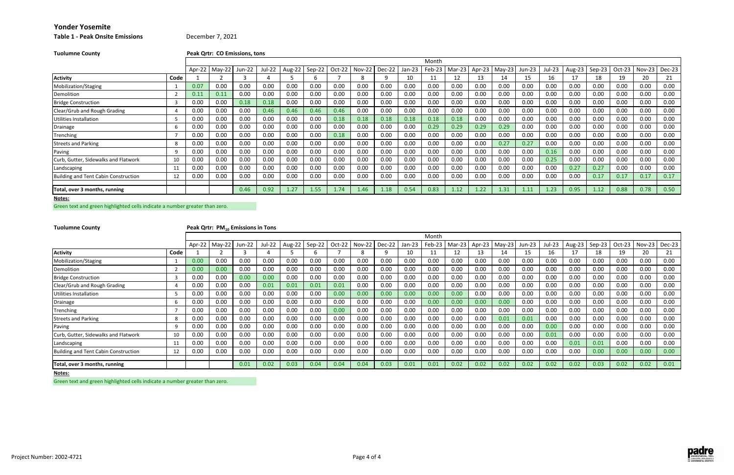## **Table 1 ‐ Peak Onsite Emissions** December 7, 2021

| <b>Tuolumne County</b>                      |      |        | Peak Qrtr: CO Emissions, tons |        |        |        |          |        |               |        |        |        |        |        |          |          |        |        |        |          |               |          |
|---------------------------------------------|------|--------|-------------------------------|--------|--------|--------|----------|--------|---------------|--------|--------|--------|--------|--------|----------|----------|--------|--------|--------|----------|---------------|----------|
|                                             |      |        |                               |        |        |        |          |        |               |        |        | Month  |        |        |          |          |        |        |        |          |               |          |
|                                             |      | Apr-22 | $May-22$                      | Jun-22 | Jul-22 | Aug-22 | $Sep-22$ | Oct-22 | <b>Nov-22</b> | Dec-22 | Jan-23 | Feb-23 | Mar-23 | Apr-23 | $May-23$ | $Jun-23$ | Jul-23 | Aug-23 | Sep-23 | $Oct-23$ | <b>Nov-23</b> | $Dec-23$ |
| <b>Activity</b>                             | Code |        |                               |        |        |        |          |        | 8             | q      | 10     | 11     | 12     | 13     | 14       | 15       | 16     | 17     | 18     | 19       | 20            | 21       |
| Mobilization/Staging                        |      | 0.07   | 0.00                          | 0.00   | 0.00   | 0.00   | 0.00     | 0.00   | 0.00          | 0.00   | 0.00   | 0.00   | 0.00   | 0.00   | 0.00     | 0.00     | 0.00   | 0.00   | 0.00   | 0.00     | 0.00          | 0.00     |
| Demolition                                  |      | 0.11   | 0.11                          | 0.00   | 0.00   | 0.00   | 0.00     | 0.00   | 0.00          | 0.00   | 0.00   | 0.00   | 0.00   | 0.00   | 0.00     | 0.00     | 0.00   | 0.00   | 0.00   | 0.00     | 0.00          | 0.00     |
| <b>Bridge Construction</b>                  |      | 0.00   | 0.00                          | 0.18   | 0.18   | 0.00   | 0.00     | 0.00   | 0.00          | 0.00   | 0.00   | 0.00   | 0.00   | 0.00   | 0.00     | 0.00     | 0.00   | 0.00   | 0.00   | 0.00     | 0.00          | 0.00     |
| Clear/Grub and Rough Grading                |      | 0.00   | 0.00                          | 0.00   | 0.46   | 0.46   | 0.46     | 0.46   | 0.00          | 0.00   | 0.00   | 0.00   | 0.00   | 0.00   | 0.00     | 0.00     | 0.00   | 0.00   | 0.00   | 0.00     | 0.00          | 0.00     |
| Jtilities Installation                      |      | 0.00   | 0.00                          | 0.00   | 0.00   | 0.00   | 0.00     | 0.18   | 0.18          | 0.18   | 0.18   | 0.18   | 0.18   | 0.00   | 0.00     | 0.00     | 0.00   | 0.00   | 0.00   | 0.00     | 0.00          | 0.00     |
| Drainage                                    |      | 0.00   | 0.00                          | 0.00   | 0.00   | 0.00   | 0.00     | 0.00   | 0.00          | 0.00   | 0.00   | 0.29   | 0.29   | 0.29   | 0.29     | 0.00     | 0.00   | 0.00   | 0.00   | 0.00     | 0.00          | 0.00     |
| Trenching                                   |      | 0.00   | 0.00                          | 0.00   | 0.00   | 0.00   | 0.00     | 0.18   | 0.00          | 0.00   | 0.00   | 0.00   | 0.00   | 0.00   | 0.00     | 0.00     | 0.00   | 0.00   | 0.00   | 0.00     | 0.00          | 0.00     |
| Streets and Parking                         |      | 0.00   | 0.00                          | 0.00   | 0.00   | 0.00   | 0.00     | 0.00   | 0.00          | 0.00   | 0.00   | 0.00   | 0.00   | 0.00   | 0.27     | 0.27     | 0.00   | 0.00   | 0.00   | 0.00     | 0.00          | 0.00     |
| Paving                                      |      | 0.00   | 0.00                          | 0.00   | 0.00   | 0.00   | 0.00     | 0.00   | 0.00          | 0.00   | 0.00   | 0.00   | 0.00   | 0.00   | 0.00     | 0.00     | 0.16   | 0.00   | 0.00   | 0.00     | 0.00          | 0.00     |
| Curb, Gutter, Sidewalks and Flatwork        | 10   | 0.00   | 0.00                          | 0.00   | 0.00   | 0.00   | 0.00     | 0.00   | 0.00          | 0.00   | 0.00   | 0.00   | 0.00   | 0.00   | 0.00     | 0.00     | 0.25   | 0.00   | 0.00   | 0.00     | 0.00          | 0.00     |
| Landscaping                                 | 11   | 0.00   | 0.00                          | 0.00   | 0.00   | 0.00   | 0.00     | 0.00   | 0.00          | 0.00   | 0.00   | 0.00   | 0.00   | 0.00   | 0.00     | 0.00     | 0.00   | 0.27   | 0.27   | 0.00     | 0.00          | 0.00     |
| <b>Building and Tent Cabin Construction</b> | 12   | 0.00   | 0.00                          | 0.00   | 0.00   | 0.00   | 0.00     | 0.00   | 0.00          | 0.00   | 0.00   | 0.00   | 0.00   | 0.00   | 0.00     | 0.00     | 0.00   | 0.00   | 0.17   | 0.17     | 0.17          | 0.17     |
| Total, over 3 months, running               |      |        |                               | 0.46   | 0.92   | 1.27   | 1.55     | 1.74   | 1.46          | 1.18   | 0.54   | 0.83   | 1.12   | 1.22   | 1.31     | 1.11     | 1.23   | 0.95   | 1.12   | 0.88     | 0.78          | 0.50     |
| Notes:                                      |      |        |                               |        |        |        |          |        |               |        |        |        |        |        |          |          |        |        |        |          |               |          |

Green text and green highlighted cells indicate <sup>a</sup> number greater than zero.

**Tuolumne**

## **County Peak Qrtr: PM10 Emissions in Tons**

|                                      |      |          |          |        |        |        |        |        |          |        |          | Month  |        |        |          |        |        |        |            |        |        |          |
|--------------------------------------|------|----------|----------|--------|--------|--------|--------|--------|----------|--------|----------|--------|--------|--------|----------|--------|--------|--------|------------|--------|--------|----------|
|                                      |      | Apr-22   | $May-22$ | Jun-22 | Jul-22 | Aug-22 | Sep-22 | Oct-22 | $Nov-22$ | Dec-22 | $Jan-23$ | Feb-23 | Mar-23 | Apr-23 | $May-23$ | Jun-23 | Jul-23 | Aug-23 | $I$ Sep-23 | Oct-23 | Nov-23 | $Dec-23$ |
| <b>Activity</b>                      | Code |          |          |        |        |        |        |        |          |        | 10       |        | 12     | 13     | 14       |        | 16     |        | 18         | 19     | 20     | 21       |
| Mobilization/Staging                 |      | 0.00     | 0.00     | 0.00   | 0.00   | 0.00   | 0.00   | 0.00   | 0.00     | 0.00   | 0.00     | 0.00   | 0.00   | 0.00   | 0.00     | 0.00   | 0.00   | 0.00   | 0.00       | 0.00   | 0.00   | 0.00     |
| Demolition                           |      | 0.00     | 0.00     | 0.00   | 0.00   | 0.00   | 0.00   | 0.00   | 0.00     | 0.00   | 0.00     | 0.00   | 0.00   | 0.00   | 0.00     | 0.00   | 0.00   | 0.00   | 0.00       | 0.00   | 0.00   | 0.00     |
| <b>Bridge Construction</b>           |      | 0.00     | 0.00     | 0.00   | 0.00   | 0.00   | 0.00   | 0.00   | 0.00     | 0.00   | 0.00     | 0.00   | 0.00   | 0.00   | 0.00     | 0.00   | 0.00   | 0.00   | 0.00       | 0.00   | 0.00   | 0.00     |
| Clear/Grub and Rough Grading         |      | $0.00\,$ | 0.00     | 0.00   | 0.01   | 0.01   | 0.01   | 0.01   | 0.00     | 0.00   | 0.00     | 0.00   | 0.00   | 0.00   | $0.00\,$ | 0.00   | 0.00   | 0.00   | 0.00       | 0.00   | 0.00   | 0.00     |
| Utilities Installation               |      | $0.00\,$ | 0.00     | 0.00   | 0.00   | 0.00   | 0.00   | 0.00   | 0.00     | 0.00   | 0.00     | 0.00   | 0.00   | 0.00   | $0.00\,$ | 0.00   | 0.00   | 0.00   | 0.00       | 0.00   | 0.00   | 0.00     |
| <b>Drainage</b>                      |      | 0.00     | 0.00     | 0.00   | 0.00   | 0.00   | 0.00   | 0.00   | 0.00     | 0.00   | 0.00     | 0.00   | 0.00   | 0.00   | 0.00     | 0.00   | 0.00   | 0.00   | 0.00       | 0.00   | 0.00   | 0.00     |
| Trenching                            |      | 0.00     | 0.00     | 0.00   | 0.00   | 0.00   | 0.00   | 0.00   | 0.00     | 0.00   | 0.00     | 0.00   | 0.00   | 0.00   | 0.00     | 0.00   | 0.00   | 0.00   | 0.00       | 0.00   | 0.00   | 0.00     |
| <b>Streets and Parking</b>           | 8    | $0.00\,$ | 0.00     | 0.00   | 0.00   | 0.00   | 0.00   | 0.00   | 0.00     | 0.00   | 0.00     | 0.00   | 0.00   | 0.00   | 0.01     | 0.01   | 0.00   | 0.00   | 0.00       | 0.00   | 0.00   | 0.00     |
| Paving                               |      | 0.00     | 0.00     | 0.00   | 0.00   | 0.00   | 0.00   | 0.00   | 0.00     | 0.00   | 0.00     | 0.00   | 0.00   | 0.00   | 0.00     | 0.00   | 0.00   | 0.00   | 0.00       | 0.00   | 0.00   | 0.00     |
| Curb, Gutter, Sidewalks and Flatwork | 10   | 0.00     | 0.00     | 0.00   | 0.00   | 0.00   | 0.00   | 0.00   | 0.00     | 0.00   | 0.00     | 0.00   | 0.00   | 0.00   | 0.00     | 0.00   | 0.01   | 0.00   | 0.00       | 0.00   | 0.00   | 0.00     |
| Landscaping                          |      | 0.00     | 0.00     | 0.00   | 0.00   | 0.00   | 0.00   | 0.00   | 0.00     | 0.00   | 0.00     | 0.00   | 0.00   | 0.00   | 0.00     | 0.00   | 0.00   | 0.01   | 0.01       | 0.00   | 0.00   | 0.00     |
| Building and Tent Cabin Construction | 12   | 0.00     | 0.00     | 0.00   | 0.00   | 0.00   | 0.00   | 0.00   | 0.00     | 0.00   | 0.00     | 0.00   | 0.00   | 0.00   | 0.00     | 0.00   | 0.00   | 0.00   | 0.00       | 0.00   | 0.00   | 0.00     |
| Total, over 3 months, running        |      |          |          | 0.01   | 0.02   | 0.03   | 0.04   | 0.04   | 0.04     | 0.03   | 0.01     | 0.01   | 0.02   | 0.02   | 0.02     | 0.02   | 0.02   | 0.02   | 0.03       | 0.02   | 0.02   | 0.01     |

**Notes:**

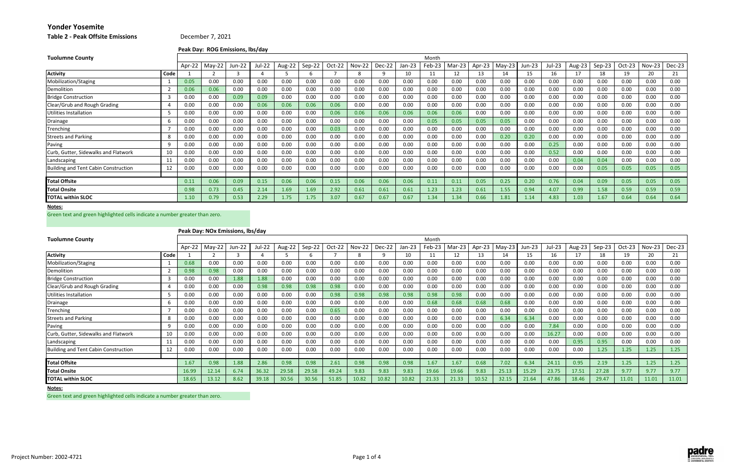**Table 2 ‐ Peak Offsite Emissions**

**Peak Day: ROG Emissions, lbs/day**

### **Notes:**

Green text and green highlighted cells indicate <sup>a</sup> number greater than zero.

## **Peak Day: NOx Emissions, lbs/day**

| <b>Tuolumne County</b>                      |      |        |          |        |        |        |        |          |               |        |          | Month  |        |        |          |        |        |        |          |          |               |        |
|---------------------------------------------|------|--------|----------|--------|--------|--------|--------|----------|---------------|--------|----------|--------|--------|--------|----------|--------|--------|--------|----------|----------|---------------|--------|
|                                             |      | Apr-22 | $May-22$ | Jun-22 | Jul-22 | Aug-22 | Sep-22 | $Oct-22$ | <b>Nov-22</b> | Dec-22 | $Jan-23$ | Feb-23 | Mar-23 | Apr-23 | $May-23$ | Jun-23 | Jul-23 | Aug-23 | $Sep-23$ | $Oct-23$ | <b>Nov-23</b> | Dec-23 |
| <b>Activity</b>                             | Code |        |          |        |        |        |        |          | 8             |        | 10       |        | 12     | 13     | 14       | 15     | 16     | 17     | 18       | 19       | 20            | 21     |
| Mobilization/Staging                        |      | 0.05   | 0.00     | 0.00   | 0.00   | 0.00   | 0.00   | 0.00     | 0.00          | 0.00   | 0.00     | 0.00   | 0.00   | 0.00   | 0.00     | 0.00   | 0.00   | 0.00   | 0.00     | 0.00     | 0.00          | 0.00   |
| Demolition                                  |      | 0.06   | 0.06     | 0.00   | 0.00   | 0.00   | 0.00   | 0.00     | 0.00          | 0.00   | 0.00     | 0.00   | 0.00   | 0.00   | 0.00     | 0.00   | 0.00   | 0.00   | 0.00     | 0.00     | 0.00          | 0.00   |
| <b>Bridge Construction</b>                  | 3    | 0.00   | 0.00     | 0.09   | 0.09   | 0.00   | 0.00   | 0.00     | 0.00          | 0.00   | 0.00     | 0.00   | 0.00   | 0.00   | 0.00     | 0.00   | 0.00   | 0.00   | 0.00     | 0.00     | 0.00          | 0.00   |
| Clear/Grub and Rough Grading                | 4    | 0.00   | 0.00     | 0.00   | 0.06   | 0.06   | 0.06   | 0.06     | 0.00          | 0.00   | 0.00     | 0.00   | 0.00   | 0.00   | 0.00     | 0.00   | 0.00   | 0.00   | 0.00     | 0.00     | 0.00          | 0.00   |
| Jtilities Installation                      |      | 0.00   | 0.00     | 0.00   | 0.00   | 0.00   | 0.00   | 0.06     | 0.06          | 0.06   | 0.06     | 0.06   | 0.06   | 0.00   | 0.00     | 0.00   | 0.00   | 0.00   | 0.00     | 0.00     | 0.00          | 0.00   |
| Drainage                                    | 6    | 0.00   | 0.00     | 0.00   | 0.00   | 0.00   | 0.00   | 0.00     | 0.00          | 0.00   | 0.00     | 0.05   | 0.05   | 0.05   | 0.05     | 0.00   | 0.00   | 0.00   | 0.00     | 0.00     | 0.00          | 0.00   |
| Trenching                                   |      | 0.00   | 0.00     | 0.00   | 0.00   | 0.00   | 0.00   | 0.03     | 0.00          | 0.00   | 0.00     | 0.00   | 0.00   | 0.00   | 0.00     | 0.00   | 0.00   | 0.00   | 0.00     | 0.00     | 0.00          | 0.00   |
| <b>Streets and Parking</b>                  | 8    | 0.00   | 0.00     | 0.00   | 0.00   | 0.00   | 0.00   | 0.00     | 0.00          | 0.00   | 0.00     | 0.00   | 0.00   | 0.00   | 0.20     | 0.20   | 0.00   | 0.00   | 0.00     | 0.00     | 0.00          | 0.00   |
| Paving                                      | 9    | 0.00   | 0.00     | 0.00   | 0.00   | 0.00   | 0.00   | 0.00     | 0.00          | 0.00   | 0.00     | 0.00   | 0.00   | 0.00   | 0.00     | 0.00   | 0.25   | 0.00   | 0.00     | 0.00     | 0.00          | 0.00   |
| Curb, Gutter, Sidewalks and Flatwork        | 10   | 0.00   | 0.00     | 0.00   | 0.00   | 0.00   | 0.00   | 0.00     | 0.00          | 0.00   | 0.00     | 0.00   | 0.00   | 0.00   | 0.00     | 0.00   | 0.52   | 0.00   | 0.00     | 0.00     | 0.00          | 0.00   |
| Landscaping                                 | 11   | 0.00   | 0.00     | 0.00   | 0.00   | 0.00   | 0.00   | 0.00     | 0.00          | 0.00   | 0.00     | 0.00   | 0.00   | 0.00   | 0.00     | 0.00   | 0.00   | 0.04   | 0.04     | 0.00     | 0.00          | 0.00   |
| <b>Building and Tent Cabin Construction</b> | 12   | 0.00   | 0.00     | 0.00   | 0.00   | 0.00   | 0.00   | 0.00     | 0.00          | 0.00   | 0.00     | 0.00   | 0.00   | 0.00   | 0.00     | 0.00   | 0.00   | 0.00   | 0.05     | 0.05     | 0.05          | 0.05   |
|                                             |      |        |          |        |        |        |        |          |               |        |          |        |        |        |          |        |        |        |          |          |               |        |
| <b>Total Offsite</b>                        |      | 0.11   | 0.06     | 0.09   | 0.15   | 0.06   | 0.06   | 0.15     | 0.06          | 0.06   | 0.06     | 0.11   | 0.11   | 0.05   | 0.25     | 0.20   | 0.76   | 0.04   | 0.09     | 0.05     | 0.05          | 0.05   |
| <b>Total Onsite</b>                         |      | 0.98   | 0.73     | 0.45   | 2.14   | 1.69   | 1.69   | 2.92     | 0.61          | 0.61   | 0.61     | 1.23   | 1.23   | 0.61   | 1.55     | 0.94   | 4.07   | 0.99   | 1.58     | 0.59     | 0.59          | 0.59   |
| <b>TOTAL within SLOC</b>                    |      | 1.10   | 0.79     | 0.53   | 2.29   | 1.75   | 1.75   | 3.07     | 0.67          | 0.67   | 0.67     | 1.34   | 1.34   | 0.66   | 1.81     | 1.14   | 4.83   | 1.03   | 1.67     | 0.64     | 0.64          | 0.64   |

| <b>Tuolumne County</b>                      |      |        |          |        |               |        |        |        |               |        |          | Month  |        |        |          |        |        |        |        |        |               |        |
|---------------------------------------------|------|--------|----------|--------|---------------|--------|--------|--------|---------------|--------|----------|--------|--------|--------|----------|--------|--------|--------|--------|--------|---------------|--------|
|                                             |      | Apr-22 | $May-22$ | lun-22 | <b>Jul-22</b> | Aug-22 | Sep-22 | Oct-22 | <b>Nov-22</b> | Dec-22 | $Jan-23$ | Feb-23 | Mar-23 | Apr-23 | $May-23$ | Jun-23 | Jul-23 | Aug-23 | Sep-23 | Oct-23 | <b>Nov-23</b> | Dec-23 |
| <b>Activity</b>                             | Code |        |          |        |               |        |        |        |               |        | 10       | 11     | 12     |        | 14       | 15     | 16     | 17     | 18     | 19     | 20            | 21     |
| Mobilization/Staging                        |      | 0.68   | 0.00     | 0.00   | 0.00          | 0.00   | 0.00   | 0.00   | 0.00          | 0.00   | 0.00     | 0.00   | 0.00   | 0.00   | 0.00     | 0.00   | 0.00   | 0.00   | 0.00   | 0.00   | 0.00          | 0.00   |
| Demolition                                  |      | 0.98   | 0.98     | 0.00   | 0.00          | 0.00   | 0.00   | 0.00   | 0.00          | 0.00   | 0.00     | 0.00   | 0.00   | 0.00   | 0.00     | 0.00   | 0.00   | 0.00   | 0.00   | 0.00   | 0.00          | 0.00   |
| <b>Bridge Construction</b>                  |      | 0.00   | 0.00     | 1.88   | 1.88          | 0.00   | 0.00   | 0.00   | 0.00          | 0.00   | 0.00     | 0.00   | 0.00   | 0.00   | 0.00     | 0.00   | 0.00   | 0.00   | 0.00   | 0.00   | 0.00          | 0.00   |
| Clear/Grub and Rough Grading                |      | 0.00   | 0.00     | 0.00   | 0.98          | 0.98   | 0.98   | 0.98   | 0.00          | 0.00   | 0.00     | 0.00   | 0.00   | 0.00   | 0.00     | 0.00   | 0.00   | 0.00   | 0.00   | 0.00   | 0.00          | 0.00   |
| Utilities Installation                      |      | 0.00   | 0.00     | 0.00   | 0.00          | 0.00   | 0.00   | 0.98   | 0.98          | 0.98   | 0.98     | 0.98   | 0.98   | 0.00   | 0.00     | 0.00   | 0.00   | 0.00   | 0.00   | 0.00   | 0.00          | 0.00   |
| Drainage                                    |      | 0.00   | 0.00     | 0.00   | 0.00          | 0.00   | 0.00   | 0.00   | 0.00          | 0.00   | 0.00     | 0.68   | 0.68   | 0.68   | 0.68     | 0.00   | 0.00   | 0.00   | 0.00   | 0.00   | 0.00          | 0.00   |
| Trenching                                   |      | 0.00   | 0.00     | 0.00   | 0.00          | 0.00   | 0.00   | 0.65   | 0.00          | 0.00   | 0.00     | 0.00   | 0.00   | 0.00   | 0.00     | 0.00   | 0.00   | 0.00   | 0.00   | 0.00   | 0.00          | 0.00   |
| <b>Streets and Parking</b>                  | 8    | 0.00   | 0.00     | 0.00   | 0.00          | 0.00   | 0.00   | 0.00   | 0.00          | 0.00   | 0.00     | 0.00   | 0.00   | 0.00   | 6.34     | 6.34   | 0.00   | 0.00   | 0.00   | 0.00   | 0.00          | 0.00   |
| Paving                                      |      | 0.00   | 0.00     | 0.00   | 0.00          | 0.00   | 0.00   | 0.00   | 0.00          | 0.00   | 0.00     | 0.00   | 0.00   | 0.00   | 0.00     | 0.00   | 7.84   | 0.00   | 0.00   | 0.00   | 0.00          | 0.00   |
| Curb, Gutter, Sidewalks and Flatwork        | 10   | 0.00   | 0.00     | 0.00   | 0.00          | 0.00   | 0.00   | 0.00   | 0.00          | 0.00   | 0.00     | 0.00   | 0.00   | 0.00   | 0.00     | 0.00   | 16.27  | 0.00   | 0.00   | 0.00   | 0.00          | 0.00   |
| Landscaping                                 | 11   | 0.00   | 0.00     | 0.00   | 0.00          | 0.00   | 0.00   | 0.00   | 0.00          | 0.00   | 0.00     | 0.00   | 0.00   | 0.00   | 0.00     | 0.00   | 0.00   | 0.95   | 0.95   | 0.00   | 0.00          | 0.00   |
| <b>Building and Tent Cabin Construction</b> | 12   | 0.00   | 0.00     | 0.00   | 0.00          | 0.00   | 0.00   | 0.00   | 0.00          | 0.00   | 0.00     | 0.00   | 0.00   | 0.00   | 0.00     | 0.00   | 0.00   | 0.00   | 1.25   | 1.25   | 1.25          | 1.25   |
|                                             |      |        |          |        |               |        |        |        |               |        |          |        |        |        |          |        |        |        |        |        |               |        |
| Total Offsite                               |      | 1.67   | 0.98     | 1.88   | 2.86          | 0.98   | 0.98   | 2.61   | 0.98          | 0.98   | 0.98     | 1.67   | 1.67   | 0.68   | 7.02     | 6.34   | 24.11  | 0.95   | 2.19   | 1.25   | 1.25          | 1.25   |
| <b>Total Onsite</b>                         |      | 16.99  | 12.14    | 6.74   | 36.32         | 29.58  | 29.58  | 49.24  | 9.83          | 9.83   | 9.83     | 19.66  | 19.66  | 9.83   | 25.13    | 15.29  | 23.75  | 17.51  | 27.28  | 9.77   | 9.77          | 9.77   |
| <b>TOTAL within SLOC</b>                    |      | 18.65  | 13.12    | 8.62   | 39.18         | 30.56  | 30.56  | 51.85  | 10.82         | 10.82  | 10.82    | 21.33  | 21.33  | 10.52  | 32.15    | 21.64  | 47.86  | 18.46  | 29.47  | 11.01  | 11.01         | 11.01  |

**Notes:**

Green text and green highlighted cells indicate <sup>a</sup> number greater than zero.



## December 7, 2021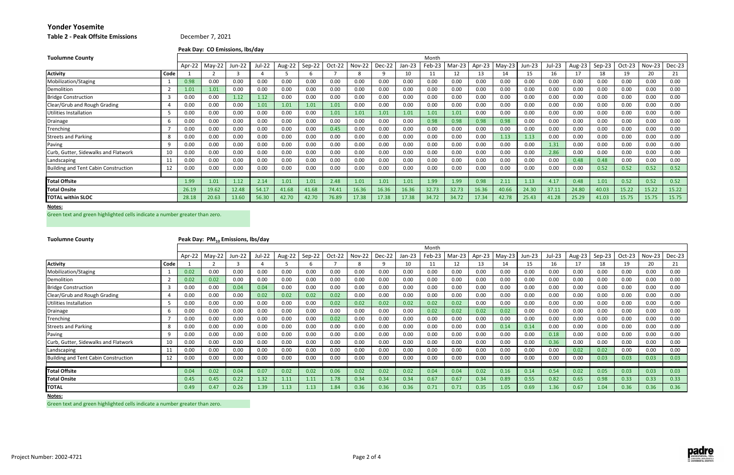|  |  |  |  | <b>Table 2 - Peak Offsite Emissions</b> |
|--|--|--|--|-----------------------------------------|
|--|--|--|--|-----------------------------------------|

**2 ‐ Peak Offsite Emissions** December 7, 2021

**Peak Day: CO Emissions, lbs/day**

#### **Notes:**

Green text and green highlighted cells indicate <sup>a</sup> number greater than zero.

| <b>Tuolumne County</b>                      |                |        |          |        |        |        |        |          |               |        |        | Month  |        |        |          |        |        |        |        |          |               |        |
|---------------------------------------------|----------------|--------|----------|--------|--------|--------|--------|----------|---------------|--------|--------|--------|--------|--------|----------|--------|--------|--------|--------|----------|---------------|--------|
|                                             |                | Apr-22 | $May-22$ | Jun-22 | Jul-22 | Aug-22 | Sep-22 | $Oct-22$ | <b>Nov-22</b> | Dec-22 | Jan-23 | Feb-23 | Mar-23 | Apr-23 | $May-23$ | Jun-23 | Jul-23 | Aug-23 | Sep-23 | $Oct-23$ | <b>Nov-23</b> | Dec-23 |
| <b>Activity</b>                             | Code           |        |          |        |        |        |        |          | 8             |        | 10     | 11     | 12     | 13     | 14       | 15     | 16     | 17     | 18     | 19       | 20            | 21     |
| Mobilization/Staging                        |                | 0.98   | 0.00     | 0.00   | 0.00   | 0.00   | 0.00   | 0.00     | 0.00          | 0.00   | 0.00   | 0.00   | 0.00   | 0.00   | 0.00     | 0.00   | 0.00   | 0.00   | 0.00   | 0.00     | 0.00          | 0.00   |
| Demolition                                  | $\overline{2}$ | 1.01   | 1.01     | 0.00   | 0.00   | 0.00   | 0.00   | 0.00     | 0.00          | 0.00   | 0.00   | 0.00   | 0.00   | 0.00   | 0.00     | 0.00   | 0.00   | 0.00   | 0.00   | 0.00     | 0.00          | 0.00   |
| <b>Bridge Construction</b>                  |                | 0.00   | 0.00     | 1.12   | 1.12   | 0.00   | 0.00   | 0.00     | 0.00          | 0.00   | 0.00   | 0.00   | 0.00   | 0.00   | 0.00     | 0.00   | 0.00   | 0.00   | 0.00   | 0.00     | 0.00          | 0.00   |
| Clear/Grub and Rough Grading                |                | 0.00   | 0.00     | 0.00   | 1.01   | 1.01   | 1.01   | 1.01     | 0.00          | 0.00   | 0.00   | 0.00   | 0.00   | 0.00   | 0.00     | 0.00   | 0.00   | 0.00   | 0.00   | 0.00     | 0.00          | 0.00   |
| Utilities Installation                      |                | 0.00   | 0.00     | 0.00   | 0.00   | 0.00   | 0.00   | 1.01     | 1.01          | 1.01   | 1.01   | 1.01   | 1.01   | 0.00   | 0.00     | 0.00   | 0.00   | 0.00   | 0.00   | 0.00     | 0.00          | 0.00   |
| Drainage                                    | 6              | 0.00   | 0.00     | 0.00   | 0.00   | 0.00   | 0.00   | 0.00     | 0.00          | 0.00   | 0.00   | 0.98   | 0.98   | 0.98   | 0.98     | 0.00   | 0.00   | 0.00   | 0.00   | 0.00     | 0.00          | 0.00   |
| Trenching                                   |                | 0.00   | 0.00     | 0.00   | 0.00   | 0.00   | 0.00   | 0.45     | 0.00          | 0.00   | 0.00   | 0.00   | 0.00   | 0.00   | 0.00     | 0.00   | 0.00   | 0.00   | 0.00   | 0.00     | 0.00          | 0.00   |
| <b>Streets and Parking</b>                  | 8              | 0.00   | 0.00     | 0.00   | 0.00   | 0.00   | 0.00   | 0.00     | 0.00          | 0.00   | 0.00   | 0.00   | 0.00   | 0.00   | 1.13     | 1.13   | 0.00   | 0.00   | 0.00   | 0.00     | 0.00          | 0.00   |
| Paving                                      | 9              | 0.00   | 0.00     | 0.00   | 0.00   | 0.00   | 0.00   | 0.00     | 0.00          | 0.00   | 0.00   | 0.00   | 0.00   | 0.00   | 0.00     | 0.00   | 1.31   | 0.00   | 0.00   | 0.00     | 0.00          | 0.00   |
| Curb, Gutter, Sidewalks and Flatwork        | 10             | 0.00   | 0.00     | 0.00   | 0.00   | 0.00   | 0.00   | 0.00     | 0.00          | 0.00   | 0.00   | 0.00   | 0.00   | 0.00   | 0.00     | 0.00   | 2.86   | 0.00   | 0.00   | 0.00     | 0.00          | 0.00   |
| Landscaping                                 | 11             | 0.00   | 0.00     | 0.00   | 0.00   | 0.00   | 0.00   | 0.00     | 0.00          | 0.00   | 0.00   | 0.00   | 0.00   | 0.00   | 0.00     | 0.00   | 0.00   | 0.48   | 0.48   | 0.00     | 0.00          | 0.00   |
| <b>Building and Tent Cabin Construction</b> | 12             | 0.00   | 0.00     | 0.00   | 0.00   | 0.00   | 0.00   | 0.00     | 0.00          | 0.00   | 0.00   | 0.00   | 0.00   | 0.00   | 0.00     | 0.00   | 0.00   | 0.00   | 0.52   | 0.52     | 0.52          | 0.52   |
|                                             |                |        |          |        |        |        |        |          |               |        |        |        |        |        |          |        |        |        |        |          |               |        |
| <b>Total Offsite</b>                        |                | 1.99   | 1.01     | 1.12   | 2.14   | 1.01   | 1.01   | 2.48     | 1.01          | 1.01   | 1.01   | 1.99   | 1.99   | 0.98   | 2.11     | 1.13   | 4.17   | 0.48   | 1.01   | 0.52     | 0.52          | 0.52   |
| <b>Total Onsite</b>                         |                | 26.19  | 19.62    | 12.48  | 54.17  | 41.68  | 41.68  | 74.41    | 16.36         | 16.36  | 16.36  | 32.73  | 32.73  | 16.36  | 40.66    | 24.30  | 37.11  | 24.80  | 40.03  | 15.22    | 15.22         | 15.22  |
| <b>TOTAL within SLOC</b>                    |                | 28.18  | 20.63    | 13.60  | 56.30  | 42.70  | 42.70  | 76.89    | 17.38         | 17.38  | 17.38  | 34.72  | 34.72  | 17.34  | 42.78    | 25.43  | 41.28  | 25.29  | 41.03  | 15.75    | 15.75         | 15.75  |

| <b>Tuolumne County</b>               |      |        | Peak Day: PM <sub>10</sub> Emissions, lbs/day |        |        |        |        |        |               |          |          |        |        |        |          |        |        |        |        |          |          |        |
|--------------------------------------|------|--------|-----------------------------------------------|--------|--------|--------|--------|--------|---------------|----------|----------|--------|--------|--------|----------|--------|--------|--------|--------|----------|----------|--------|
|                                      |      |        |                                               |        |        |        |        |        |               |          |          | Month  |        |        |          |        |        |        |        |          |          |        |
|                                      |      | Apr-22 | $May-22$                                      | Jun-22 | Jul-22 | Aug-22 | Sep-22 | Oct-22 | <b>Nov-22</b> | $Dec-22$ | $Jan-23$ | Feb-23 | Mar-23 | Apr-23 | $May-23$ | Jun-23 | Jul-23 | Aug-23 | Sep-23 | $Oct-23$ | $Nov-23$ | Dec-23 |
| <b>Activity</b>                      | Code |        |                                               |        |        |        |        |        |               |          | 10       | 11     | 12     | 13     |          | 15     | 16     | 17     | 18     | 19       | 20       | 21     |
| Mobilization/Staging                 |      | 0.02   | 0.00                                          | 0.00   | 0.00   | 0.00   | 0.00   | 0.00   | 0.00          | 0.00     | 0.00     | 0.00   | 0.00   | 0.00   | 0.00     | 0.00   | 0.00   | 0.00   | 0.00   | 0.00     | 0.00     | 0.00   |
| Demolition                           |      | 0.02   | 0.02                                          | 0.00   | 0.00   | 0.00   | 0.00   | 0.00   | 0.00          | 0.00     | 0.00     | 0.00   | 0.00   | 0.00   | 0.00     | 0.00   | 0.00   | 0.00   | 0.00   | 0.00     | 0.00     | 0.00   |
| <b>Bridge Construction</b>           |      | 0.00   | 0.00                                          | 0.04   | 0.04   | 0.00   | 0.00   | 0.00   | 0.00          | 0.00     | 0.00     | 0.00   | 0.00   | 0.00   | 0.00     | 0.00   | 0.00   | 0.00   | 0.00   | 0.00     | 0.00     | 0.00   |
| Clear/Grub and Rough Grading         |      | 0.00   | 0.00                                          | 0.00   | 0.02   | 0.02   | 0.02   | 0.02   | 0.00          | 0.00     | 0.00     | 0.00   | 0.00   | 0.00   | 0.00     | 0.00   | 0.00   | 0.00   | 0.00   | 0.00     | 0.00     | 0.00   |
| <b>Utilities Installation</b>        |      | 0.00   | 0.00                                          | 0.00   | 0.00   | 0.00   | 0.00   | 0.02   | 0.02          | 0.02     | 0.02     | 0.02   | 0.02   | 0.00   | 0.00     | 0.00   | 0.00   | 0.00   | 0.00   | 0.00     | 0.00     | 0.00   |
| Drainage                             | h    | 0.00   | 0.00                                          | 0.00   | 0.00   | 0.00   | 0.00   | 0.00   | 0.00          | 0.00     | 0.00     | 0.02   | 0.02   | 0.02   | 0.02     | 0.00   | 0.00   | 0.00   | 0.00   | 0.00     | 0.00     | 0.00   |
| Trenching                            |      | 0.00   | 0.00                                          | 0.00   | 0.00   | 0.00   | 0.00   | 0.02   | 0.00          | 0.00     | 0.00     | 0.00   | 0.00   | 0.00   | 0.00     | 0.00   | 0.00   | 0.00   | 0.00   | 0.00     | 0.00     | 0.00   |
| <b>Streets and Parking</b>           | 8    | 0.00   | 0.00                                          | 0.00   | 0.00   | 0.00   | 0.00   | 0.00   | 0.00          | 0.00     | 0.00     | 0.00   | 0.00   | 0.00   | 0.14     | 0.14   | 0.00   | 0.00   | 0.00   | 0.00     | 0.00     | 0.00   |
| Paving                               |      | 0.00   | 0.00                                          | 0.00   | 0.00   | 0.00   | 0.00   | 0.00   | 0.00          | 0.00     | 0.00     | 0.00   | 0.00   | 0.00   | 0.00     | 0.00   | 0.18   | 0.00   | 0.00   | 0.00     | 0.00     | 0.00   |
| Curb, Gutter, Sidewalks and Flatwork | 10   | 0.00   | 0.00                                          | 0.00   | 0.00   | 0.00   | 0.00   | 0.00   | 0.00          | 0.00     | 0.00     | 0.00   | 0.00   | 0.00   | 0.00     | 0.00   | 0.36   | 0.00   | 0.00   | 0.00     | 0.00     | 0.00   |
| Landscaping                          | 11   | 0.00   | 0.00                                          | 0.00   | 0.00   | 0.00   | 0.00   | 0.00   | 0.00          | 0.00     | 0.00     | 0.00   | 0.00   | 0.00   | 0.00     | 0.00   | 0.00   | 0.02   | 0.02   | 0.00     | 0.00     | 0.00   |
| Building and Tent Cabin Construction | 12   | 0.00   | 0.00                                          | 0.00   | 0.00   | 0.00   | 0.00   | 0.00   | 0.00          | 0.00     | 0.00     | 0.00   | 0.00   | 0.00   | 0.00     | 0.00   | 0.00   | 0.00   | 0.03   | 0.03     | 0.03     | 0.03   |
| <b>Total Offsite</b>                 |      | 0.04   | 0.02                                          | 0.04   | 0.07   | 0.02   | 0.02   | 0.06   | 0.02          | 0.02     | 0.02     | 0.04   | 0.04   | 0.02   | 0.16     | 0.14   | 0.54   | 0.02   | 0.05   | 0.03     | 0.03     | 0.03   |
| <b>Total Onsite</b>                  |      | 0.45   | 0.45                                          | 0.22   | 1.32   | 1.11   | 1.11   | 1.78   | 0.34          | 0.34     | 0.34     | 0.67   | 0.67   | 0.34   | 0.89     | 0.55   | 0.82   | 0.65   | 0.98   | 0.33     | 0.33     | 0.33   |
| <b>TOTAL</b>                         |      | 0.49   | 0.47                                          | 0.26   | 1.39   | 1.13   | 1.13   | 1.84   | 0.36          | 0.36     | 0.36     | 0.71   | 0.71   | 0.35   | 1.05     | 0.69   | 1.36   | 0.67   | 1.04   | 0.36     | 0.36     | 0.36   |
| Notes:                               |      |        |                                               |        |        |        |        |        |               |          |          |        |        |        |          |        |        |        |        |          |          |        |

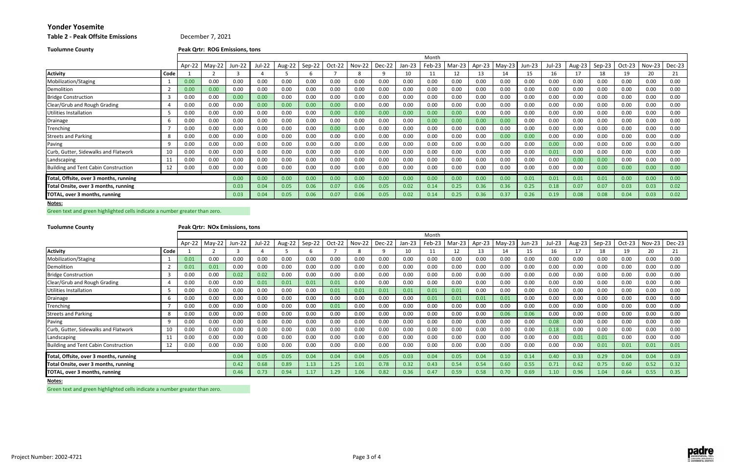**2 ‐ Peak Offsite Emissions** December 7, 2021

| <b>Tuolumne County</b> | Peak Qrtr: ROG Emissions, tons |
|------------------------|--------------------------------|
|------------------------|--------------------------------|

### **Notes:**

Green text and green highlighted cells indicate <sup>a</sup> number greater than zero.

**Tuolumne**

# **County Peak Qrtr: NOx Emissions, tons**

|                                        |      |        |          |               |        |        |        |        |               |          |          | Month  |        |        |          |        |        |        |          |          |        |        |
|----------------------------------------|------|--------|----------|---------------|--------|--------|--------|--------|---------------|----------|----------|--------|--------|--------|----------|--------|--------|--------|----------|----------|--------|--------|
|                                        |      | Apr-22 | $May-22$ | <b>Jun-22</b> | Jul-22 | Aug-22 | Sep-22 | Oct-22 | <b>Nov-22</b> | $Dec-22$ | $Jan-23$ | Feb-23 | Mar-23 | Apr-23 | $May-23$ | Jun-23 | Jul-23 | Aug-23 | $Sep-23$ | $Oct-23$ | Nov-23 | Dec-23 |
| <b>Activity</b>                        | Code |        |          |               |        |        |        |        |               | 9        | 10       |        | 12     |        | 14       | 15     | 16     |        | 18       | 19       | 20     | 21     |
| Mobilization/Staging                   |      | 0.00   | 0.00     | 0.00          | 0.00   | 0.00   | 0.00   | 0.00   | 0.00          | 0.00     | 0.00     | 0.00   | 0.00   | 0.00   | 0.00     | 0.00   | 0.00   | 0.00   | 0.00     | 0.00     | 0.00   | 0.00   |
| Demolition                             |      | 0.00   | 0.00     | 0.00          | 0.00   | 0.00   | 0.00   | 0.00   | 0.00          | 0.00     | 0.00     | 0.00   | 0.00   | 0.00   | 0.00     | 0.00   | 0.00   | 0.00   | 0.00     | 0.00     | 0.00   | 0.00   |
| <b>Bridge Construction</b>             |      | 0.00   | 0.00     | 0.00          | 0.00   | 0.00   | 0.00   | 0.00   | 0.00          | 0.00     | 0.00     | 0.00   | 0.00   | 0.00   | 0.00     | 0.00   | 0.00   | 0.00   | 0.00     | 0.00     | 0.00   | 0.00   |
| Clear/Grub and Rough Grading           |      | 0.00   | 0.00     | 0.00          | 0.00   | 0.00   | 0.00   | 0.00   | 0.00          | 0.00     | 0.00     | 0.00   | 0.00   | 0.00   | 0.00     | 0.00   | 0.00   | 0.00   | 0.00     | 0.00     | 0.00   | 0.00   |
| Utilities Installation                 |      | 0.00   | 0.00     | 0.00          | 0.00   | 0.00   | 0.00   | 0.00   | 0.00          | 0.00     | 0.00     | 0.00   | 0.00   | 0.00   | 0.00     | 0.00   | 0.00   | 0.00   | 0.00     | 0.00     | 0.00   | 0.00   |
| Drainage                               |      | 0.00   | 0.00     | 0.00          | 0.00   | 0.00   | 0.00   | 0.00   | 0.00          | 0.00     | 0.00     | 0.00   | 0.00   | 0.00   | 0.00     | 0.00   | 0.00   | 0.00   | 0.00     | 0.00     | 0.00   | 0.00   |
| Trenching                              |      | 0.00   | 0.00     | 0.00          | 0.00   | 0.00   | 0.00   | 0.00   | 0.00          | 0.00     | 0.00     | 0.00   | 0.00   | 0.00   | 0.00     | 0.00   | 0.00   | 0.00   | 0.00     | 0.00     | 0.00   | 0.00   |
| <b>Streets and Parking</b>             | 8    | 0.00   | 0.00     | 0.00          | 0.00   | 0.00   | 0.00   | 0.00   | 0.00          | 0.00     | 0.00     | 0.00   | 0.00   | 0.00   | 0.00     | 0.00   | 0.00   | 0.00   | 0.00     | 0.00     | 0.00   | 0.00   |
| Paving                                 |      | 0.00   | 0.00     | 0.00          | 0.00   | 0.00   | 0.00   | 0.00   | 0.00          | 0.00     | 0.00     | 0.00   | 0.00   | 0.00   | 0.00     | 0.00   | 0.00   | 0.00   | 0.00     | 0.00     | 0.00   | 0.00   |
| Curb, Gutter, Sidewalks and Flatwork   | 10   | 0.00   | 0.00     | 0.00          | 0.00   | 0.00   | 0.00   | 0.00   | 0.00          | 0.00     | 0.00     | 0.00   | 0.00   | 0.00   | 0.00     | 0.00   | 0.01   | 0.00   | 0.00     | 0.00     | 0.00   | 0.00   |
| Landscaping                            | 11   | 0.00   | 0.00     | 0.00          | 0.00   | 0.00   | 0.00   | 0.00   | 0.00          | 0.00     | 0.00     | 0.00   | 0.00   | 0.00   | 0.00     | 0.00   | 0.00   | 0.00   | 0.00     | 0.00     | 0.00   | 0.00   |
| Building and Tent Cabin Construction   | 12   | 0.00   | 0.00     | 0.00          | 0.00   | 0.00   | 0.00   | 0.00   | 0.00          | 0.00     | 0.00     | 0.00   | 0.00   | 0.00   | 0.00     | 0.00   | 0.00   | 0.00   | 0.00     | 0.00     | 0.00   | 0.00   |
| Total, Offsite, over 3 months, running |      |        |          | 0.00          | 0.00   | 0.00   | 0.00   | 0.00   | 0.00          | 0.00     | 0.00     | 0.00   | 0.00   | 0.00   | 0.00     | 0.01   | 0.01   | 0.01   | 0.01     | 0.00     | 0.00   | 0.00   |
| Total Onsite, over 3 months, running   |      | 0.03   | 0.04     | 0.05          | 0.06   | 0.07   | 0.06   | 0.05   | 0.02          | 0.14     | 0.25     | 0.36   | 0.36   | 0.25   | 0.18     | 0.07   | 0.07   | 0.03   | 0.03     | 0.02     |        |        |
| TOTAL, over 3 months, running          |      |        |          | 0.03          | 0.04   | 0.05   | 0.06   | 0.07   | 0.06          | 0.05     | 0.02     | 0.14   | 0.25   | 0.36   | 0.37     | 0.26   | 0.19   | 0.08   | 0.08     | 0.04     | 0.03   | 0.02   |

|                                        |      |        |          |        |        |        |        |        |               |         |          | Month  |        |        |          |        |        |        |        |        |          |        |
|----------------------------------------|------|--------|----------|--------|--------|--------|--------|--------|---------------|---------|----------|--------|--------|--------|----------|--------|--------|--------|--------|--------|----------|--------|
|                                        |      | Apr-22 | $May-22$ | Jun-22 | Jul-22 | Aug-22 | Sep-22 | Oct-22 | <b>Nov-22</b> | Dec-22. | $Jan-23$ | Feb-23 | Mar-23 | Apr-23 | $May-23$ | Jun-23 | Jul-23 | Aug-23 | Sep-23 | Oct-23 | $Nov-23$ | Dec-23 |
| <b>Activity</b>                        | Code |        |          |        |        |        |        |        |               |         | 10       |        | 12     |        | 14       | 15     | 16     |        | 18     | 19     | 20       | 21     |
| Mobilization/Staging                   |      | 0.01   | 0.00     | 0.00   | 0.00   | 0.00   | 0.00   | 0.00   | 0.00          | 0.00    | 0.00     | 0.00   | 0.00   | 0.00   | 0.00     | 0.00   | 0.00   | 0.00   | 0.00   | 0.00   | 0.00     | 0.00   |
| Demolition                             |      | 0.01   | 0.01     | 0.00   | 0.00   | 0.00   | 0.00   | 0.00   | 0.00          | 0.00    | 0.00     | 0.00   | 0.00   | 0.00   | 0.00     | 0.00   | 0.00   | 0.00   | 0.00   | 0.00   | 0.00     | 0.00   |
| <b>Bridge Construction</b>             |      | 0.00   | 0.00     | 0.02   | 0.02   | 0.00   | 0.00   | 0.00   | 0.00          | 0.00    | 0.00     | 0.00   | 0.00   | 0.00   | 0.00     | 0.00   | 0.00   | 0.00   | 0.00   | 0.00   | 0.00     | 0.00   |
| Clear/Grub and Rough Grading           |      | 0.00   | 0.00     | 0.00   | 0.01   | 0.01   | 0.01   | 0.01   | 0.00          | 0.00    | 0.00     | 0.00   | 0.00   | 0.00   | 0.00     | 0.00   | 0.00   | 0.00   | 0.00   | 0.00   | 0.00     | 0.00   |
| Utilities Installation                 |      | 0.00   | 0.00     | 0.00   | 0.00   | 0.00   | 0.00   | 0.01   | 0.01          | 0.01    | 0.01     | 0.01   | 0.01   | 0.00   | 0.00     | 0.00   | 0.00   | 0.00   | 0.00   | 0.00   | 0.00     | 0.00   |
| Drainage                               | b    | 0.00   | 0.00     | 0.00   | 0.00   | 0.00   | 0.00   | 0.00   | 0.00          | 0.00    | 0.00     | 0.01   | 0.01   | 0.01   | 0.01     | 0.00   | 0.00   | 0.00   | 0.00   | 0.00   | 0.00     | 0.00   |
| Trenching                              |      | 0.00   | 0.00     | 0.00   | 0.00   | 0.00   | 0.00   | 0.01   | 0.00          | 0.00    | 0.00     | 0.00   | 0.00   | 0.00   | 0.00     | 0.00   | 0.00   | 0.00   | 0.00   | 0.00   | 0.00     | 0.00   |
| <b>Streets and Parking</b>             | -8   | 0.00   | 0.00     | 0.00   | 0.00   | 0.00   | 0.00   | 0.00   | 0.00          | 0.00    | 0.00     | 0.00   | 0.00   | 0.00   | 0.06     | 0.06   | 0.00   | 0.00   | 0.00   | 0.00   | 0.00     | 0.00   |
| Paving                                 | q    | 0.00   | 0.00     | 0.00   | 0.00   | 0.00   | 0.00   | 0.00   | 0.00          | 0.00    | 0.00     | 0.00   | 0.00   | 0.00   | 0.00     | 0.00   | 0.08   | 0.00   | 0.00   | 0.00   | 0.00     | 0.00   |
| Curb, Gutter, Sidewalks and Flatwork   | 10   | 0.00   | 0.00     | 0.00   | 0.00   | 0.00   | 0.00   | 0.00   | 0.00          | 0.00    | 0.00     | 0.00   | 0.00   | 0.00   | 0.00     | 0.00   | 0.18   | 0.00   | 0.00   | 0.00   | 0.00     | 0.00   |
| Landscaping                            | 1:   | 0.00   | 0.00     | 0.00   | 0.00   | 0.00   | 0.00   | 0.00   | 0.00          | 0.00    | 0.00     | 0.00   | 0.00   | 0.00   | 0.00     | 0.00   | 0.00   | 0.01   | 0.01   | 0.00   | 0.00     | 0.00   |
| Building and Tent Cabin Construction   | 12   | 0.00   | 0.00     | 0.00   | 0.00   | 0.00   | 0.00   | 0.00   | 0.00          | 0.00    | 0.00     | 0.00   | 0.00   | 0.00   | 0.00     | 0.00   | 0.00   | 0.00   | 0.01   | 0.01   | 0.01     | 0.01   |
| Total, Offsite, over 3 months, running |      |        |          | 0.04   | 0.05   | 0.05   | 0.04   | 0.04   | 0.04          | 0.05    | 0.03     | 0.04   | 0.05   | 0.04   | 0.10     | 0.14   | 0.40   | 0.33   | 0.29   | 0.04   | 0.04     | 0.03   |
| Total Onsite, over 3 months, running   |      | 0.42   | 0.68     | 0.89   | 1.13   | 1.25   | 1.01   | 0.78   | 0.32          | 0.43    | 0.54     | 0.54   | 0.60   | 0.55   | 0.71     | 0.62   | 0.75   | 0.60   | 0.52   | 0.32   |          |        |
| <b>TOTAL, over 3 months, running</b>   |      |        |          | 0.46   | 0.73   | 0.94   | 1.17   | 1.29   | 1.06          | 0.82    | 0.36     | 0.47   | 0.59   | 0.58   | 0.70     | 0.69   | 1.10   | 0.96   | 1.04   | 0.64   | 0.55     | 0.35   |

**Notes:**

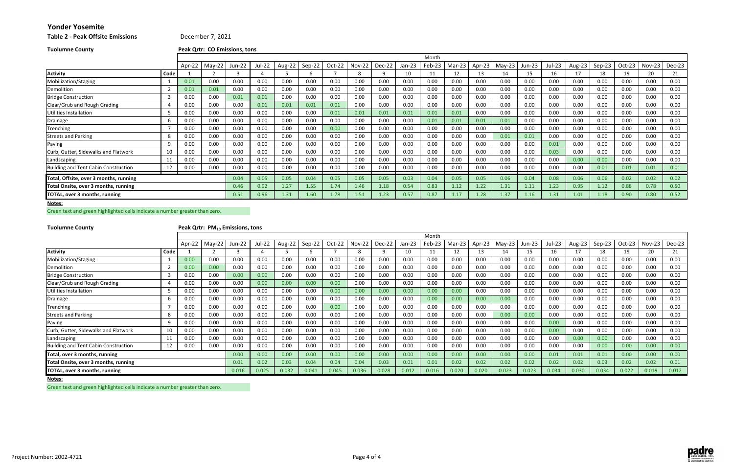| Table 2 - Peak Offsite Emissions |  |
|----------------------------------|--|
|----------------------------------|--|

**2 ‐ Peak Offsite Emissions** December 7, 2021

**Notes:**

Green text and green highlighted cells indicate <sup>a</sup> number greater than zero.

**Tuolumne**

## **County Peak Qrtr: PM10 Emissions, tons**

| <b>Tuolumne County</b>                      |      |        | Peak Qrtr: CO Emissions, tons |        |        |        |        |        |        |        |          |        |        |        |          |        |        |        |        |          |        |        |
|---------------------------------------------|------|--------|-------------------------------|--------|--------|--------|--------|--------|--------|--------|----------|--------|--------|--------|----------|--------|--------|--------|--------|----------|--------|--------|
|                                             |      |        |                               |        |        |        |        |        |        |        |          | Month  |        |        |          |        |        |        |        |          |        |        |
|                                             |      | Apr-22 | $May-22$                      | Jun-22 | Jul-22 | Aug-22 | Sep-22 | Oct-22 | Nov-22 | Dec-22 | $Jan-23$ | Feb-23 | Mar-23 | Apr-23 | $May-23$ | Jun-23 | Jul-23 | Aug-23 | Sep-23 | $Oct-23$ | Nov-23 | Dec-23 |
| <b>Activity</b>                             | Code |        |                               |        |        |        |        |        | 8      |        | 10       | 11     |        | 13     | 14       | 15     | 16     | 17     | 18     | 19       | 20     | 21     |
| Mobilization/Staging                        |      | 0.01   | 0.00                          | 0.00   | 0.00   | 0.00   | 0.00   | 0.00   | 0.00   | 0.00   | 0.00     | 0.00   | 0.00   | 0.00   | 0.00     | 0.00   | 0.00   | 0.00   | 0.00   | 0.00     | 0.00   | 0.00   |
| Demolition                                  |      | 0.01   | 0.01                          | 0.00   | 0.00   | 0.00   | 0.00   | 0.00   | 0.00   | 0.00   | 0.00     | 0.00   | 0.00   | 0.00   | 0.00     | 0.00   | 0.00   | 0.00   | 0.00   | 0.00     | 0.00   | 0.00   |
| <b>Bridge Construction</b>                  | 3    | 0.00   | 0.00                          | 0.01   | 0.01   | 0.00   | 0.00   | 0.00   | 0.00   | 0.00   | 0.00     | 0.00   | 0.00   | 0.00   | 0.00     | 0.00   | 0.00   | 0.00   | 0.00   | 0.00     | 0.00   | 0.00   |
| Clear/Grub and Rough Grading                |      | 0.00   | 0.00                          | 0.00   | 0.01   | 0.01   | 0.01   | 0.01   | 0.00   | 0.00   | 0.00     | 0.00   | 0.00   | 0.00   | 0.00     | 0.00   | 0.00   | 0.00   | 0.00   | 0.00     | 0.00   | 0.00   |
| Utilities Installation                      |      | 0.00   | 0.00                          | 0.00   | 0.00   | 0.00   | 0.00   | 0.01   | 0.01   | 0.01   | 0.01     | 0.01   | 0.01   | 0.00   | 0.00     | 0.00   | 0.00   | 0.00   | 0.00   | 0.00     | 0.00   | 0.00   |
| Drainage                                    |      | 0.00   | 0.00                          | 0.00   | 0.00   | 0.00   | 0.00   | 0.00   | 0.00   | 0.00   | 0.00     | 0.01   | 0.01   | 0.01   | 0.01     | 0.00   | 0.00   | 0.00   | 0.00   | 0.00     | 0.00   | 0.00   |
| Trenching                                   |      | 0.00   | 0.00                          | 0.00   | 0.00   | 0.00   | 0.00   | 0.00   | 0.00   | 0.00   | 0.00     | 0.00   | 0.00   | 0.00   | 0.00     | 0.00   | 0.00   | 0.00   | 0.00   | 0.00     | 0.00   | 0.00   |
| <b>Streets and Parking</b>                  | 8    | 0.00   | 0.00                          | 0.00   | 0.00   | 0.00   | 0.00   | 0.00   | 0.00   | 0.00   | 0.00     | 0.00   | 0.00   | 0.00   | 0.01     | 0.01   | 0.00   | 0.00   | 0.00   | 0.00     | 0.00   | 0.00   |
| Paving                                      | q    | 0.00   | 0.00                          | 0.00   | 0.00   | 0.00   | 0.00   | 0.00   | 0.00   | 0.00   | 0.00     | 0.00   | 0.00   | 0.00   | 0.00     | 0.00   | 0.01   | 0.00   | 0.00   | 0.00     | 0.00   | 0.00   |
| Curb, Gutter, Sidewalks and Flatwork        | 10   | 0.00   | 0.00                          | 0.00   | 0.00   | 0.00   | 0.00   | 0.00   | 0.00   | 0.00   | 0.00     | 0.00   | 0.00   | 0.00   | 0.00     | 0.00   | 0.03   | 0.00   | 0.00   | 0.00     | 0.00   | 0.00   |
| Landscaping                                 | 11   | 0.00   | 0.00                          | 0.00   | 0.00   | 0.00   | 0.00   | 0.00   | 0.00   | 0.00   | 0.00     | 0.00   | 0.00   | 0.00   | 0.00     | 0.00   | 0.00   | 0.00   | 0.00   | 0.00     | 0.00   | 0.00   |
| <b>Building and Tent Cabin Construction</b> | 12   | 0.00   | 0.00                          | 0.00   | 0.00   | 0.00   | 0.00   | 0.00   | 0.00   | 0.00   | 0.00     | 0.00   | 0.00   | 0.00   | 0.00     | 0.00   | 0.00   | 0.00   | 0.01   | 0.01     | 0.01   | 0.01   |
| Total, Offsite, over 3 months, running      |      |        |                               | 0.04   | 0.05   | 0.05   | 0.04   | 0.05   | 0.05   | 0.05   | 0.03     | 0.04   | 0.05   | 0.05   | 0.06     | 0.04   | 0.08   | 0.06   | 0.06   | 0.02     | 0.02   | 0.02   |
| Total Onsite, over 3 months, running        |      | 0.46   | 0.92                          | 1.27   | 1.55   | 1.74   | 1.46   | 1.18   | 0.54   | 0.83   | 1.12     | 1.22   | 1.31   | 1.11   | 1.23     | 0.95   | 1.12   | 0.88   | 0.78   | 0.50     |        |        |
| TOTAL, over 3 months, running               |      |        |                               | 0.51   | 0.96   | 1.31   | 1.60   | 1.78   | 1.51   | 1.23   | 0.57     | 0.87   | 1.17   | 1.28   | 1.37     | 1.16   | 1.31   | 1.01   | 1.18   | 0.90     | 0.80   | 0.52   |

|                                             |      |        |          |               |        |        |        |        |          |          |          | Month  |        |        |          |        |        |        |        |        |               |        |
|---------------------------------------------|------|--------|----------|---------------|--------|--------|--------|--------|----------|----------|----------|--------|--------|--------|----------|--------|--------|--------|--------|--------|---------------|--------|
|                                             |      | Apr-22 | $May-22$ | <b>Jun-22</b> | Jul-22 | Aug-22 | Sep-22 | Oct-22 | $Nov-22$ | $Dec-22$ | $Jan-23$ | Feb-23 | Mar-23 | Apr-23 | $May-23$ | Jun-23 | Jul-23 | Aug-23 | Sep-23 | Oct-23 | <b>Nov-23</b> | Dec-23 |
| <b>Activity</b>                             | Code |        |          |               |        |        |        |        |          |          | 10       |        | 12     | 13     | 14       | 15     | 16     | 17     | 18     | 19     | 20            | 21     |
| Mobilization/Staging                        |      | 0.00   | 0.00     | 0.00          | 0.00   | 0.00   | 0.00   | 0.00   | 0.00     | 0.00     | 0.00     | 0.00   | 0.00   | 0.00   | 0.00     | 0.00   | 0.00   | 0.00   | 0.00   | 0.00   | 0.00          | 0.00   |
| Demolition                                  |      | 0.00   | 0.00     | 0.00          | 0.00   | 0.00   | 0.00   | 0.00   | 0.00     | 0.00     | 0.00     | 0.00   | 0.00   | 0.00   | 0.00     | 0.00   | 0.00   | 0.00   | 0.00   | 0.00   | 0.00          | 0.00   |
| <b>Bridge Construction</b>                  |      | 0.00   | 0.00     | 0.00          | 0.00   | 0.00   | 0.00   | 0.00   | 0.00     | 0.00     | 0.00     | 0.00   | 0.00   | 0.00   | 0.00     | 0.00   | 0.00   | 0.00   | 0.00   | 0.00   | 0.00          | 0.00   |
| Clear/Grub and Rough Grading                |      | 0.00   | 0.00     | 0.00          | 0.00   | 0.00   | 0.00   | 0.00   | 0.00     | 0.00     | 0.00     | 0.00   | 0.00   | 0.00   | 0.00     | 0.00   | 0.00   | 0.00   | 0.00   | 0.00   | 0.00          | 0.00   |
| Utilities Installation                      |      | 0.00   | 0.00     | 0.00          | 0.00   | 0.00   | 0.00   | 0.00   | 0.00     | 0.00     | 0.00     | 0.00   | 0.00   | 0.00   | 0.00     | 0.00   | 0.00   | 0.00   | 0.00   | 0.00   | 0.00          | 0.00   |
| Drainage                                    |      | 0.00   | 0.00     | 0.00          | 0.00   | 0.00   | 0.00   | 0.00   | 0.00     | 0.00     | 0.00     | 0.00   | 0.00   | 0.00   | 0.00     | 0.00   | 0.00   | 0.00   | 0.00   | 0.00   | 0.00          | 0.00   |
| Trenching                                   |      | 0.00   | 0.00     | 0.00          | 0.00   | 0.00   | 0.00   | 0.00   | 0.00     | 0.00     | 0.00     | 0.00   | 0.00   | 0.00   | 0.00     | 0.00   | 0.00   | 0.00   | 0.00   | 0.00   | 0.00          | 0.00   |
| <b>Streets and Parking</b>                  |      | 0.00   | 0.00     | 0.00          | 0.00   | 0.00   | 0.00   | 0.00   | 0.00     | 0.00     | 0.00     | 0.00   | 0.00   | 0.00   | 0.00     | 0.00   | 0.00   | 0.00   | 0.00   | 0.00   | 0.00          | 0.00   |
| Paving                                      |      | 0.00   | 0.00     | 0.00          | 0.00   | 0.00   | 0.00   | 0.00   | 0.00     | 0.00     | 0.00     | 0.00   | 0.00   | 0.00   | 0.00     | 0.00   | 0.00   | 0.00   | 0.00   | 0.00   | 0.00          | 0.00   |
| Curb, Gutter, Sidewalks and Flatwork        | 10   | 0.00   | 0.00     | 0.00          | 0.00   | 0.00   | 0.00   | 0.00   | 0.00     | 0.00     | 0.00     | 0.00   | 0.00   | 0.00   | 0.00     | 0.00   | 0.00   | 0.00   | 0.00   | 0.00   | 0.00          | 0.00   |
| Landscaping                                 | 11   | 0.00   | 0.00     | 0.00          | 0.00   | 0.00   | 0.00   | 0.00   | 0.00     | 0.00     | 0.00     | 0.00   | 0.00   | 0.00   | 0.00     | 0.00   | 0.00   | 0.00   | 0.00   | 0.00   | 0.00          | 0.00   |
| <b>Building and Tent Cabin Construction</b> | 12   | 0.00   | 0.00     | 0.00          | 0.00   | 0.00   | 0.00   | 0.00   | 0.00     | 0.00     | 0.00     | 0.00   | 0.00   | 0.00   | 0.00     | 0.00   | 0.00   | 0.00   | 0.00   | 0.00   | 0.00          | 0.00   |
| Total, over 3 months, running               |      |        |          | 0.00          | 0.00   | 0.00   | 0.00   | 0.00   | 0.00     | 0.00     | 0.00     | 0.00   | 0.00   | 0.00   | 0.00     | 0.00   | 0.01   | 0.01   | 0.01   | 0.00   | 0.00          | 0.00   |
| Total Onsite, over 3 months, running        |      |        |          | 0.01          | 0.02   | 0.03   | 0.04   | 0.04   | 0.04     | 0.03     | 0.01     | 0.01   | 0.02   | 0.02   | 0.02     | 0.02   | 0.02   | 0.02   | 0.03   | 0.02   | 0.02          | 0.01   |
| TOTAL, over 3 months, running               |      |        |          | 0.016         | 0.025  | 0.032  | 0.041  | 0.045  | 0.036    | 0.028    | 0.012    | 0.016  | 0.020  | 0.020  | 0.023    | 0.023  | 0.034  | 0.030  | 0.034  | 0.022  | 0.019         | 0.012  |

**Notes:**

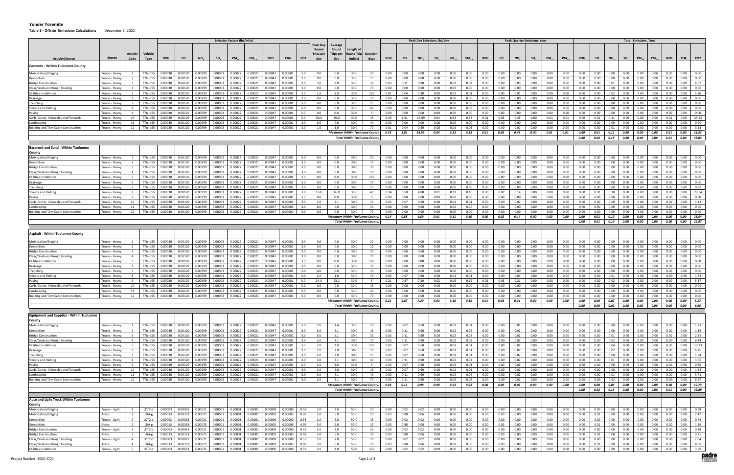**Table 3 ‐ Offsite Emissions Calculations** December 7, 2021

|                                                            |                                  |                                                    |                      |                             |                    |                    |                    | <b>Emission Factors (Ibs/mile)</b> |                    |                    |                    |                 |                           |                           |                               |                                                                         |              |              | Peak Day Emissions, Ibs/day |                 |              |                   |              |              | <b>Peak Quarter Emissions, tons</b> |                 |              |              |              |              |              |                                                                       | <b>Total Emissions, Tons</b> |              |              |              |                 |
|------------------------------------------------------------|----------------------------------|----------------------------------------------------|----------------------|-----------------------------|--------------------|--------------------|--------------------|------------------------------------|--------------------|--------------------|--------------------|-----------------|---------------------------|---------------------------|-------------------------------|-------------------------------------------------------------------------|--------------|--------------|-----------------------------|-----------------|--------------|-------------------|--------------|--------------|-------------------------------------|-----------------|--------------|--------------|--------------|--------------|--------------|-----------------------------------------------------------------------|------------------------------|--------------|--------------|--------------|-----------------|
|                                                            |                                  |                                                    |                      |                             |                    |                    |                    |                                    |                    |                    |                    |                 | Peak Dav                  | Average                   |                               |                                                                         |              |              |                             |                 |              |                   |              |              |                                     |                 |              |              |              |              |              |                                                                       |                              |              |              |              |                 |
|                                                            |                                  | Activity                                           | <b>Vehicle</b>       |                             |                    |                    |                    |                                    |                    |                    |                    |                 | Round<br><b>Trips per</b> | Round<br><b>Trips per</b> | .ength c<br>Round Trip        | Duration,                                                               |              |              |                             |                 |              |                   |              |              |                                     |                 |              |              |              |              |              |                                                                       |                              |              |              |              |                 |
| <b>Activity/Source</b>                                     | Source                           | Code                                               | Type                 | <b>ROG</b>                  | <b>CO</b>          | NO <sub>x</sub>    | SO <sub>2</sub>    | $PM_{10}$                          | PM <sub>2.5</sub>  | <b>N2O</b>         | CH4                | CO <sub>2</sub> | dav                       | dav                       | (miles)                       | days                                                                    | <b>ROG</b>   | co           | NO <sub>x</sub>             | SO <sub>2</sub> | $PM_{10}$    | PM <sub>2.5</sub> | <b>ROG</b>   | <b>CO</b>    | NO <sub>x</sub>                     | SO <sub>2</sub> | $PM_{10}$    | $PM_{2.5}$   | <b>ROG</b>   | co           | $NO_{x}$     | SO <sub>2</sub>                                                       | $PM_{10}$                    | $PM_{2.5}$   | <b>N2O</b>   | CH4          | CO <sub>2</sub> |
| Concrete - Within Tuolumne County                          |                                  |                                                    |                      |                             |                    |                    |                    |                                    |                    |                    |                    |                 |                           |                           |                               |                                                                         |              |              |                             |                 |              |                   |              |              |                                     |                 |              |              |              |              |              |                                                                       |                              |              |              |              |                 |
| Mobilization/Staging                                       | Trucks - Heavy                   |                                                    | T7tc-d55             | 0.00030                     | 0.00120            | 0.00999            | 0.00003            | 0.00022                            | 0.00021            | 0.00047            | 0.00001            | 3.0             | 0.0                       | 0.0                       | 30.0                          | 20                                                                      | 0.00         | 0.00         | 0.00                        | 0.00            | 0.00         | 0.00              | 0.00         | 0.00         | 0.00                                | 0.00            | 0.00         | 0.00         | 0.00         | 0.00         | 0.00         | 0.00                                                                  | 0.00                         | 0.00         | 0.00         | 0.00         | 0.00            |
| emolition                                                  | Trucks - Heavy                   | $\overline{2}$                                     | T7tc-d55             | 0.00030                     | 0.00120            | 0.00999            | 0.00003            | 0.00022                            | 0.00021            | 0.00047            | 0.00001            | 3.0             | 0.0                       | 0.0                       | 30.0                          | 15                                                                      | 0.00         | 0.00         | 0.00                        | 0.00            | 0.00         | 0.00              | 0.00         | 0.00         | 0.00                                | 0.00            | 0.00         | 0.00         | 0.00         | 0.00         | 0.00         | 0.00                                                                  | 0.00                         | 0.00         | 0.00         | 0.00         | 0.00            |
| Bridge Construction                                        | Trucks - Heavy                   |                                                    | T7tc-d55             | 0.00030                     | 0.00120            | 0.00999            | 0.00003            | 0.00022                            | 0.00021            | 0.00047            | 0.00001            | 3.0             | 3.0                       | 3.0                       | 30.0                          | 30                                                                      | 0.03         | 0.11         | 0.90                        | 0.00            | 0.02         | 0.02              | 0.00         | 0.00         | 0.03                                | 0.00            | 0.00         | 0.00         | 0.00         | 0.00         | 0.01         | 0.00                                                                  | 0.00                         | 0.00         | 0.00         | 0.00         | 4.02            |
| Clear/Grub and Rough Grading                               | Trucks - Heavy                   | $\overline{4}$                                     | T7tc-d55             | 0.00030                     | 0.00120            | 0.00999            | 0.00003            | 0.00022                            | 0.00021            | 0.00047            | 0.00001            | 3.0             | 0.0                       | 0.0                       | 30.0                          | 70                                                                      | 0.00         | 0.00         | 0.00                        | 0.00            | 0.00         | 0.00              | 0.00         | 0.00         | 0.00                                | 0.00            | 0.00         | 0.00         | 0.00         | 0.00         | 0.00         | 0.00                                                                  | 0.00                         | 0.00         | 0.00         | 0.00         | 0.00            |
| Utilities Installation                                     | Trucks - Heavy                   |                                                    | T7tc-d55             | 0.00030                     | 0.00120            | 0.00999            | 0.00003            | 0.00022                            | 0.00021            | 0.00047            | 0.00001            | 3.0             | 1.0                       | 1.0                       | 30.0                          | 120                                                                     | 0.01         | 0.04         | 0.30                        | 0.00            | 0.01         | 0.01              | 0.00         | 0.00         | 0.01                                | 0.00            | 0.00         | 0.00         | 0.00         | 0.00         | 0.02         | 0.00                                                                  | 0.00                         | 0.00         | 0.00         | 0.00         | 5.36            |
| Drainage<br>renching                                       | Trucks - Heavy<br>Trucks - Heavy |                                                    | T7tc-d55<br>T7tc-d55 | 0.00030<br>0.00030          | 0.00120<br>0.00120 | 0.00999<br>0.00999 | 0.00003<br>0.00003 | 0.00022<br>0.00022                 | 0.00021<br>0.00021 | 0.00047<br>0.00047 | 0.00001<br>0.00001 | 3.0<br>3.0      | 0.0<br>0.0                | 0.0<br>0.0                | 30.0<br>30.0                  | 70<br>15                                                                | 0.00<br>0.00 | 0.00<br>0.00 | 0.00<br>0.00                | 0.00<br>0.00    | 0.00<br>0.00 | 0.00<br>0.00      | 0.00<br>0.00 | 0.00<br>0.00 | 0.00<br>0.00                        | 0.00<br>0.00    | 0.00<br>0.00 | 0.00<br>0.00 | 0.00<br>0.00 | 0.00<br>0.00 | 0.00<br>0.00 | 0.00<br>0.00                                                          | 0.00<br>0.00                 | 0.00<br>0.00 | 0.00<br>0.00 | 0.00<br>0.00 | 0.00<br>0.00    |
| treets and Parking                                         | Trucks - Heavy                   | 8                                                  | T7tc-d55             | 0.00030                     | 0.00120            | 0.00999            | 0.00003            | 0.00022                            | 0.00021            | 0.00047            | 0.00001            | 3.0             | 0.0                       | 0.0                       | 30.0                          | 40                                                                      | 0.00         | 0.00         | 0.00                        | 0.00            | 0.00         | 0.00              | 0.00         | 0.00         | 0.00                                | 0.00            | 0.00         | 0.00         | 0.00         | 0.00         | 0.00         | 0.00                                                                  | 0.00                         | 0.00         | 0.00         | 0.00         | 0.00            |
| aving                                                      | Trucks - Heavy                   |                                                    | T7tc-d55             | 0.00030                     | 0.00120            | 0.00999            | 0.00003            | 0.00022                            | 0.00021            | 0.00047            | 0.00001            | 3.0             | 0.0                       | 0.0                       | 30.0                          |                                                                         | 0.00         | 0.00         | 0.00                        | 0.00            | 0.00         | 0.00              | 0.00         | 0.00         | 0.00                                | 0.00            | 0.00         | 0.00         | 0.00         | 0.00         | 0.00         | 0.00                                                                  | 0.00                         | 0.00         | 0.00         | 0.00         | 0.00            |
| Curb, Gutter, Sidewalks and Flatwork                       | Trucks - Heavy                   | 10                                                 | T7tc-d55             | 0.00030                     | 0.00120            | 0.00999            | 0.00003            | 0.00022                            | 0.00021            | 0.00047            | 0.00001            | 3.0             | 50.0                      | 50.0                      | 30.0                          | 15                                                                      | 0.45         | 1.81         | 14.99                       | 0.04            | 0.33         | 0.32              | 0.01         | 0.05         | 0.45                                | 0.00            | 0.01         | 0.01         | 0.00         | 0.01         | 0.11         | 0.00                                                                  | 0.00                         | 0.00         | 0.01         | 0.00         | 33.52           |
| Landscaping<br>Building and Tent Cabin Constructior        | Trucks - Heavy<br>Trucks - Heavy | -11<br>12                                          | T7tc-d55<br>T7tc-d55 | 0.00030<br>0.00030          | 0.00120<br>0.00120 | 0.00999<br>0.00999 | 0.00003<br>0.00003 | 0.00022<br>0.00022                 | 0.00021<br>0.00021 | 0.00047<br>0.00047 | 0.00001<br>0.00001 | 3.0<br>3.0      | 0.0<br>1.0                | 0.0<br>1.0                | 30.0<br>30.0                  | 40<br>70                                                                | 0.00<br>0.01 | 0.00<br>0.04 | 0.00<br>0.30                | 0.00<br>0.00    | 0.00<br>0.01 | 0.00<br>0.01      | 0.00<br>0.00 | 0.00<br>0.00 | 0.00<br>0.01                        | 0.00<br>0.00    | 0.00<br>0.00 | 0.00<br>0.00 | 0.00<br>0.00 | 0.00<br>0.00 | 0.00<br>0.01 | 0.00<br>0.00                                                          | 0.00<br>0.00                 | 0.00<br>0.00 | 0.00<br>0.00 | 0.00<br>0.00 | 0.00<br>3.13    |
|                                                            |                                  |                                                    |                      |                             |                    |                    |                    |                                    |                    |                    |                    |                 |                           |                           |                               | <b>Maximum Within Tuolumne County</b>                                   | 0.45         | 1.81         | 14.99                       | 0.04            | 0.33         | 0.32              | 0.01         | 0.05         | 0.45                                | 0.00            | 0.01         | 0.01         | 0.00         | 0.01         | 0.11         | 0.00                                                                  | 0.00                         | 0.00         | 0.01         | 0.00         | 33.52           |
|                                                            |                                  |                                                    |                      |                             |                    |                    |                    |                                    |                    |                    |                    |                 |                           |                           |                               | <b>Total Within Tuolumne County</b>                                     |              |              |                             |                 |              |                   |              |              |                                     |                 |              |              | 0.00         | 0.02         | 0.15         | 0.00                                                                  | 0.00                         | 0.00         | 0.01         | 0.00         | 46.03           |
|                                                            |                                  |                                                    |                      |                             |                    |                    |                    |                                    |                    |                    |                    |                 |                           |                           |                               |                                                                         |              |              |                             |                 |              |                   |              |              |                                     |                 |              |              |              |              |              |                                                                       |                              |              |              |              |                 |
| <b>Baserock and Sand - Within Tuolumne</b>                 |                                  |                                                    |                      |                             |                    |                    |                    |                                    |                    |                    |                    |                 |                           |                           |                               |                                                                         |              |              |                             |                 |              |                   |              |              |                                     |                 |              |              |              |              |              |                                                                       |                              |              |              |              |                 |
| County                                                     |                                  |                                                    |                      |                             |                    |                    |                    |                                    |                    |                    |                    |                 |                           |                           |                               |                                                                         |              |              |                             |                 |              |                   |              |              |                                     |                 |              |              |              |              |              |                                                                       |                              |              |              |              |                 |
| Mobilization/Staging<br>Demolition                         | Trucks - Heavy<br>Trucks - Heavy | $\overline{2}$                                     | T7tc-d55<br>T7tc-d55 | 0.00030<br>0.00030          | 0.00120<br>0.00120 | 0.00999<br>0.00999 | 0.00003<br>0.00003 | 0.00022<br>0.00022                 | 0.00021<br>0.00021 | 0.00047<br>0.00047 | 0.00001<br>0.00001 | 3.0<br>3.0      | 0.0<br>0.0                | 0.0<br>0.0                | 30.0<br>30.0                  | 20<br>15                                                                | 0.00<br>0.00 | 0.00<br>0.00 | 0.00<br>0.00                | 0.00<br>0.00    | 0.00<br>0.00 | 0.00<br>0.00      | 0.00<br>0.00 | 0.00<br>0.00 | 0.00<br>0.00                        | 0.00<br>0.00    | 0.00<br>0.00 | 0.00<br>0.00 | 0.00<br>0.00 | 0.00<br>0.00 | 0.00<br>0.00 | 0.00<br>0.00                                                          | 0.00<br>0.00                 | 0.00<br>0.00 | 0.00<br>0.00 | 0.00<br>0.00 | 0.00<br>0.00    |
| <b>Bridge Construction</b>                                 | Trucks - Heavy                   | $\overline{\mathbf{3}}$                            | T7tc-d55             | 0.00030                     | 0.00120            | 0.00999            | 0.00003            | 0.00022                            | 0.00021            | 0.00047            | 0.00001            | 3.0             | 0.0                       | 0.0                       | 30.0                          | 30                                                                      | 0.00         | 0.00         | 0.00                        | 0.00            | 0.00         | 0.00              | 0.00         | 0.00         | 0.00                                | 0.00            | 0.00         | 0.00         | 0.00         | 0.00         | 0.00         | 0.00                                                                  | 0.00                         | 0.00         | 0.00         | 0.00         | 0.00            |
| lear/Grub and Rough Grading:                               | Trucks - Heavy                   | $\overline{4}$                                     | T7tc-d55             | 0.00030                     | 0.00120            | 0.00999            | 0.00003            | 0.00022                            | 0.00021            | 0.00047            | 0.00001            | 3.0             | 0.0                       | 0.0                       | 30.0                          | 70                                                                      | 0.00         | 0.00         | 0.00                        | 0.00            | 0.00         | 0.00              | 0.00         | 0.00         | 0.00                                | 0.00            | 0.00         | 0.00         | 0.00         | 0.00         | 0.00         | 0.00                                                                  | 0.00                         | 0.00         | 0.00         | 0.00         | 0.00            |
| Utilities Installation                                     | Trucks - Heavy                   |                                                    | T7tc-d55             | 0.00030                     | 0.00120            | 0.00999            | 0.00003            | 0.00022                            | 0.00021            | 0.00047            | 0.00001            | 3.0             | 0.0                       | 0.0                       | 30.0                          | 120                                                                     | 0.00         | 0.00         | 0.00                        | 0.00            | 0.00         | 0.00              | 0.00         | 0.00         | 0.00                                | 0.00            | 0.00         | 0.00         | 0.00         | 0.00         | 0.00         | 0.00                                                                  | 0.00                         | 0.00         | 0.00         | 0.00         | 0.00            |
| Drainage                                                   | Trucks - Heavy                   | - 6                                                | T7tc-d55             | 0.00030                     | 0.00120            | 0.00999            | 0.00003            | 0.00022                            | 0.00021            | 0.00047            | 0.00001            | 3.0             | 0.0                       | 0.0                       | 30.0                          | 70                                                                      | 0.00         | 0.00         | 0.00                        | 0.00            | 0.00         | 0.00              | 0.00         | 0.00         | 0.00                                | 0.00            | 0.00         | 0.00         | 0.00         | 0.00         | 0.00         | 0.00                                                                  | 0.00                         | 0.00         | 0.00         | 0.00         | 0.00            |
| renching<br>treets and Parking                             | Trucks - Heavy<br>Trucks - Heavy | - 8                                                | T7tc-d55<br>T7tc-d55 | 0.00030<br>0.00030          | 0.00120<br>0.00120 | 0.00999<br>0.00999 | 0.00003<br>0.00003 | 0.00022<br>0.00022                 | 0.00021<br>0.00021 | 0.00047<br>0.00047 | 0.00001<br>0.00001 | 3.0<br>3.0      | 0.0<br>16.0               | 0.0<br>16.0               | 30.0<br>30.0                  | 15<br>40                                                                | 0.00<br>0.14 | 0.00<br>0.58 | 0.00<br>4.80                | 0.00<br>0.01    | 0.00<br>0.11 | 0.00<br>0.10      | 0.00<br>0.00 | 0.00<br>0.02 | 0.00<br>0.14                        | 0.00<br>0.00    | 0.00<br>0.00 | 0.00<br>0.00 | 0.00<br>0.00 | 0.00<br>0.01 | 0.00<br>0.10 | 0.00<br>0.00                                                          | 0.00<br>0.00                 | 0.00<br>0.00 | 0.00<br>0.00 | 0.00<br>0.00 | 0.00<br>28.54   |
| aving                                                      | Trucks - Heavy                   | 9                                                  | T7tc-d55             | 0.00030                     | 0.00120            | 0.00999            | 0.00003            | 0.00022                            | 0.00021            | 0.00047            | 0.00001            | 3.0             | 0.0                       | 0.0                       | 30.0                          | - 5                                                                     | 0.00         | 0.00         | 0.00                        | 0.00            | 0.00         | 0.00              | 0.00         | 0.00         | 0.00                                | 0.00            | 0.00         | 0.00         | 0.00         | 0.00         | 0.00         | 0.00                                                                  | 0.00                         | 0.00         | 0.00         | 0.00         | 0.00            |
| Curb, Gutter, Sidewalks and Flatwork                       | Trucks - Heavy                   | 10                                                 | T7tc-d55             | 0.00030                     | 0.00120            | 0.00999            | 0.00003            | 0.00022                            | 0.00021            | 0.00047            | 0.00001            | 3.0             | 2.0                       | 2.1                       | 30.0                          | 15                                                                      | 0.02         | 0.07         | 0.60                        | 0.00            | 0.01         | 0.01              | 0.00         | 0.00         | 0.02                                | 0.00            | 0.00         | 0.00         | 0.00         | 0.00         | 0.00         | 0.00                                                                  | 0.00                         | 0.00         | 0.00         | 0.00         | 1.42            |
| Landscaping                                                | Trucks - Heavy                   | 11                                                 | T7tc-d55             | 0.00030                     | 0.00120            | 0.00999            | 0.00003            | 0.00022                            | 0.00021            | 0.00047            | 0.00001            | 3.0             | 0.0                       | 0.0                       | 30.0                          | 40                                                                      | 0.00         | 0.00         | 0.00                        | 0.00            | 0.00         | 0.00              | 0.00         | 0.00         | 0.00                                | 0.00            | 0.00         | 0.00         | 0.00         | 0.00         | 0.00         | 0.00                                                                  | 0.00                         | 0.00         | 0.00         | 0.00         | 0.00            |
| <b>Building and Tent Cabin Construction</b>                | Trucks - Heavy                   | 12                                                 | T7tc-d55             | 0.00030                     | 0.00120            | 0.00999            | 0.00003            | 0.00022                            | 0.00021            | 0.00047            | 0.00001            | 3.0             | 0.0                       | 0.0                       | 30.0                          | 70                                                                      | 0.00         | 0.00         | 0.00                        | 0.00            | 0.00         | 0.00              | 0.00         | 0.00         | 0.00                                | 0.00            | 0.00         | 0.00         | 0.00         | 0.00         | 0.00         | 0.00                                                                  | 0.00                         | 0.00         | 0.00         | 0.00         | 0.00            |
|                                                            |                                  |                                                    |                      |                             |                    |                    |                    |                                    |                    |                    |                    |                 |                           |                           |                               | Maximum Within Tuolumne County:<br><b>Total Within Tuolumne County:</b> | 0.14         | 0.58         | 4.80                        | 0.01            | 0.11         | 0.10              | 0.00         | 0.02         | 0.14                                | 0.00            | 0.00         | 0.00         | 0.00<br>0.00 | 0.01<br>0.01 | 0.10<br>0.10 | 0.00<br>0.00                                                          | 0.00<br>0.00                 | 0.00<br>0.00 | 0.00<br>0.00 | 0.00<br>0.00 | 28.54<br>29.97  |
|                                                            |                                  |                                                    |                      |                             |                    |                    |                    |                                    |                    |                    |                    |                 |                           |                           |                               |                                                                         |              |              |                             |                 |              |                   |              |              |                                     |                 |              |              |              |              |              |                                                                       |                              |              |              |              |                 |
| <b>Asphalt - Within Tuolumne County</b>                    |                                  |                                                    |                      |                             |                    |                    |                    |                                    |                    |                    |                    |                 |                           |                           |                               |                                                                         |              |              |                             |                 |              |                   |              |              |                                     |                 |              |              |              |              |              |                                                                       |                              |              |              |              |                 |
|                                                            |                                  |                                                    |                      |                             |                    |                    |                    |                                    |                    |                    |                    |                 |                           |                           |                               |                                                                         |              |              |                             |                 |              |                   |              |              |                                     |                 |              |              |              |              |              |                                                                       |                              |              |              |              |                 |
| Mobilization/Staging<br>Demolition                         | Trucks - Heavy<br>Trucks - Heavy | $\overline{2}$                                     | T7tc-d55<br>T7tc-d55 | 0.00030<br>0.00030          | 0.00120<br>0.00120 | 0.00999<br>0.00999 | 0.00003<br>0.00003 | 0.00022<br>0.00022                 | 0.00021<br>0.00021 | 0.00047<br>0.00047 | 0.00001<br>0.00001 | 3.0<br>3.0      | 0.0<br>0.0                | 0.0<br>0.0                | 30.0<br>30.0                  | 20<br>15                                                                | 0.00<br>0.00 | 0.00<br>0.00 | 0.00<br>0.00                | 0.00<br>0.00    | 0.00<br>0.00 | 0.00<br>0.00      | 0.00<br>0.00 | 0.00<br>0.00 | 0.00<br>0.00                        | 0.00<br>0.00    | 0.00<br>0.00 | 0.00<br>0.00 | 0.00<br>0.00 | 0.00<br>0.00 | 0.00<br>0.00 | 0.00<br>0.00                                                          | 0.00<br>0.00                 | 0.00<br>0.00 | 0.00<br>0.00 | 0.00<br>0.00 | 0.00<br>0.00    |
| Bridge Construction                                        | Trucks - Heavy                   |                                                    | T7tc-d55             | 0.00030                     | 0.00120            | 0.00999            | 0.00003            | 0.00022                            | 0.00021            | 0.00047            | 0.00001            | 3.0             | 0.0                       | 0.0                       | 30.0                          | 30                                                                      | 0.00         | 0.00         | 0.00                        | 0.00            | 0.00         | 0.00              | 0.00         | 0.00         | 0.00                                | 0.00            | 0.00         | 0.00         | 0.00         | 0.00         | 0.00         | 0.00                                                                  | 0.00                         | 0.00         | 0.00         | 0.00         | 0.00            |
| Clear/Grub and Rough Grading                               | Trucks - Heavy                   | $\overline{4}$                                     | T7tc-d55             | 0.00030                     | 0.00120            | 0.00999            | 0.00003            | 0.00022                            | 0.00021            | 0.00047            | 0.00001            | 3.0             | 0.0                       | 0.0                       | 30.0                          | 70                                                                      | 0.00         | 0.00         | 0.00                        | 0.00            | 0.00         | 0.00              | 0.00         | 0.00         | 0.00                                | 0.00            | 0.00         | 0.00         | 0.00         | 0.00         | 0.00         | 0.00                                                                  | 0.00                         | 0.00         | 0.00         | 0.00         | 0.00            |
| Utilities Installation                                     | Trucks - Heavy                   |                                                    | T7tc-d55             | 0.00030                     | 0.00120            | 0.00999            | 0.00003            | 0.00022                            | 0.00021            | 0.00047            | 0.00001            | 3.0             | 0.0                       | 0.0                       | 30.0                          | 120                                                                     | 0.00         | 0.00         | 0.00                        | 0.00            | 0.00         | 0.00              | 0.00         | 0.00         | 0.00                                | 0.00            | 0.00         | 0.00         | 0.00         | 0.00         | 0.00         | 0.00                                                                  | 0.00                         | 0.00         | 0.00         | 0.00         | 0.00            |
| Drainage                                                   | Trucks - Heavy<br>Trucks - Heavy | - 6                                                | T7tc-d55<br>T7tc-d55 | 0.00030<br>0.00030          | 0.00120<br>0.00120 | 0.00999<br>0.00999 | 0.00003<br>0.00003 | 0.00022<br>0.00022                 | 0.00021<br>0.00021 | 0.00047<br>0.00047 | 0.00001<br>0.00001 | 3.0<br>3.0      | 0.0<br>0.0                | 0.0<br>0.0                | 30.0<br>30.0                  | 70<br>15                                                                | 0.00<br>0.00 | 0.00<br>0.00 | 0.00<br>0.00                | 0.00<br>0.00    | 0.00<br>0.00 | 0.00<br>0.00      | 0.00<br>0.00 | 0.00<br>0.00 | 0.00<br>0.00                        | 0.00<br>0.00    | 0.00<br>0.00 | 0.00<br>0.00 | 0.00<br>0.00 | 0.00<br>0.00 | 0.00<br>0.00 | 0.00<br>0.00                                                          | 0.00<br>0.00                 | 0.00<br>0.00 | 0.00<br>0.00 | 0.00<br>0.00 | 0.00<br>0.00    |
| renching<br>treets and Parking                             | Trucks - Heavy                   | - 8                                                | T7tc-d55             | 0.00030                     | 0.00120            | 0.00999            | 0.00003            | 0.00022                            | 0.00021            | 0.00047            | 0.00001            | 3.0             | 2.0                       | 1.0                       | 30.0                          | 40                                                                      | 0.02         | 0.07         | 0.60                        | 0.00            | 0.01         | 0.01              | 0.00         | 0.00         | 0.01                                | 0.00            | 0.00         | 0.00         | 0.00         | 0.00         | 0.01         | 0.00                                                                  | 0.00                         | 0.00         | 0.00         | 0.00         | 1.82            |
| 'avıng                                                     | Trucks - Heavy                   | - 9                                                | T7tc-d55             | 0.00030                     | 0.00120            | 0.00999            | 0.00003            | 0.00022                            | 0.00021            | 0.00047            | 0.00001            | 3.0             | 24.0                      | 23.1                      | 30.0                          | - 5                                                                     | 0.21         | 0.87         | 7.20                        | 0.02            | 0.16         | 0.15              | 0.01         | 0.03         | 0.21                                | 0.00            | 0.00         | 0.00         | 0.00         | 0.00         | 0.02         | 0.00                                                                  | 0.00                         | 0.00         | 0.00         | 0.00         | 5.17            |
| Curb, Gutter, Sidewalks and Flatworl                       | Trucks - Heavy                   | 10                                                 | T7tc-d55             | 0.00030                     | 0.00120            | 0.00999            | 0.00003            | 0.00022                            | 0.00021            | 0.00047            | 0.00001            | 3.0             | 0.0                       | 0.0                       | 30.0                          | 15                                                                      | 0.00         | 0.00         | 0.00                        | 0.00            | 0.00         | 0.00              | 0.00         | 0.00         | 0.00                                | 0.00            | 0.00         | 0.00         | 0.00         | 0.00         | 0.00         | 0.00                                                                  | 0.00                         | 0.00         | 0.00         | 0.00         | 0.00            |
| Landscaping                                                | Trucks - Heavy                   | -11                                                | T7tc-d55             | 0.00030                     | 0.00120            | 0.00999            | 0.00003            | 0.00022                            | 0.00021            | 0.00047            | 0.00001            | 3.0             | 0.0                       | 0.0                       | 30.0                          | 40                                                                      | 0.00         | 0.00         | 0.00                        | 0.00            | 0.00         | 0.00              | 0.00         | 0.00         | 0.00                                | 0.00            | 0.00         | 0.00         | 0.00         | 0.00         | 0.00         | 0.00                                                                  | 0.00                         | 0.00         | 0.00         | 0.00         | 0.00            |
| <b>Building and Tent Cabin Construction</b>                | Trucks - Heavy                   | 12                                                 | T7tc-d55             | 0.00030                     | 0.00120            | 0.00999            | 0.00003            | 0.00022                            | 0.00021            | 0.00047            | 0.00001            | 3.0             | 0.0                       | 0.0                       | 30.0                          | 70<br><b>Maximum Within Tuolumne County:</b>                            | 0.00<br>0.21 | 0.00<br>0.87 | 0.00<br>7.20                | 0.00<br>0.02    | 0.00<br>0.16 | 0.00<br>0.15      | 0.00<br>0.01 | 0.00<br>0.03 | 0.00<br>0.21                        | 0.00<br>0.00    | 0.00<br>0.00 | 0.00<br>0.00 | 0.00<br>0.00 | 0.00<br>0.00 | 0.00<br>0.02 | 0.00<br>0.00                                                          | 0.00<br>0.00                 | 0.00<br>0.00 | 0.00<br>0.00 | 0.00<br>0.00 | 0.00<br>5.17    |
|                                                            |                                  |                                                    |                      |                             |                    |                    |                    |                                    |                    |                    |                    |                 |                           |                           | Total Within TuoIumne County. |                                                                         |              |              |                             |                 |              |                   |              |              |                                     |                 |              |              |              |              |              | $0.00$ $0.00$ $0.02$ $0.00$ $0.00$ $0.00$ $0.00$ $0.00$ $0.00$ $6.98$ |                              |              |              |              |                 |
|                                                            |                                  |                                                    |                      |                             |                    |                    |                    |                                    |                    |                    |                    |                 |                           |                           |                               |                                                                         |              |              |                             |                 |              |                   |              |              |                                     |                 |              |              |              |              |              |                                                                       |                              |              |              |              |                 |
| <b>Equipment and Supplies - Within Tuolumne</b><br>County  |                                  |                                                    |                      |                             |                    |                    |                    |                                    |                    |                    |                    |                 |                           |                           |                               |                                                                         |              |              |                             |                 |              |                   |              |              |                                     |                 |              |              |              |              |              |                                                                       |                              |              |              |              |                 |
| Mobilization/Staging                                       | Trucks - Heavy                   | 1                                                  | T7tc-d55             | 0.00030                     | 0.00120            | 0.00999            | 0.00003            | 0.00022                            | 0.00021            | 0.00047            | 0.00001            | 3.0             | 2.0                       | 1.4                       | 30.0                          | 20                                                                      | 0.02         | 0.07         | 0.60                        | 0.00            | 0.01         | 0.01              | 0.00         | 0.00         | 0.01                                | 0.00            | 0.00         | 0.00         | 0.00         | 0.00         | 0.00         | 0.00                                                                  | 0.00                         | 0.00         | 0.00         | 0.00         | 1.21            |
| emolition                                                  | Trucks - Heavy                   | $\overline{2}$                                     | T7tc-d55             | 0.00030                     | 0.00120            | 0.00999            | 0.00003            | 0.00022                            | 0.00021            | 0.00047            | 0.00001            | 3.0             | 3.0                       | 2.1                       | 30.0                          | 15                                                                      | 0.03         | 0.11         | 0.90                        | 0.00            | 0.02         | 0.02              | 0.00         | 0.00         | 0.02                                | 0.00            | 0.00         | 0.00         | 0.00         | 0.00         | 0.00         | 0.00                                                                  | 0.00                         | 0.00         | 0.00         | 0.00         | 1.39            |
| Bridge Construction                                        | Trucks - Heavy                   |                                                    | T7tc-d55             | 0.00030                     | 0.00120            | 0.00999            | 0.00003            | 0.00022                            | 0.00021            | 0.00047            | 0.00001            | 3.0             | 3.0                       | 2.1                       | 30.0                          | 30                                                                      | 0.03         | 0.11         | 0.90                        | 0.00            | 0.02         | 0.02              | 0.00         | 0.00         | 0.02                                | 0.00            | 0.00         | 0.00         | 0.00         | 0.00         | 0.01         | 0.00                                                                  | 0.00                         | 0.00         | 0.00         | 0.00         | 2.82            |
| Clear/Grub and Rough Grading                               | Trucks - Heavy<br>Trucks - Heavy | $\overline{4}$<br>- 5                              | T7tc-d55             | 0.00030                     | 0.00120            | 0.00999            | 0.00003            | 0.00022                            | 0.00021            | 0.00047<br>0.00047 | 0.00001            | 3.0             | 3.0                       | 2.1                       | 30.0                          | 70                                                                      | 0.03         | 0.11         | 0.90                        | 0.00            | 0.02         | 0.02              | 0.00         | 0.00         | 0.02                                | 0.00            | 0.00         | 0.00         | 0.00         | 0.00         | 0.02         | 0.00                                                                  | 0.00                         | 0.00         | 0.00         | 0.00         | 6.44<br>10.73   |
| Utilities Installatior<br>Drainage                         | Trucks - Heavy                   | 6                                                  | T7tc-d55<br>T7tc-d55 | 0.00030<br>0.00030          | 0.00120<br>0.00120 | 0.00999<br>0.00999 | 0.00003<br>0.00003 | 0.00022<br>0.00022                 | 0.00021<br>0.00021 | 0.00047            | 0.00001<br>0.00001 | 3.0<br>3.0      | 2.0<br>2.0                | 2.0<br>2.0                | 30.0<br>30.0                  | 120<br>70                                                               | 0.02<br>0.02 | 0.07<br>0.07 | 0.60<br>0.60                | 0.00<br>0.00    | 0.01<br>0.01 | 0.01<br>0.01      | 0.00<br>0.00 | 0.00<br>0.00 | 0.02<br>0.02                        | 0.00<br>0.00    | 0.00<br>0.00 | 0.00<br>0.00 | 0.00<br>0.00 | 0.00<br>0.00 | 0.04<br>0.02 | 0.00<br>0.00                                                          | 0.00<br>0.00                 | 0.00<br>0.00 | 0.00<br>0.00 | 0.00<br>0.00 | 6.26            |
| enching                                                    | Trucks - Heavy                   | $\overline{7}$                                     | T7tc-d55             | 0.00030                     | 0.00120            | 0.00999            | 0.00003            | 0.00022                            | 0.00021            | 0.00047            | 0.00001            | 3.0             | 2.0                       | 2.0                       | 30.0                          | 15                                                                      | 0.02         | 0.07         | 0.60                        | 0.00            | 0.01         | 0.01              | 0.00         | 0.00         | 0.02                                | 0.00            | 0.00         | 0.00         | 0.00         | 0.00         | 0.00         | 0.00                                                                  | 0.00                         | 0.00         | 0.00         | 0.00         | 1.34            |
| treets and Parking                                         | Trucks - Heavy                   | 8                                                  | T7tc-d55             | 0.00030                     | 0.00120            | 0.00999            | 0.00003            | 0.00022                            | 0.00021            | 0.00047            | 0.00001            | 3.0             | 3.0                       | 2.1                       | 30.0                          | 40                                                                      | 0.03         | 0.11         | 0.90                        | 0.00            | 0.02         | 0.02              | 0.00         | 0.00         | 0.02                                | 0.00            | 0.00         | 0.00         | 0.00         | 0.00         | 0.01         | 0.00                                                                  | 0.00                         | 0.00         | 0.00         | 0.00         | 3.66            |
| Paving                                                     | Trucks - Heavy                   | -9                                                 | T7tc-d55             | 0.00030                     | 0.00120            | 0.00999            | 0.00003            | 0.00022                            | 0.00021            | 0.00047            | 0.00001            | 3.0             | 2.0                       | 2.0                       | 30.0                          |                                                                         | 0.02         | 0.07         | 0.60                        | 0.00            | 0.01         | 0.01              | 0.00         | 0.00         | 0.02                                | 0.00            | 0.00         | 0.00         | 0.00         | 0.00         | 0.00         | 0.00                                                                  | 0.00                         | 0.00         | 0.00         | 0.00         | 0.45            |
| Curb, Gutter, Sidewalks and Flatwork                       | Trucks - Heavy                   | 10                                                 | T7tc-d55             | 0.00030                     | 0.00120            | 0.00999            | 0.00003<br>0.00003 | 0.00022                            | 0.00021            | 0.00047<br>0.00047 | 0.00001<br>0.00001 | 3.0             | 2.0                       | 2.0                       | 30.0                          | 15<br>40                                                                | 0.02         | 0.07         | 0.60                        | 0.00            | 0.01         | 0.01              | 0.00         | 0.00         | 0.02                                | 0.00            | 0.00         | 0.00         | 0.00         | 0.00         | 0.00         | 0.00                                                                  | 0.00                         | 0.00         | 0.00         | 0.00         | 1.34            |
| Landscaping<br><b>Building and Tent Cabin Construction</b> | Trucks - Heavy<br>Trucks - Heavy | -11<br>12                                          | T7tc-d55             | 0.00030<br>T7tc-d55 0.00030 | 0.00120<br>0.00120 | 0.00999<br>0.00999 | 0.00003            | 0.00022<br>0.00022                 | 0.00021<br>0.00021 | 0.00047            | 0.00001            | 3.0<br>3.0      | 3.0<br>3.0                | 2.1<br>2.1                | 30.0<br>30.0                  | 70                                                                      | 0.03<br>0.03 | 0.11<br>0.11 | 0.90<br>0.90                | 0.00<br>0.00    | 0.02<br>0.02 | 0.02<br>0.02      | 0.00<br>0.00 | 0.00<br>0.00 | 0.02<br>0.02                        | 0.00<br>0.00    | 0.00<br>0.00 | 0.00<br>0.00 | 0.00<br>0.00 | 0.00<br>0.00 | 0.01<br>0.02 | 0.00<br>0.00                                                          | 0.00<br>0.00                 | 0.00<br>0.00 | 0.00<br>0.00 | 0.00<br>0.00 | 3.71<br>6.57    |
|                                                            |                                  |                                                    |                      |                             |                    |                    |                    |                                    |                    |                    |                    |                 |                           |                           |                               | <b>Maximum Within Tuolumne County:</b>                                  | 0.03         | 0.11         | 0.90                        | 0.00            | 0.02         | 0.02              | 0.00         | 0.00         | 0.02                                | 0.00            | 0.00         | 0.00         | 0.00         | 0.00         | 0.04         | 0.00                                                                  | 0.00                         | 0.00         | 0.00         | 0.00         | 10.73           |
|                                                            |                                  |                                                    |                      |                             |                    |                    |                    |                                    |                    |                    |                    |                 |                           |                           |                               | <b>Total Within Tuolumne County:</b>                                    |              |              |                             |                 |              |                   |              |              |                                     |                 |              |              | 0.00         | 0.02         | 0.15         | 0.00                                                                  | 0.00                         | 0.00         | 0.01         | 0.00         | 45.89           |
|                                                            |                                  |                                                    |                      |                             |                    |                    |                    |                                    |                    |                    |                    |                 |                           |                           |                               |                                                                         |              |              |                             |                 |              |                   |              |              |                                     |                 |              |              |              |              |              |                                                                       |                              |              |              |              |                 |
| Auto and Light Truck Within Tuolumne<br>County             |                                  |                                                    |                      |                             |                    |                    |                    |                                    |                    |                    |                    |                 |                           |                           |                               |                                                                         |              |              |                             |                 |              |                   |              |              |                                     |                 |              |              |              |              |              |                                                                       |                              |              |              |              |                 |
| Mobilization/Staging                                       | Trucks - Light                   | 1                                                  | LDT2-d               | 0.00003                     | 0.00023            | 0.00021            | 0.00001            | 0.00001                            | 0.00001            | 0.00009            | 0.00000            | 0.58            | 2.0                       | 2.0                       | 50.0                          | 20                                                                      | 0.00         | 0.02         | 0.02                        | 0.00            | 0.00         | 0.00              | 0.00         | 0.00         | 0.00                                | 0.00            | 0.00         | 0.00         | 0.00         | 0.00         | 0.00         | 0.00                                                                  | 0.00                         | 0.00         | 0.00         | 0.00         | 0.58            |
| Mobilization/Staging                                       | Autos                            | 1                                                  | LDA-g                | 0.00013                     | 0.00353            | 0.00025            | 0.00001            | 0.00001                            | 0.00001            | 0.00002            | 0.00003            | 0.99            | 5.0                       | 5.0                       | 50.0                          | 20                                                                      | 0.03         | 0.88         | 0.06                        | 0.00            | 0.00         | 0.00              | 0.00         | 0.03         | 0.00                                | 0.00            | 0.00         | 0.00         | 0.00         | 0.01         | 0.00         | 0.00                                                                  | 0.00                         | 0.00         | 0.00         | 0.00         | 2.47            |
| emolition                                                  | Trucks - Light                   | $\overline{2}$                                     | LDT2-d               | 0.00003                     | 0.00023            | 0.00021            | 0.00001            | 0.00001                            | 0.00001            | 0.00009            | 0.00000            | 0.58            | 2.0                       | 2.0                       | 50.0                          | 15                                                                      | 0.00         | 0.02         | 0.02                        | 0.00            | 0.00         | 0.00              | 0.00         | 0.00         | 0.00                                | 0.00            | 0.00         | 0.00         | 0.00         | 0.00         | 0.00         | 0.00                                                                  | 0.00                         | 0.00         | 0.00         | 0.00         | 0.44            |
| emolition                                                  | Autos                            | $\overline{2}$                                     | LDA-g                | 0.00013                     | 0.00353            | 0.00025            | 0.00001            | 0.00001                            | 0.00001            | 0.00002            | 0.00003            | 0.99            | 5.0                       | 5.0                       | 50.0                          | 15                                                                      | 0.03         | 0.88         | 0.06                        | 0.00            | 0.00         | 0.00              | 0.00         | 0.03         | 0.00                                | 0.00            | 0.00         | 0.00         | 0.00         | 0.01         | 0.00         | 0.00                                                                  | 0.00                         | 0.00         | 0.00         | 0.00         | 1.85            |
| <b>Bridge Construction</b><br>Bridge Construction          | Trucks - Light<br>Autos          | $\overline{\mathbf{3}}$<br>$\overline{\mathbf{3}}$ | LDT2-d<br>LDA-g      | 0.00003<br>0.00013          | 0.00023<br>0.00353 | 0.00021<br>0.00025 | 0.00001<br>0.00001 | 0.00001<br>0.00001                 | 0.00001<br>0.00001 | 0.00009<br>0.00002 | 0.00000<br>0.00003 | 0.58<br>0.99    | 2.0<br>5.0                | 2.0<br>5.0                | 50.0<br>50.0                  | 30<br>30                                                                | 0.00<br>0.03 | 0.02<br>0.88 | 0.02<br>0.06                | 0.00<br>0.00    | 0.00<br>0.00 | 0.00<br>0.00      | 0.00<br>0.00 | 0.00<br>0.03 | 0.00<br>0.00                        | 0.00<br>0.00    | 0.00<br>0.00 | 0.00<br>0.00 | 0.00<br>0.00 | 0.00<br>0.01 | 0.00<br>0.00 | 0.00<br>0.00                                                          | 0.00<br>0.00                 | 0.00<br>0.00 | 0.00<br>0.00 | 0.00<br>0.00 | 0.88<br>3.71    |
| Clear/Grub and Rough Grading                               | Trucks - Light                   | $\overline{4}$                                     | LDT2-d               | 0.00003                     | 0.00023            | 0.00021            | 0.00001            | 0.00001                            | 0.00001            | 0.00009            | 0.00000            | 0.58            | 2.0                       | 2.0                       | 50.0                          | 70                                                                      | 0.00         | 0.02         | 0.02                        | 0.00            | 0.00         | 0.00              | 0.00         | 0.00         | 0.00                                | 0.00            | 0.00         | 0.00         | 0.00         | 0.00         | 0.00         | 0.00                                                                  | 0.00                         | 0.00         | 0.00         | 0.00         | 2.04            |
| Clear/Grub and Rough Grading                               | Autos                            | $\overline{4}$                                     | LDA-g                | 0.00013                     | 0.00353            | 0.00025            | 0.00001            | 0.00001                            | 0.00001            | 0.00002            | 0.00003            | 0.99            | 5.0                       | 5.0                       | 50.0                          | 70                                                                      | 0.03         | 0.88         | 0.06                        | 0.00            | 0.00         | 0.00              | 0.00         | 0.03         | 0.00                                | 0.00            | 0.00         | 0.00         | 0.00         | 0.03         | 0.00         | 0.00                                                                  | 0.00                         | 0.00         | 0.00         | 0.00         | 8.65            |
| Utilities Installation                                     | Trucks - Light                   | 5                                                  | LDT2-d               | 0.00003                     | 0.00023            | 0.00021            |                    | $0.00001$ 0.00001                  | 0.00001            | 0.00009            | 0.00000            | 0.58            | 2.0                       | 2.0                       | 50.0                          | 120                                                                     | 0.00         | 0.02         | 0.02                        | 0.00            | 0.00         | 0.00              | 0.00         | 0.00         | 0.00                                | 0.00            | 0.00         | 0.00         | 0.00         | 0.00         | 0.00         | 0.00                                                                  | 0.00                         | 0.00         | 0.00         | 0.00         | 3.50            |

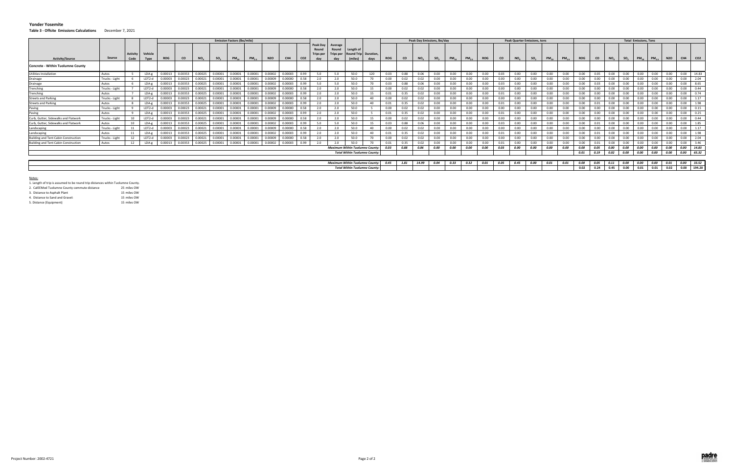**Table 3 ‐ Offsite Emissions Calculations** December 7, 2021

|                                      |                |                         |                 |            |           |          |                 | <b>Emission Factors (Ibs/mile)</b> |           |            |         |                 |                                              |                         |                                              |      |            |           | Peak Day Emissions, Ibs/day |                 |           |            |            |           | <b>Peak Quarter Emissions, tons</b> |                 |           |                 |            |           |                 |                 | <b>Total Emissions, Tons</b> |            |            |             |                 |
|--------------------------------------|----------------|-------------------------|-----------------|------------|-----------|----------|-----------------|------------------------------------|-----------|------------|---------|-----------------|----------------------------------------------|-------------------------|----------------------------------------------|------|------------|-----------|-----------------------------|-----------------|-----------|------------|------------|-----------|-------------------------------------|-----------------|-----------|-----------------|------------|-----------|-----------------|-----------------|------------------------------|------------|------------|-------------|-----------------|
| <b>Activity/Source</b>               | Source         | <b>Activity</b><br>Code | Vehicle<br>Type | <b>ROG</b> | <b>CO</b> | $NO_{x}$ | SO <sub>2</sub> | $PM_{10}$                          | $PM_{25}$ | <b>N2O</b> | CH4     | CO <sub>2</sub> | Peak Day<br>Round<br><b>Trips per</b><br>day | Average<br>Round<br>day | Length of<br>Round Trip Duration,<br>(miles) | davs | <b>ROG</b> | <b>CO</b> | NO <sub>x</sub>             | SO <sub>2</sub> | $PM_{10}$ | $PM_{2.5}$ | <b>ROG</b> | <b>CO</b> | NO <sub>x</sub>                     | so <sub>2</sub> | $PM_{10}$ | PM <sub>2</sub> | <b>ROG</b> | <b>CO</b> | NO <sub>x</sub> | SO <sub>2</sub> | $PM_{10}$                    | $PM_{2.5}$ | <b>N2O</b> | CH4         | CO <sub>2</sub> |
| Concrete - Within Tuolumne County    |                |                         |                 |            |           |          |                 |                                    |           |            |         |                 |                                              |                         |                                              |      |            |           |                             |                 |           |            |            |           |                                     |                 |           |                 |            |           |                 |                 |                              |            |            |             |                 |
| Utilities Installation               | Autos          |                         | $LDA-g$         | 0.00013    | 0.00353   | 0.00025  | 0.00001         | 0.00001                            | 0.00001   | 0.00002    | 0.00003 | 0.99            | 5.0                                          | 5.0                     | 50.0                                         | 120  | 0.03       | 0.88      | 0.06                        | 0.00            | 0.00      | 0.00       | 0.00       | 0.03      | 0.00                                | 0.00            | 0.00      | 0.00            | 0.00       | 0.05      | 0.00            | 0.00            | 0.00                         | 0.00       | 0.00       | 0.00        | 14.83           |
| Drainage                             | Trucks - Light |                         | LDT2-d          | 0.00003    | 0.00023   | 0.00021  | 0.00001         | 0.00001                            | 0.00001   | 0.00009    | 0.00000 | 0.58            | 2.0                                          | 2.0                     | 50.0                                         | 70   | 0.00       | 0.02      | 0.02                        | 0.00            | $0.00 -$  | 0.00       | 0.00       | 0.00      | 0.00                                | 0.00            | 0.00      | 0.00            | $0.00 -$   | $0.00 -$  | 0.00            | 0.00            | 0.00                         | 0.00       | 0.00       | 0.00        | 2.04            |
| Drainage                             | Autos          |                         | LDA-g           | 0.00013    | 0.00353   | 0.00025  | 0.00001         | 0.0000                             | 0.00001   | 0.00002    | 0.00003 | 0.99            | 5.0                                          | 5.0                     | 50.0                                         | 70   | 0.03       | 0.88      | 0.06                        | 0.00            | 0.00      | 0.00       | 0.00       | 0.03      | 0.00                                | 0.00            | 0.00      | 0.00            | 0.00       | 0.03      | 0.00            | 0.00            | 0.00                         | 0.00       | 0.00       | 0.00        | 8.65            |
| Trenching                            | Trucks - Light |                         | LDT2-d          | 0.00003    | 0.00023   | 0.00021  | 0.00001         | 0.0000                             | 0.00001   | 0.00009    | 0.00000 | 0.58            | 2.0                                          |                         | 50.0                                         | 15   | 0.00       | 0.02      | 0.02                        | $0.00 -$        | 0.00      | 0.00       | 0.00       | 0.00      | 0.00                                | 0.00            | 0.00      | 0.00            | 0.00       | 0.00      | 0.00            | 0.00            | 0.00                         | 0.00       | 0.00       | 0.00        | 0.44            |
| Trenching                            | Autos          |                         | $LDA-g$         | 0.00013    | 0.00353   | 0.00025  | 0.00001         | 0.00001                            | 0.00001   | 0.00002    | 0.00003 | 0.99            | 2.0                                          | 2.0                     | 50.0                                         |      | 0.01       | 0.35      | 0.02                        | 0.00            | 0.00      | 0.00       | 0.00       | 0.01      | 0.00                                | 0.00            | 0.00      | 0.00            | 0.00       | 0.00      | 0.00            | 0.00            | 0.00                         |            | 0.00       | 0.00        | 0.74            |
| <b>Streets and Parking</b>           | Trucks - Light |                         | LDT2-d          | 0.00003    | 0.00023   | 0.00021  | 0.00001         | 0.00001                            | 0.00001   | 0.00009    | 0.00000 | 0.58            | 2.0                                          | 2.0                     | 50.0                                         | 40   | 0.00       | 0.02      | 0.02                        | 0.00            | 0.00      | 0.00       | 0.00       | 0.00      | 0.00                                | 0.00            | 0.00      | 0.00            | 0.00       | 0.00      | 0.00            | 0.00            | 0.00                         | 0.00       | 0.00       | 0.00        |                 |
| <b>Streets and Parking</b>           | Autos          |                         | $LDA-g$         | 0.00013    | 0.00353   | 0.00025  | 0.00001         | 0.00001                            | 0.00001   | 0.00002    | 0.00003 | 0.99            | 2.0                                          | 2.0                     | 50.0                                         | 40   | 0.01       | 0.35      | 0.02                        | 0.00            | 0.00      | 0.00       | 0.00       | 0.01      | 0.00                                | 0.00            | 0.00      | 0.00            | 0.00       | 0.01      | 0.00            | 0.00            | 0.00                         | 0.00       | 0.00       | 0.00        | 1.98            |
| Paving                               | Trucks - Light |                         | LDT2-d          | 0.00003    | 0.00023   | 0.00021  | 0.00001         | 0.00001                            | 0.00001   | 0.00009    | 0.00000 | 0.58            | 2.0                                          | 2.0                     | 50.0                                         |      | 0.00       | 0.02      | 0.02                        | 0.00            | 0.00      | 0.00       | 0.00       | 0.00      | 0.00                                | 0.00            | 0.00      | 0.00            | 0.00       | 0.00      | 0.00            | 0.00            | 0.00                         | 0.00       | 0.00       | 0.00        | 0.15            |
| Paving                               | Autos          |                         | $LDA-g$         | 0.00013    | 0.00353   | 0.00025  | 0.00001         | 0.00001                            | 0.00001   | 0.00002    | 0.00003 | 0.99            | 2.0                                          | 2.0                     | 50.0                                         |      | 0.01       | 0.35      | 0.02                        | 0.00            | 0.00      | 0.00       | 0.00       | 0.01      | 0.00                                | 0.00            | 0.00      | 0.00            | 0.00       | 0.00      | 0.00            | 0.00            | 0.00                         | n nn       | 0.00       | 0.00        | 0.25            |
| Curb, Gutter, Sidewalks and Flatwork | Trucks - Light |                         | LDT2-d          | 0.00003    | 0.00023   | 0.00021  | 0.00001         | 0.00001                            | 0.00001   | 0.00009    | 0.00000 | 0.58            | 2.0                                          | 2.0                     | 50.0                                         | 15   | 0.00       | 0.02      | 0.02                        | 0.00            | 0.00      | 0.00       | 0.00       | 0.00      | 0.00                                | 0.00            | 0.00      | 0.00            | 0.00       | 0.00      | 0.00            | 0.00            | 0.00                         | 0.00       | 0.00       | 0.00        | 0.44            |
| Curb, Gutter, Sidewalks and Flatwork | Autos          | 10                      | LDA-g           | 0.00013    | 0.00353   | 0.00025  | 0.00001         | 0.0000                             | 0.00001   | 0.00002    | 0.00003 | 0.99            | 5.0                                          | 5.0                     | 50.0                                         | 15   | 0.03       | 0.88      | 0.06                        | 0.00            | 0.00      | 0.00       | 0.00       | 0.03      | 0.00                                | 0.00            | 0.00      | 0.00            | 0.00       | 0.01      | 0.00            | 0.00            | 0.00                         | 0.00       | 0.00       | 0.00        | 1.85            |
| Landscaping                          | Trucks - Light |                         | LDT2-d          | 0.00003    | 0.00023   | 0.00021  | 0.00001         | 0.00001                            | 0.00001   | 0.00009    | 0.00000 | 0.58            | 2.0                                          | 2.0                     | 50.0                                         | 40   | 0.00       | 0.02      | 0.02                        | 0.00            | 0.00      | 0.00       | 0.00       | 0.00      | 0.00                                | 0.00            | 0.00      | 0.00            | 0.00       | 0.00      | 0.00            | 0.00            | 0.00                         | 0.00       | 0.00       | 0.00        |                 |
| Landscaping                          | Autos          |                         | LDA-g           | 0.00013    | 0.00353   | 0.00025  | 0.00001         | 0.00001                            | 0.00001   | 0.00002    | 0.00003 | 0.99            | 2.0                                          | 2.0                     | 50.0                                         | 40   | 0.01       | 0.35      | 0.02                        | 0.00            | 0.00      | 0.00       | 0.00       | 0.01      | 0.00                                | 0.00            | 0.00      | 0.00            | 0.00       | 0.01      | 0.00            | 0.00            | 0.00                         | 0.00       | 0.00       | 0.00        | 1.98            |
| Building and Tent Cabin Construction | Trucks - Light |                         | LDT2-d          | 0.00003    | 0.00023   | 0.00021  | 0.00001         | 0.00001                            | 0.00001   | 0.00009    | 0.00000 | 0.58            | 2.0                                          | 2.0                     | 50.0                                         |      | 0.00       | 0.02      | 0.02                        | 0.00            | 0.00      | 0.00       | 0.00       | 0.00      | 0.00                                | 0.00            | 0.00      | 0.00            | 0.00       | 0.00      | 0.00            | 0.00            | 0.00                         | 0.00       | 0.00       | 0.00        | 2.04            |
| Building and Tent Cabin Construction | Autos          |                         | $LDA-g$         | 0.00013    | 0.00353   | 0.00025  | 0.00001         | 0.00001                            | 0.00001   | 0.00002    | 0.00003 | 0.99            | 2.0                                          | 2.0                     | 50.0                                         | 70   | 0.01       | 0.35      | 0.02                        | 0.00            | 0.00      | 0.00       | 0.00       | 0.01      | 0.00                                | 0.00            | 0.00      | 0.00            | 0.00       |           | 0.00            | 0.00            | 0.00                         | 0.00       | 0.00       | 0.00        | 3.46            |
|                                      |                |                         |                 |            |           |          |                 |                                    |           |            |         |                 |                                              |                         | Maximum Within Tuolumne County: 0.03         |      |            | 0.88      | 0.06                        | 0.00            | 0.00      | 0.00       | 0.00       | 0.03      | 0.00                                | 0.00            | 0.00      | 0.00            | 0.00       | 0.05      | 0.00            | 0.00            | 0.00                         | 0.00       | 0.00       | 0.00        | 14.83           |
|                                      |                |                         |                 |            |           |          |                 |                                    |           |            |         |                 |                                              |                         | <b>Total Within Tuolumne County:</b>         |      |            |           |                             |                 |           |            |            |           |                                     |                 |           |                 | 0.01       | 0.19      | 0.02            | 0.00            | 0.00                         | 0.00       | 0.00       | 0.00        | 65.32           |
|                                      |                |                         |                 |            |           |          |                 |                                    |           |            |         |                 |                                              |                         |                                              |      |            |           |                             |                 |           |            |            |           |                                     |                 |           |                 |            |           |                 |                 |                              |            |            |             |                 |
|                                      |                |                         |                 |            |           |          |                 |                                    |           |            |         |                 |                                              |                         | <b>Maximum Within Tuolumne County:</b>       |      | 0.45       | 1.81      | 14.99                       | 0.04            | 0.33      | 0.32       | 0.01       | 0.05      | 0.45                                | 0.00            | 0.01      | 0.01            | 0.00       | 0.05      | 0.11            | 0.00            | 0.00                         | 0.00       | 0.01       | 0.00 33.52  |                 |
|                                      |                |                         |                 |            |           |          |                 |                                    |           |            |         |                 |                                              |                         | <b>Total Within Tuolumne County:</b>         |      |            |           |                             |                 |           |            |            |           |                                     |                 |           |                 | 0.02       | 0.24      | 0.45            | 0.00            | 0.01                         | 0.01       | 0.02       | 0.00 194.20 |                 |

#### Notes:

| 2. CalEEMod Tuolumne County commute distance | 25 miles OW         |
|----------------------------------------------|---------------------|
| 3. Distance to Asphalt Plant                 | 15 miles OW         |
| A Black and the Board and Barriett           | $A = 1.11 - 0.0141$ |

| 4. Distance to Sand and Gravel: | 15 miles OW |
|---------------------------------|-------------|
| 5. Distance (Equipment)         | 15 miles OW |

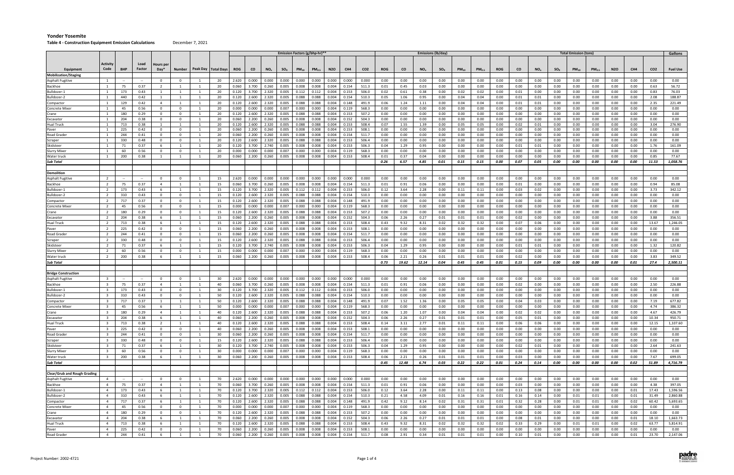#### **Table 4 ‐ Construction Equipment Emission Calculations** December 7, 2021

|                                     |                         |                          |                |                 |                                  |                       |                |                                                   |                         |                | <b>Emission Factors (g/bhp-hr)**</b> |                |                |                |                 |              |              |              | <b>Emissions (lb/day)</b> |              |                   |                  |              |                 |              | <b>Total Emission (tons)</b> |                   |                  |                 |                 | Gallons          |
|-------------------------------------|-------------------------|--------------------------|----------------|-----------------|----------------------------------|-----------------------|----------------|---------------------------------------------------|-------------------------|----------------|--------------------------------------|----------------|----------------|----------------|-----------------|--------------|--------------|--------------|---------------------------|--------------|-------------------|------------------|--------------|-----------------|--------------|------------------------------|-------------------|------------------|-----------------|-----------------|------------------|
|                                     |                         |                          |                |                 |                                  |                       |                |                                                   |                         |                |                                      |                |                |                |                 |              |              |              |                           |              |                   |                  |              |                 |              |                              |                   |                  |                 |                 |                  |
|                                     | Activity                |                          | Load           | Hours pei       |                                  |                       |                |                                                   |                         |                |                                      |                |                |                |                 |              |              |              |                           |              |                   |                  |              |                 |              |                              |                   |                  |                 |                 |                  |
| Equipment                           | Code                    | <b>BHP</b>               | Factor         | Day*            | Number                           | Peak Day   Total Days | <b>ROG</b>     | <b>CO</b>                                         | NO <sub>x</sub>         | $SO_{X}$       | $PM_{10}$                            | $PM_{2.5}$     | <b>N2O</b>     | CH4            | CO <sub>2</sub> | <b>ROG</b>   | co           | $NO_{x}$     | $SO_{X}$                  | $PM_{10}$    | PM <sub>2.5</sub> | ROG              | CO           | NO <sub>x</sub> | $SO_{X}$     | $PM_{10}$                    | PM <sub>2.5</sub> | N <sub>2</sub> O | CH <sub>4</sub> | CO <sub>2</sub> | <b>Fuel Use</b>  |
| <b>Mobilization/Staging</b>         | $\mathbf{1}$            |                          |                | $\Omega$        | - 0                              | 20                    | 2.620          | 0.000                                             | 0.000                   | 0.000          | 0.000                                | 0.000          | 0.000          | 0.000          | 0.000           | 0.00         | 0.00         | 0.00         | 0.00                      | 0.00         | 0.00              | 0.00             | 0.00         | 0.00            | 0.00         | 0.00                         | 0.00              | 0.00             | 0.00            | 0.00            | 0.00             |
| Asphalt Fugitive<br>Backhoe         |                         | 75                       | 0.37           | $\overline{2}$  |                                  | 20                    | 0.060          | 3.700                                             | 0.260                   | 0.005          | 0.008                                | 0.008          | 0.004          | 0.154          | 511.3           | 0.01         | 0.45         | 0.03         | 0.00                      | 0.00         | 0.00              | 0.00             | 0.00         | 0.00            | 0.00         | 0.00                         | 0.00              | 0.00             | 0.00            | 0.63            | 56.72            |
| Bulldozer-1                         |                         | 173                      | 0.43           | 1               | - 1                              | 20                    | 0.120          | 3.700                                             | 2.320                   | 0.005          | 0.112                                | 0.112          | 0.004          | 0.153          | 506.0           | 0.02         | 0.61         | 0.38         | 0.00                      | 0.02         | 0.02              | 0.00             | 0.01         | 0.00            | 0.00         | 0.00                         | 0.00              | 0.00             | 0.00            | 0.83            | 76.03            |
| Bulldozer-2                         | 1                       | 440                      | 0.42           | 1               | - 1                              | 20                    | 0.120          | 2.600                                             | 2.320                   | 0.005          | 0.088                                | 0.088          | 0.004          | 0.154          | 510.3           | 0.05         | 1.06         | 0.95         | 0.00                      | 0.04         | 0.04              | 0.00             | 0.01         | 0.01            | 0.00         | 0.00                         | 0.00              | 0.00             | 0.00            | 2.08            | 188.87           |
| Compactor                           | 1                       | 129                      | 0.42           | $\overline{4}$  | 1                                | 20<br>- 1             | 0.120          | 2.600                                             | 2.320                   | 0.005          | 0.088                                | 0.088          | 0.004          | 0.148          | 491.9           | 0.06         | 1.24         | 1.11         | 0.00                      | 0.04         | 0.04              | 0.00             | 0.01         | 0.01            | 0.00         | 0.00                         | 0.00              | 0.00             | 0.00            | 2.35            | 221.49           |
| Concrete Mixe                       | 1                       | 45                       | 0.56           | $\mathbf 0$     | $\overline{0}$                   | 20                    | 0.000          | 0.000                                             | 0.000                   | 0.007          | 0.000                                | 0.000          | 0.004          | 0.119          | 568.3           | 0.00         | 0.00         | 0.00         | 0.00                      | 0.00         | 0.00              | 0.00             | 0.00         | 0.00            | 0.00         | 0.00                         | 0.00              | 0.00             | 0.00            | 0.00            | 0.00             |
| Crane                               | 1                       | 180                      | 0.29           | $\mathbf 0$     | $\overline{0}$                   | 20                    | 0.120          | 2.600                                             | 2.320                   | 0.005          | 0.088                                | 0.088          | 0.004          | 0.153          | 507.2           | 0.00         | 0.00         | 0.00         | 0.00                      | 0.00         | 0.00              | 0.00             | 0.00         | 0.00            | 0.00         | 0.00                         | 0.00              | 0.00             | 0.00            | 0.00            | 0.00             |
| Excavator                           | 1                       | 204                      | 0.38           | $\mathbf 0$     | $\overline{0}$                   | 20                    | 0.060          | 2.200                                             | 0.260                   | 0.005          | 0.008                                | 0.008          | 0.004          | 0.152          | 504.3           | 0.00         | 0.00         | 0.00         | 0.00                      | 0.00         | 0.00              | 0.00             | 0.00         | 0.00            | 0.00         | 0.00                         | 0.00              | 0.00             | 0.00            | 0.00            | 0.00             |
| Hual Truck                          |                         | 713<br>225               | 0.38<br>0.42   | -1<br>$\Omega$  | - 1<br>n                         | 20<br>20              | 0.120<br>0.060 | 2.600<br>2.200                                    | 2.320<br>0.260          | 0.005<br>0.005 | 0.088<br>0.008                       | 0.088<br>0.008 | 0.004<br>0.004 | 0.153<br>0.153 | 508.4<br>508.1  | 0.07<br>0.00 | 1.55<br>0.00 | 1.39<br>0.00 | 0.00<br>0.00              | 0.05<br>0.00 | 0.05<br>0.00      | 0.00<br>0.00     | 0.02<br>0.00 | 0.01<br>0.00    | 0.00<br>0.00 | 0.00<br>0.00                 | 0.00<br>0.00      | 0.00<br>0.00     | 0.00<br>0.00    | 3.04<br>0.00    | 276.90<br>0.00   |
| Paver<br>Road Grader                |                         | 244                      | 0.41           | $\Omega$        | n                                | 20                    | 0.060          | 2.200                                             | 0.260                   | 0.005          | 0.008                                | 0.008          | 0.004          | 0.154          | 511.7           | 0.00         | 0.00         | 0.00         | 0.00                      | 0.00         | 0.00              | 0.00             | 0.00         | 0.00            | 0.00         | 0.00                         | 0.00              | 0.00             | 0.00            | 0.00            | 0.00             |
| Scraper                             | 1                       | 330                      | 0.48           | $\Omega$        | $\overline{0}$                   | 20<br>-1              | 0.120          | 2.600                                             | 2.320                   | 0.005          | 0.088                                | 0.088          | 0.004          | 0.153          | 506.4           | 0.00         | 0.00         | 0.00         | 0.00                      | 0.00         | 0.00              | 0.00             | 0.00         | 0.00            | 0.00         | 0.00                         | 0.00              | 0.00             | 0.00            | 0.00            | 0.00             |
| Skidsteer                           |                         | 71                       | 0.37           | - 6             | - 1                              | 20                    | 0.120          | 3.700                                             | 2.740                   | 0.005          | 0.008                                | 0.008          | 0.004          | 0.153          | 506.3           | 0.04         | 1.29         | 0.95         | 0.00                      | 0.00         | 0.00              | 0.00             | 0.01         | 0.01            | 0.00         | 0.00                         | 0.00              | 0.00             | 0.00            | 1.76            | 161.09           |
| Slurry Mixer                        |                         | 60                       | 0.56           | $\Omega$        | - 0                              | 20                    | 0.000          | 0.000                                             | 0.000                   | 0.007          | 0.000                                | 0.000          | 0.004          | 0.119          | 568.3           | 0.00         | 0.00         | 0.00         | 0.00                      | 0.00         | 0.00              | 0.00             | 0.00         | 0.00            | 0.00         | 0.00                         | 0.00              | 0.00             | 0.00            | 0.00            | 0.00             |
| Water truck                         | $\overline{1}$          | 200                      | 0.38           | $\overline{1}$  | - 1                              | 20                    | 0.060          | 2.200                                             | 0.260                   | 0.005          | 0.008                                | 0.008          | 0.004          | 0.153          | 508.4           | 0.01         | 0.37         | 0.04         | 0.00                      | 0.00         | 0.00              | 0.00             | 0.00         | 0.00            | 0.00         | 0.00                         | 0.00              | 0.00             | 0.00            | 0.85            | 77.67            |
| <b>Sub Total</b>                    |                         |                          |                |                 |                                  |                       |                |                                                   |                         |                |                                      |                |                |                |                 | 0.26         | 6.57         | 4.85         | 0.01                      | 0.15         | 0.15              | 0.00             | 0.07         | 0.05            | 0.00         | 0.00                         | 0.00              | 0.00             | 0.00            | 11.53           | 1,058.76         |
|                                     |                         |                          |                |                 |                                  |                       |                |                                                   |                         |                |                                      |                |                |                |                 |              |              |              |                           |              |                   |                  |              |                 |              |                              |                   |                  |                 |                 |                  |
| Demolition                          | $\overline{2}$          | $\sim$                   |                | $\overline{0}$  | $\overline{0}$                   | 15<br>- 1             | 2.620          | 0.000                                             | 0.000                   | 0.000          | 0.000                                | 0.000          | 0.000          | 0.000          | 0.000           | 0.00         | 0.00         | 0.00         | 0.00                      | 0.00         | 0.00              | 0.00             | 0.00         | 0.00            | 0.00         | $0.00\,$                     | 0.00              | 0.00             | 0.00            | 0.00            | 0.00             |
| Asphalt Fugitive<br>Backhoe         | 2                       | 75                       | $\sim$<br>0.37 | $\overline{4}$  | - 1                              | 15                    | 0.060          | 3.700                                             | 0.260                   | 0.005          | 0.008                                | 0.008          | 0.004          | 0.154          | 511.3           | 0.01         | 0.91         | 0.06         | 0.00                      | 0.00         | 0.00              | 0.00             | 0.01         | 0.00            | 0.00         | 0.00                         | 0.00              | 0.00             | 0.00            | 0.94            | 85.08            |
| Bulldozer-1                         | 2                       | 173                      | 0.43           | - 6             | $\overline{1}$                   | 15                    | 0.120          | 3.700                                             | 2.320                   | 0.005          | 0.112                                | 0.112          | 0.004          | 0.153          | 506.0           | 0.12         | 3.64         | 2.28         | 0.00                      | 0.11         | 0.11              | 0.00             | 0.03         | 0.02            | 0.00         | 0.00                         | 0.00              | 0.00             | 0.00            | 3.73            | 342.12           |
| Bulldozer-2                         | 2                       | 310                      | 0.43           | $\Omega$        | $\overline{0}$                   | 15<br>1               | 0.120          | 2.600                                             | 2.320                   | 0.005          | 0.088                                | 0.088          | 0.004          | 0.154          | 510.3           | 0.00         | 0.00         | 0.00         | 0.00                      | 0.00         | 0.00              | 0.00             | 0.00         | 0.00            | 0.00         | 0.00                         | 0.00              | 0.00             | 0.00            | 0.00            | 0.00             |
| Compactor                           | $\overline{2}$          | 717                      | 0.37           | $\overline{0}$  | $\overline{\mathbf{0}}$          | 15<br>- 1             | 0.120          | 2.600                                             | 2.320                   | 0.005          | 0.088                                | 0.088          | 0.004          | 0.148          | 491.9           | 0.00         | 0.00         | 0.00         | 0.00                      | 0.00         | 0.00              | 0.00             | 0.00         | 0.00            | 0.00         | 0.00                         | 0.00              | 0.00             | 0.00            | 0.00            | 0.00             |
| Concrete Mixer                      | $\overline{2}$          | 45                       | 0.56           | $\Omega$        | $\overline{0}$                   | 15<br>1               | 0.000          | 0.000                                             | 0.000                   | 0.007          | 0.000                                | 0.000          | 0.004          | 0.119          | 568.3           | 0.00         | 0.00         | 0.00         | 0.00                      | 0.00         | 0.00              | 0.00             | 0.00         | 0.00            | 0.00         | 0.00                         | 0.00              | 0.00             | 0.00            | 0.00            | 0.00             |
| Crane                               | $\overline{2}$          | 180                      | 0.29           | $\Omega$        | $\overline{0}$                   | 15                    | 0.120          | 2.600                                             | 2.320                   | 0.005          | 0.088                                | 0.088          | 0.004          | 0.153          | 507.2           | 0.00         | 0.00         | 0.00         | 0.00                      | 0.00         | 0.00              | 0.00             | 0.00         | 0.00            | 0.00         | 0.00                         | 0.00              | 0.00             | 0.00            | 0.00            | 0.00             |
| Excavator                           | $\overline{2}$          | 204                      | 0.38           | - 6             | $\overline{\phantom{0}}$         | 15                    | 0.060          | 2.200                                             | 0.260                   | 0.005          | 0.008                                | 0.008          | 0.004          | 0.152          | 504.3           | 0.06         | 2.26         | 0.27         | 0.01                      | 0.01         | 0.01              | 0.00             | 0.02         | 0.00            | 0.00         | 0.00                         | 0.00              | 0.00             | 0.00            | 3.88            | 356.51           |
| Hual Truck                          | 2                       | 713                      | 0.38           | -6              | - 1                              | 15                    | 0.120          | 2.600                                             | 2.320                   | 0.005          | 0.088                                | 0.088          | 0.004          | 0.153          | 508.4           | 0.43         | 9.32         | 8.31         | 0.02                      | 0.32         | 0.32              | 0.00             | 0.07         | 0.06            | 0.00         | 0.00                         | 0.00              | 0.00             | 0.00            | 13.67           | 1,246.05         |
| Paver                               | $\overline{2}$          | 225                      | 0.42           | $\Omega$        | $\overline{0}$                   | 15                    | 0.060          | 2.200                                             | 0.260                   | 0.005          | 0.008                                | 0.008          | 0.004          | 0.153          | 508.1           | 0.00         | 0.00         | 0.00         | 0.00                      | 0.00         | 0.00              | 0.00             | 0.00         | 0.00            | 0.00         | 0.00                         | 0.00              | 0.00             | 0.00            | 0.00            | 0.00             |
| Road Grader                         | 2                       | 244                      | 0.41           | $\Omega$        | - 0                              | 15<br>-1              | 0.060          | 2.200                                             | 0.260                   | 0.005          | 0.008                                | 0.008          | 0.004          | 0.154          | 511.7           | 0.00         | 0.00         | 0.00         | 0.00                      | 0.00         | 0.00              | 0.00             | 0.00         | 0.00            | 0.00         | 0.00                         | 0.00              | 0.00             | 0.00            | 0.00            | 0.00             |
| Scraper<br>Skidsteer                | 2<br>$\overline{2}$     | 330<br>71                | 0.48<br>0.37   | $\Omega$<br>- 6 | $\overline{0}$<br>$\overline{1}$ | 15<br>15              | 0.120<br>0.120 | 2.600<br>3.700                                    | 2.320<br>2.740          | 0.005<br>0.005 | 0.088<br>0.008                       | 0.088<br>0.008 | 0.004<br>0.004 | 0.153<br>0.153 | 506.4<br>506.3  | 0.00<br>0.04 | 0.00<br>1.29 | 0.00<br>0.95 | 0.00<br>0.00              | 0.00<br>0.00 | 0.00<br>0.00      | 0.00<br>0.00     | 0.00<br>0.01 | 0.00<br>0.01    | 0.00<br>0.00 | 0.00<br>0.00                 | 0.00<br>0.00      | 0.00<br>0.00     | 0.00<br>0.00    | 0.00<br>1.32    | 0.00<br>120.82   |
| Slurry Mixer                        | $\overline{2}$          | 60                       | 0.56           | $\Omega$        | $\Omega$                         | 15                    | 0.000          | 0.000                                             | 0.000                   | 0.007          | 0.000                                | 0.000          | 0.004          | 0.119          | 568.3           | 0.00         | 0.00         | 0.00         | 0.00                      | 0.00         | 0.00              | 0.00             | 0.00         | 0.00            | 0.00         | 0.00                         | 0.00              | 0.00             | 0.00            | 0.00            | 0.00             |
| Water truck                         | $\overline{2}$          | 200                      | 0.38           | - 6             | $\overline{1}$                   | 15                    | 0.060          | 2.200                                             | 0.260                   | 0.005          | 0.008                                | 0.008          | 0.004          | 0.153          | 508.4           | 0.06         | 2.21         | 0.26         | 0.01                      | 0.01         | 0.01              | 0.00             | 0.02         | 0.00            | 0.00         | 0.00                         | 0.00              | 0.00             | 0.00            | 3.83            | 349.52           |
| Sub Total                           |                         |                          |                |                 |                                  |                       |                |                                                   |                         |                |                                      |                |                |                |                 | 0.73         | 19.62        | 12.14        | 0.04                      | 0.45         | 0.45              | 0.01             | 0.15         | 0.09            | 0.00         | 0.00                         | 0.00              | 0.00             | 0.01            | 27.4            | 2,500.11         |
|                                     |                         |                          |                |                 |                                  |                       |                |                                                   |                         |                |                                      |                |                |                |                 |              |              |              |                           |              |                   |                  |              |                 |              |                              |                   |                  |                 |                 |                  |
| <b>Bridge Construction</b>          |                         |                          |                |                 |                                  |                       |                |                                                   |                         |                |                                      |                |                |                |                 |              |              |              |                           |              |                   |                  |              |                 |              |                              |                   |                  |                 |                 |                  |
| Asphalt Fugitive                    |                         | $\overline{\phantom{a}}$ |                | $\Omega$        | - 0                              | 30                    | 2.620          | 0.000                                             | 0.000                   | 0.000          | 0.000                                | 0.000          | 0.000          | 0.000          | 0.000           | 0.00         | 0.00         | 0.00         | 0.00                      | 0.00         | 0.00              | 0.00             | 0.00         | 0.00            | 0.00         | 0.00                         | 0.00              | 0.00             | 0.00            | 0.00            | 0.00             |
| Backhoe                             | $\overline{\mathbf{3}}$ | 75                       | 0.37           | $\overline{4}$  | - 1                              | 40                    | 0.060          | 3.700                                             | 0.260                   | 0.005          | 0.008                                | 0.008          | 0.004          | 0.154          | 511.3           | 0.01         | 0.91         | 0.06         | 0.00                      | 0.00         | 0.00              | 0.00             | 0.02         | 0.00            | 0.00         | 0.00                         | 0.00              | 0.00             | 0.00            | 2.50            | 226.88           |
| Bulldozer-1                         | $\overline{\mathbf{3}}$ | 173                      | 0.43           | $\mathbf 0$     | $\overline{0}$                   | 30<br>-1              | 0.120          | 3.700                                             | 2.320                   | 0.005          | 0.112                                | 0.112          | 0.004          | 0.153          | 506.0           | 0.00         | 0.00         | 0.00         | 0.00                      | 0.00         | 0.00              | 0.00             | 0.00         | 0.00            | 0.00         | $0.00\,$                     | 0.00              | 0.00             | 0.00            | 0.00            | 0.00             |
| Bulldozer-2                         | $\overline{3}$          | 310                      | 0.43           | $\Omega$        | $\Omega$                         | 50                    | 0.120          | 2.600                                             | 2.320                   | 0.005          | 0.088                                | 0.088          | 0.004          | 0.154          | 510.3           | 0.00         | 0.00         | 0.00         | 0.00                      | 0.00         | 0.00              | 0.00             | 0.00         | 0.00            | 0.00         | 0.00                         | 0.00              | 0.00             | 0.00            | 0.00            | 0.00             |
| Compactor<br>Concrete Mixer         | 3<br>$\overline{3}$     | 717<br>45                | 0.37<br>0.56   | 1<br>- 6        | 1<br>- 1                         | 50<br>1<br>50         | 0.120<br>0.000 | 2.600<br>0.000                                    | 2.320<br>0.000          | 0.005<br>0.007 | 0.088<br>0.000                       | 0.088<br>0.000 | 0.004<br>0.004 | 0.148<br>0.119 | 491.9<br>568.3  | 0.07<br>0.00 | 1.52<br>0.00 | 1.36<br>0.00 | 0.00<br>0.00              | 0.05<br>0.00 | 0.05<br>0.00      | $0.00\,$<br>0.00 | 0.04<br>0.00 | 0.03<br>0.00    | 0.00<br>0.00 | 0.00<br>0.00                 | 0.00<br>0.00      | 0.00<br>0.00     | 0.00<br>0.00    | 7.19<br>4.74    | 677.82<br>386.32 |
| Crane                               | $\overline{\mathbf{3}}$ | 180                      | 0.29           | $\overline{4}$  | $\overline{1}$                   | 40                    | 0.120          | 2.600                                             | 2.320                   | 0.005          | 0.088                                | 0.088          | 0.004          | 0.153          | 507.2           | 0.06         | 1.20         | 1.07         | 0.00                      | 0.04         | 0.04              | 0.00             | 0.02         | 0.02            | 0.00         | 0.00                         | 0.00              | 0.00             | 0.00            | 4.67            | 426.79           |
| Excavator                           | $\overline{\mathbf{3}}$ | 204                      | 0.38           | 6               |                                  | 40                    |                | $0.060$ 2.200 0.260 0.005 0.008 0.008 0.004 0.152 |                         |                |                                      |                |                |                | 504.3           | 0.06         | 2.26         | 0.27         | 0.01                      | 0.01         | 0.01              | 0.00             | 0.05         | 0.01            | 0.00         | 0.00                         | 0.00              | 0.00             | 0.00            | 10.34           | 950.71           |
| Hual Truck                          | $\overline{\mathbf{3}}$ | 713                      | 0.38           | $\overline{2}$  | 1                                | $\mathbf{1}$<br>40    | 0.120          |                                                   | 2.600 2.320 0.005       |                | 0.088                                | 0.088          | 0.004          | 0.153          | 508.4           | 0.14         | 3.11         | 2.77         | 0.01                      | 0.11         | 0.11              | 0.00             | 0.06         | 0.06            | 0.00         | 0.00                         | 0.00              | 0.00             | 0.00            | 12.15           | 1,107.60         |
| Paver                               | $\overline{\mathbf{3}}$ | 225                      | 0.42           | $\mathbf{0}$    | $\overline{0}$                   | 1<br>40               | 0.060          |                                                   | 2.200 0.260             | 0.005          | 0.008                                | 0.008          | 0.004          | 0.153          | 508.1           | 0.00         | 0.00         | 0.00         | 0.00                      | 0.00         | 0.00              | 0.00             | 0.00         | 0.00            | 0.00         | 0.00                         | 0.00              | 0.00             | 0.00            | 0.00            | 0.00             |
| Road Grader                         | $\overline{\mathbf{3}}$ | 244                      | 0.41           | $\mathbf 0$     | $\mathbf{0}$                     | 30                    | 0.060          |                                                   | 2.200 0.260             | 0.005          | 0.008                                | 0.008          | 0.004          | 0.154          | 511.7           | 0.00         | 0.00         | 0.00         | 0.00                      | 0.00         | 0.00              | 0.00             | 0.00         | 0.00            | 0.00         | 0.00                         | 0.00              | 0.00             | 0.00            | 0.00            | 0.00             |
| Scraper                             | $\overline{\mathbf{3}}$ | 330                      | 0.48           | $\mathbf 0$     | $\overline{0}$                   | 15<br>1               | 0.120          |                                                   | 2.600 2.320 0.005       |                | 0.088                                | 0.088          | 0.004          | 0.153          | 506.4           | 0.00         | 0.00         | 0.00         | 0.00                      | 0.00         | 0.00              | 0.00             | 0.00         | 0.00            | 0.00         | 0.00                         | 0.00              | 0.00             | 0.00            | 0.00            | 0.00             |
| Skidsteer                           | $3^{\circ}$             | 71                       | 0.37           | 6               | $\mathbf{1}$                     | 30<br>$\mathbf{1}$    | 0.120          |                                                   | 3.700 2.740 0.005       |                | 0.008                                | 0.008          |                | 0.004 0.153    | 506.3           | 0.04         | 1.29         | 0.95         | 0.00                      | 0.00         | 0.00              | 0.00             | 0.02         | 0.01            | 0.00         | 0.00                         | 0.00              | 0.00             | 0.00            | 2.64            | 241.63           |
| Slurry Mixer                        | $\overline{\mathbf{3}}$ | 60                       | 0.56           | $\mathbf{0}$    | $\overline{0}$                   | 30<br>1               | 0.000          |                                                   | $0.000$ $0.000$ 0.007   |                | 0.000                                | 0.000          | 0.004          | 0.119          | 568.3           | 0.00         | 0.00         | 0.00         | 0.00                      | 0.00         | 0.00              | 0.00             | 0.00         | 0.00            | 0.00         | 0.00                         | 0.00              | 0.00             | 0.00            | 0.00            | 0.00             |
| Water truck                         | $\overline{\mathbf{3}}$ | 200                      | 0.38           | - 6             | 1                                | 30<br>1               | 0.060          |                                                   | 2.200 0.260             | 0.005          | 0.008                                | 0.008          | 0.004          | 0.153          | 508.4           | 0.06         | 2.21         | 0.26         | 0.01                      | 0.01         | 0.01              | 0.00             | 0.03         | 0.00            | 0.00         | 0.00                         | 0.00              | 0.00             | 0.00            | 7.67            | 699.05           |
| Sub Total                           |                         |                          |                |                 |                                  |                       |                |                                                   |                         |                |                                      |                |                |                |                 | 0.45         | 12.48        | 6.74         | 0.03                      | 0.22         | 0.22              | 0.01             | 0.24         | 0.14            | 0.00         | 0.00                         | 0.00              | 0.00             | 0.02            | 51.89           | 4,716.79         |
| <b>Clear/Grub and Rough Grading</b> |                         |                          |                |                 |                                  |                       |                |                                                   |                         |                |                                      |                |                |                |                 |              |              |              |                           |              |                   |                  |              |                 |              |                              |                   |                  |                 |                 |                  |
| <b>Asphalt Fugitive</b>             | $\overline{4}$          | $\sim$                   | $\sim$         | $\overline{0}$  | $\overline{0}$                   | 70<br>1               | 2.620          |                                                   | $0.000$ $0.000$ $0.000$ |                | 0.000                                | 0.000          | 0.000          | 0.000          | 0.000           | 0.00         | 0.00         | 0.00         | 0.00                      | 0.00         | 0.00              | 0.00             | 0.00         | 0.00            | 0.00         | 0.00                         | 0.00              | 0.00             | 0.00            | 0.00            | 0.00             |
| Backhoe                             | $\overline{4}$          | 75                       | 0.37           | $\overline{4}$  | <sup>1</sup>                     | 70<br>1               | 0.060          |                                                   | 3.700 0.260             | 0.005          | 0.008                                | 0.008          | 0.004          | 0.154          | 511.3           | 0.01         | 0.91         | 0.06         | 0.00                      | 0.00         | 0.00              | 0.00             | 0.03         | 0.00            | 0.00         | 0.00                         | 0.00              | 0.00             | 0.00            | 4.38            | 397.05           |
| Bulldozer-1                         | $\overline{4}$          | 173                      | 0.43           | 6               | 1                                | 70<br>1               | 0.120          |                                                   | 3.700 2.320 0.005       |                | 0.112                                | 0.112          | 0.004          | 0.153          | 506.0           | 0.12         | 3.64         | 2.28         | 0.00                      | 0.11         | 0.11              | 0.00             | 0.13         | 0.08            | 0.00         | 0.00                         | 0.00              | 0.00             | 0.01            | 17.43           | 1,596.56         |
| Bulldozer-2                         | 4                       | 310                      | 0.43           | 6               | $\mathbf{1}$                     | 70<br>1               | 0.120          |                                                   | 2.600 2.320 0.005       |                | 0.088                                | 0.088          |                | 0.004 0.154    | 510.3           | 0.21         | 4.58         | 4.09         | 0.01                      | 0.16         | 0.16              | 0.01             | 0.16         | 0.14            | 0.00         | 0.01                         | 0.01              | 0.00             | 0.01            | 31.49           | 2,860.88         |
| Compactor                           | 4                       | 717                      | 0.37           | 6               | $\mathbf{1}$                     | 70<br>1               | 0.120          |                                                   | 2.600 2.320 0.005       |                | 0.088                                | 0.088          |                | 0.004 0.148    | 491.9           | 0.42         | 9.12         | 8.14         | 0.02                      | 0.31         | 0.31              | 0.01             | 0.32         | 0.28            | 0.00         | 0.01                         | 0.01              | 0.00             | 0.02            | 60.42           | 5,693.65         |
| Concrete Mixer                      | $\overline{4}$          | 45                       | 0.56           | $\mathbf{0}$    | $\overline{0}$                   | 70<br>$\mathbf{1}$    | 0.000          |                                                   | 0.000 0.000             | 0.007          | 0.000                                | 0.000          | 0.004          | 0.119          | 568.3           | 0.00         | 0.00         | 0.00         | 0.00                      | 0.00         | 0.00              | 0.00             | 0.00         | 0.00            | 0.00         | 0.00                         | 0.00              | 0.00             | 0.00            | 0.00            | 0.00             |
| Crane                               | 4                       | 180                      | 0.29           | $\mathbf 0$     | $\overline{\mathbf{0}}$          | 70<br>1               | 0.120          |                                                   | 2.600 2.320 0.005       |                | 0.088                                | 0.088          | 0.004          | 0.153          | 507.2           | 0.00         | 0.00         | 0.00         | 0.00                      | 0.00         | 0.00              | 0.00             | 0.00         | 0.00            | 0.00         | $0.00\,$                     | 0.00              | 0.00             | 0.00            | 0.00            | 0.00             |
| Excavator                           | $\overline{4}$          | 204                      | 0.38           | 6               | 1                                | 70<br>1               | 0.060          |                                                   | 2.200 0.260             | 0.005          | 0.008                                | 0.008          | 0.004          | 0.152          | 504.3           | 0.06         | 2.26         | 0.27         | 0.01                      | 0.01         | 0.01              | 0.00             | 0.08         | 0.01            | 0.00         | 0.00                         | 0.00              | 0.00             | 0.01            | 18.10           | 1,663.73         |
| <b>Hual Truck</b>                   | $\overline{4}$          | 713                      | 0.38           | - 6             | 1                                | 70<br>$\mathbf{1}$    | 0.120          |                                                   | 2.600 2.320 0.005       |                | 0.088                                | 0.088          | 0.004          | 0.153          | 508.4           | 0.43         | 9.32         | 8.31         | 0.02                      | 0.32         | 0.32              | 0.02             | 0.33         | 0.29            | 0.00         | 0.01                         | 0.01              | 0.00             | 0.02            | 63.77           | 5,814.91         |
| Paver                               | $\overline{4}$          | 225                      | 0.42           | $\mathbf{0}$    | $\overline{0}$                   | 70<br>$\mathbf{1}$    | 0.060          |                                                   | 2.200 0.260 0.005       |                | 0.008                                | 0.008          | 0.004          | 0.153          | 508.1           | 0.00         | 0.00         | 0.00         | 0.00                      | 0.00         | 0.00              | 0.00             | 0.00         | 0.00            | 0.00         | 0.00                         | 0.00              | 0.00             | 0.00            | 0.00            | 0.00             |
| Road Grader                         | $\overline{4}$          | 244                      | 0.41           | 6               | $\mathbf{1}$                     | 70<br>1               | 0.060          |                                                   | 2.200  0.260  0.005     |                | 0.008                                | 0.008          | 0.004          | 0.154          | 511.7           | 0.08         | 2.91         | 0.34         | 0.01                      | 0.01         | 0.01              | 0.00             | 0.10         | 0.01            | 0.00         | 0.00                         | 0.00              | 0.00             | 0.01            | 23.70           | 2,147.06         |

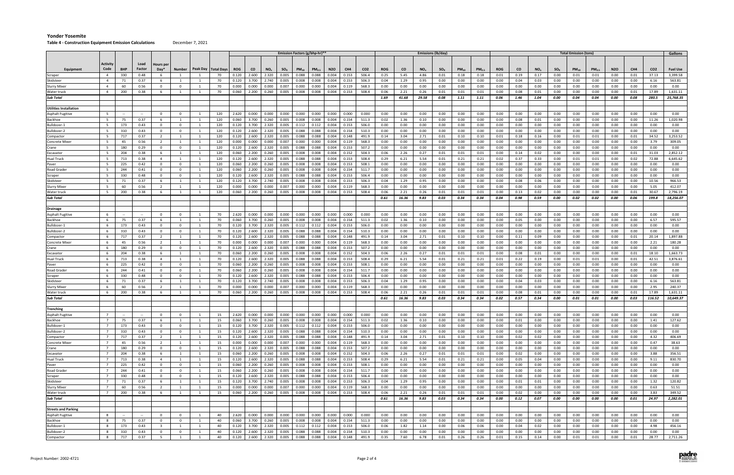#### **Table 4 ‐ Construction Equipment Emission Calculations** December 7, 2021

|                             |                                |            |              |                                |                              |                              |                       |                |                |                 |                |                | Emission Factors (g/bhp-hr)** |                |                |                 |              |              |                 | Emissions (lb/day) |              |                   |              |                  |                 |                  | <b>Total Emission (tons)</b> |                   |              |                 |                 | Gallons              |
|-----------------------------|--------------------------------|------------|--------------|--------------------------------|------------------------------|------------------------------|-----------------------|----------------|----------------|-----------------|----------------|----------------|-------------------------------|----------------|----------------|-----------------|--------------|--------------|-----------------|--------------------|--------------|-------------------|--------------|------------------|-----------------|------------------|------------------------------|-------------------|--------------|-----------------|-----------------|----------------------|
|                             | <b>Activity</b>                |            | Load         | Hours per                      |                              |                              |                       |                |                |                 |                |                |                               |                |                |                 |              |              |                 |                    |              |                   |              |                  |                 |                  |                              |                   |              |                 |                 |                      |
| Equipment                   | Code                           | <b>BHP</b> | Factor       | $Day*$                         | <b>Number</b>                |                              | Peak Day   Total Days | <b>ROG</b>     | <b>CO</b>      | NO <sub>x</sub> | $SO_{x}$       | $PM_{10}$      | PM <sub>2.5</sub>             | <b>N2O</b>     | CH4            | CO <sub>2</sub> | <b>ROG</b>   | co           | NO <sub>x</sub> | $SO_{x}$           | $PM_{10}$    | PM <sub>2.5</sub> | <b>ROG</b>   | CO               | NO <sub>x</sub> | $SO_{x}$         | $PM_{10}$                    | PM <sub>2.5</sub> | <b>N2O</b>   | CH <sub>4</sub> | CO <sub>2</sub> | <b>Fuel Use</b>      |
| Scraper                     | -4                             | 330        | 0.48         | 6                              | - 1                          |                              | 70                    | 0.120          | 2.600          | 2.320           | 0.005          | 0.088          | 0.088                         | 0.004          | 0.153          | 506.4           | 0.25         | 5.45         | 4.86            | 0.01               | 0.18         | 0.18              | 0.01         | 0.19             | 0.17            | 0.00             | 0.01                         | 0.01              | 0.00         | 0.01            | 37.13           | 3,399.58             |
| Skidsteer                   | $\overline{4}$                 | 71         | 0.37         | 6                              | - 1                          | 1                            | 70                    | 0.120          | 3.700          | 2.740           | 0.005          | 0.008          | 0.008                         | 0.004          | 0.153          | 506.3           | 0.04         | 1.29         | 0.95            | 0.00               | 0.00         | 0.00              | 0.00         | 0.04             | 0.03            | 0.00             | 0.00                         | 0.00              | 0.00         | 0.00            | 6.16            | 563.81               |
| Slurry Mixer                | $\overline{4}$                 | 60         | 0.56         | $^{\circ}$                     | 0                            | 1                            | 70                    | 0.000          | 0.000          | 0.000           | 0.007          | 0.000          | 0.000                         | 0.004          | 0.119          | 568.3           | 0.00         | 0.00         | $0.00\,$        | 0.00               | 0.00         | 0.00              | 0.00         | 0.00             | 0.00            | 0.00             | 0.00                         | 0.00              | 0.00         | 0.00            | 0.00            | 0.00                 |
| Water truck                 | $\overline{a}$                 | 200        | 0.38         | -6                             |                              |                              | 70                    | 0.060          | 2.200          | 0.260           | 0.005          | 0.008          | 0.008                         | 0.004          | 0.153          | 508.4           | 0.06         | 2.21         | 0.26            | 0.01               | 0.01         | 0.01              | 0.00         | 0.08             | 0.01            | 0.00             | 0.00                         | 0.00              | 0.00         | 0.01            | 17.89           | 1,631.11             |
| Sub Total                   |                                |            |              |                                |                              |                              |                       |                |                |                 |                |                |                               |                |                |                 | 1.69         | 41.68        | 29.58           | 0.08               | 1.11         | 1.11              | 0.06         | 1.46             | 1.04            | 0.00             | 0.04                         | 0.04              | 0.00         | 0.08            | 280.5           | 25,768.35            |
|                             |                                |            |              |                                |                              |                              |                       |                |                |                 |                |                |                               |                |                |                 |              |              |                 |                    |              |                   |              |                  |                 |                  |                              |                   |              |                 |                 |                      |
| Utilities Installation      |                                |            |              |                                |                              |                              |                       |                |                |                 |                |                |                               |                |                |                 |              |              |                 |                    |              |                   |              |                  |                 |                  |                              |                   |              |                 |                 |                      |
| <b>Asphalt Fugitive</b>     | 5                              | $\sim$     | $\sim$       | $\mathbf 0$                    | $\overline{0}$               | $\overline{1}$               | 120                   | 2.620          | 0.000          | 0.000           | 0.000          | 0.000          | 0.000                         | 0.000          | 0.000          | 0.000           | 0.00         | 0.00         | 0.00            | 0.00               | 0.00         | 0.00              | 0.00         | 0.00             | 0.00            | 0.00             | 0.00                         | 0.00              | 0.00         | 0.00            | 0.00            | 0.00                 |
| Backhoe                     | 5                              | 75         | 0.37         | 6                              | $\overline{1}$               |                              | 120                   | 0.060          | 3.700          | 0.260           | 0.005          | 0.008          | 0.008                         | 0.004          | 0.154          | 511.3           | 0.02         | 1.36         | 0.10            | 0.00               | 0.00         | 0.00              | 0.00         | 0.08             | 0.01            | 0.00             | 0.00                         | 0.00              | 0.00         | 0.00            | 11.26           | 1,020.98             |
| Bulldozer-1                 | -5                             | 173        | 0.43         | $^{\circ}$                     | $^{\circ}$                   | - 1                          | 120                   | 0.120          | 3.700          | 2.320           | 0.005          | 0.112          | 0.112                         | 0.004          | 0.153          | 506.0           | 0.00         | 0.00         | 0.00            | 0.00               | 0.00         | 0.00              | 0.00         | 0.00             | 0.00            | 0.00             | 0.00                         | 0.00              | 0.00         | 0.00            | 0.00            | 0.00                 |
| Bulldozer-2                 | - 5                            | 310        | 0.43         | $\mathbf 0$                    | $\mathbf 0$                  | $\overline{1}$               | 120                   | 0.120          | 2.600          | 2.320           | 0.005          | 0.088          | 0.088                         | 0.004          | 0.154          | 510.3           | 0.00         | 0.00         | 0.00            | 0.00               | 0.00         | 0.00              | 0.00         | 0.00             | 0.00            | 0.00             | 0.00                         | 0.00              | 0.00         | 0.00            | 0.00            | 0.00                 |
| Compactor                   | -5                             | 717        | 0.37         | $\overline{2}$                 | $\overline{1}$               | $\overline{1}$               | 120                   | 0.120          | 2.600          | 2.320           | 0.005          | 0.088          | 0.088                         | 0.004          | 0.148          | 491.9           | 0.14         | 3.04         | 2.71            | 0.01               | 0.10         | 0.10              | 0.01         | 0.18             | 0.16            | 0.00             | 0.01                         | 0.01              | 0.00         | 0.01            | 34.52           | 3,253.52             |
| Concrete Mixer              | -5<br>-5                       | 45         | 0.56         | $\overline{2}$                 | $\mathbf{1}$                 | - 1                          | 120                   | 0.000          | 0.000          | 0.000           | 0.007          | 0.000          | 0.000                         | 0.004          | 0.119          | 568.3           | 0.00         | 0.00         | 0.00            | 0.00               | 0.00         | 0.00              | 0.00         | 0.00             | 0.00            | 0.00             | 0.00                         | 0.00              | 0.00         | 0.00            | 3.79            | 309.05               |
| Crane                       |                                | 180        | 0.29         | $\mathbf 0$                    | $\mathbf{0}$                 |                              | 120                   | 0.120          | 2.600          | 2.320           | 0.005          | 0.088          | 0.088                         | 0.004          | 0.153          | 507.2           | 0.00         | 0.00         | 0.00            | 0.00               | 0.00         | 0.00              | 0.00         | 0.00             | 0.00            | 0.00             | 0.00                         | 0.00              | 0.00         | 0.00            | 0.00            | 0.00                 |
| Excavator<br>lual Truck     | -5                             | 204<br>713 | 0.38<br>0.38 | - 6<br>$\overline{4}$          | - 1<br>$\overline{1}$        |                              | 120<br>120            | 0.060<br>0.120 | 2.200<br>2.600 | 0.260<br>2.320  | 0.005<br>0.005 | 0.008<br>0.088 | 0.008<br>0.088                | 0.004<br>0.004 | 0.152<br>0.153 | 504.3<br>508.4  | 0.06<br>0.29 | 2.26<br>6.21 | 0.27<br>5.54    | 0.01<br>0.01       | 0.01<br>0.21 | 0.01<br>0.21      | 0.00<br>0.02 | 0.14<br>0.37     | 0.02<br>0.33    | 0.00<br>0.00     | 0.00<br>0.01                 | 0.00<br>0.01      | 0.00<br>0.00 | 0.01<br>0.02    | 31.03<br>72.88  | 2,852.12<br>6,645.62 |
|                             |                                | 225        | 0.42         | $\mathbf 0$                    | $\mathbf{0}$                 | - 1                          | 120                   | 0.060          | 2.200          | 0.260           | 0.005          | 0.008          | 0.008                         | 0.004          | 0.153          | 508.1           | 0.00         | 0.00         | 0.00            | 0.00               | 0.00         | 0.00              | 0.00         | 0.00             | 0.00            | 0.00             | 0.00                         | 0.00              | 0.00         | 0.00            | 0.00            | 0.00                 |
| aver<br>Road Grader         | -5                             | 244        | 0.41         | $\mathbf 0$                    | $\mathbf 0$                  | -1                           | 120                   | 0.060          | 2.200          | 0.260           | 0.005          | 0.008          | 0.008                         | 0.004          | 0.154          | 511.7           | 0.00         | 0.00         | 0.00            | 0.00               | 0.00         | 0.00              | 0.00         | 0.00             | $0.00\,$        | 0.00             | 0.00                         | 0.00              | 0.00         | $0.00\,$        | $0.00\,$        | 0.00                 |
| Scraper                     | -5                             | 330        | 0.48         | $\mathbf 0$                    | $\mathbf{0}$                 | $\overline{1}$               | 120                   | 0.120          | 2.600          | 2.320           | 0.005          | 0.088          | 0.088                         | 0.004          | 0.153          | 506.4           | 0.00         | 0.00         | 0.00            | 0.00               | 0.00         | 0.00              | 0.00         | 0.00             | 0.00            | 0.00             | 0.00                         | 0.00              | 0.00         | 0.00            | 0.00            | 0.00                 |
| ikidsteer                   | -5                             | 71         | 0.37         | 6                              | - 1                          | - 1                          | 120                   | 0.120          | 3.700          | 2.740           | 0.005          | 0.008          | 0.008                         | 0.004          | 0.153          | 506.3           | 0.04         | 1.29         | 0.95            | 0.00               | 0.00         | 0.00              | 0.00         | 0.08             | 0.06            | 0.00             | 0.00                         | 0.00              | 0.00         | 0.00            | 10.56           | 966.53               |
| Slurry Mixer                | -5                             | 60         | 0.56         | $\overline{2}$                 | $\overline{1}$               |                              | 120                   | 0.000          | 0.000          | 0.000           | 0.007          | 0.000          | 0.000                         | 0.004          | 0.119          | 568.3           | 0.00         | 0.00         | 0.00            | 0.00               | 0.00         | 0.00              | 0.00         | 0.00             | 0.00            | 0.00             | 0.00                         | 0.00              | 0.00         | 0.00            | 5.05            | 412.07               |
| Water truck                 | 5                              | 200        | 0.38         | - 6                            | $\overline{1}$               | $\overline{1}$               | 120                   | 0.060          | 2.200          | 0.260           | 0.005          | 0.008          | 0.008                         | 0.004          | 0.153          | 508.4           | 0.06         | 2.21         | 0.26            | 0.01               | 0.01         | 0.01              | 0.00         | 0.13             | 0.02            | 0.00             | 0.00                         | 0.00              | 0.00         | 0.01            | 30.67           | 2,796.19             |
| Sub Total                   |                                |            |              |                                |                              |                              |                       |                |                |                 |                |                |                               |                |                |                 | 0.61         | 16.36        | 9.83            | 0.03               | 0.34         | 0.34              | 0.04         | 0.98             | 0.59            | 0.00             | 0.02                         | 0.02              | 0.00         | 0.06            | 199.8           | 18,256.07            |
|                             |                                |            |              |                                |                              |                              |                       |                |                |                 |                |                |                               |                |                |                 |              |              |                 |                    |              |                   |              |                  |                 |                  |                              |                   |              |                 |                 |                      |
| Drainage                    |                                |            |              |                                |                              |                              |                       |                |                |                 |                |                |                               |                |                |                 |              |              |                 |                    |              |                   |              |                  |                 |                  |                              |                   |              |                 |                 |                      |
| Asphalt Fugitive            | 6                              | $\sim$     | $\sim$       | $\Omega$                       | $^{\circ}$                   |                              | 70                    | 2.620          | 0.000          | 0.000           | 0.000          | 0.000          | 0.000                         | 0.000          | 0.000          | 0.000           | 0.00         | 0.00         | 0.00            | 0.00               | 0.00         | 0.00              | 0.00         | 0.00             | 0.00            | 0.00             | 0.00                         | 0.00              | 0.00         | 0.00            | 0.00            | 0.00                 |
| Backhoe                     | -6                             | 75         | 0.37         | 6                              | $\overline{1}$               | 1                            | 70                    | 0.060          | 3.700          | 0.260           | 0.005          | 0.008          | 0.008                         | 0.004          | 0.154          | 511.3           | 0.02         | 1.36         | 0.10            | 0.00               | 0.00         | 0.00              | 0.00         | 0.05             | 0.00            | 0.00             | 0.00                         | 0.00              | 0.00         | 0.00            | 6.57            | 595.57               |
| 3ulldozer-1                 | 6                              | 173        | 0.43         | $\mathbf 0$                    | $\mathbf 0$                  | -1                           | 70                    | 0.120          | 3.700          | 2.320           | 0.005          | 0.112          | 0.112                         | 0.004          | 0.153          | 506.0           | 0.00         | 0.00         | 0.00            | 0.00               | 0.00         | 0.00              | 0.00         | 0.00             | $0.00\,$        | 0.00             | 0.00                         | 0.00              | 0.00         | 0.00            | 0.00            | 0.00                 |
| 3ulldozer-2                 | 6                              | 310        | 0.43         | $\mathbf 0$                    | $\Omega$                     | -1                           | 70                    | 0.120          | 2.600          | 2.320           | 0.005          | 0.088          | 0.088                         | 0.004          | 0.154          | 510.3           | 0.00         | 0.00         | 0.00            | 0.00               | 0.00         | 0.00              | 0.00         | 0.00             | 0.00            | 0.00             | 0.00                         | 0.00              | 0.00         | 0.00            | 0.00            | 0.00                 |
| Compactor                   | 6                              | 717        | 0.37         | 2                              | 1                            | 1                            | 70                    | 0.120          | 2.600          | 2.320           | 0.005          | 0.088          | 0.088                         | 0.004          | 0.148          | 491.9           | 0.14         | 3.04         | 2.71            | 0.01               | 0.10         | 0.10              | 0.00         | 0.11             | 0.09            | 0.00             | 0.00                         | 0.00              | 0.00         | 0.01            | 20.14           | 1,897.88             |
| Concrete Mixer              | 6                              | 45         | 0.56         | 2                              | <sup>1</sup>                 | 1                            | 70                    | 0.000          | 0.000          | 0.000           | 0.007          | 0.000          | 0.000                         | 0.004          | 0.119          | 568.3           | 0.00         | 0.00         | 0.00            | 0.00               | 0.00         | 0.00              | 0.00         | 0.00             | 0.00            | 0.00             | 0.00                         | 0.00              | 0.00         | 0.00            | 2.21            | 180.28               |
| Crane                       | -6                             | 180        | 0.29         | $\mathbf 0$                    | $\mathbf{0}$                 | $\mathbf{1}$                 | 70                    | 0.120          | 2.600          | 2.320           | 0.005          | 0.088          | 0.088                         | 0.004          | 0.153          | 507.2           | 0.00         | 0.00         | 0.00            | 0.00               | 0.00         | 0.00              | 0.00         | 0.00             | 0.00            | 0.00             | 0.00                         | 0.00              | 0.00         | 0.00            | 0.00            | 0.00                 |
| Excavator                   | 6                              | 204        | 0.38         | 6                              | $\overline{1}$               | 1                            | 70                    | 0.060          | 2.200          | 0.260           | 0.005          | 0.008          | 0.008                         | 0.004          | 0.152          | 504.3           | 0.06         | 2.26         | 0.27            | 0.01               | 0.01         | 0.01              | 0.00         | 0.08             | 0.01            | 0.00             | 0.00                         | 0.00              | 0.00         | 0.01            | 18.10           | 1,663.73             |
| Hual Truck                  | 6                              | 713        | 0.38         | $\overline{4}$                 | $\overline{1}$               | 1                            | 70                    | 0.120          | 2.600          | 2.320           | 0.005          | 0.088          | 0.088                         | 0.004          | 0.153          | 508.4           | 0.29         | 6.21         | 5.54            | 0.01               | 0.21         | 0.21              | 0.01         | 0.22             | 0.19            | 0.00             | 0.01                         | 0.01              | 0.00         | 0.01            | 42.51           | 3,876.61             |
| Paver                       | -6                             | 225        | 0.42         | $^{\circ}$                     | $^{\circ}$                   | 1                            | 70                    | 0.060          | 2.200          | 0.260           | 0.005          | 0.008          | 0.008                         | 0.004          | 0.153          | 508.1           | 0.00         | 0.00         | 0.00            | 0.00               | 0.00         | 0.00              | 0.00         | 0.00             | $0.00\,$        | 0.00             | 0.00                         | 0.00              | 0.00         | 0.00            | 0.00            | 0.00                 |
| Road Grader                 | 6                              | 244        | 0.41         | $\mathbf 0$                    | $\Omega$                     |                              | 70                    | 0.060          | 2.200          | 0.260           | 0.005          | 0.008          | 0.008                         | 0.004          | 0.154          | 511.7           | 0.00         | 0.00         | 0.00            | 0.00               | 0.00         | 0.00              | 0.00         | 0.00             | 0.00            | 0.00             | 0.00                         | 0.00              | 0.00         | 0.00            | 0.00            | 0.00                 |
| scraper                     | -6                             | 330        | 0.48         | $\mathbf 0$                    | $\mathbf 0$                  | - 1                          | 70                    | 0.120          | 2.600          | 2.320           | 0.005          | 0.088          | 0.088                         | 0.004          | 0.153          | 506.4           | 0.00         | 0.00         | 0.00            | 0.00               | 0.00         | 0.00              | 0.00         | 0.00             | 0.00            | 0.00             | 0.00                         | 0.00              | 0.00         | 0.00            | 0.00            | 0.00                 |
| ikidsteer                   | 6                              | 71         | 0.37         | 6                              | $\overline{1}$               | -1                           | 70                    | 0.120          | 3.700          | 2.740           | 0.005          | 0.008          | 0.008                         | 0.004          | 0.153          | 506.3           | 0.04         | 1.29         | 0.95            | 0.00               | 0.00         | 0.00              | 0.00         | 0.04             | 0.03            | 0.00             | 0.00                         | 0.00              | 0.00         | 0.00            | 6.16            | 563.81               |
| Slurry Mixer                | -6                             | 60         | 0.56         | 2                              | $\overline{1}$               | - 1                          | 70                    | 0.000          | 0.000          | 0.000           | 0.007          | 0.000          | 0.000                         | 0.004          | 0.119          | 568.3           | 0.00         | 0.00         | 0.00            | 0.00               | 0.00         | 0.00              | 0.00         | 0.00             | 0.00            | 0.00             | 0.00                         | 0.00              | $0.00\,$     | 0.00            | 2.95            | 240.37               |
| Water truck                 | 6                              | 200        | 0.38         | 6                              | - 1                          |                              | 70                    | 0.060          | 2.200          | 0.260           | 0.005          | 0.008          | 0.008                         | 0.004          | 0.153          | 508.4           | 0.06         | 2.21         | 0.26            | 0.01               | 0.01         | 0.01              | 0.00         | 0.08             | 0.01            | 0.00             | 0.00                         | 0.00              | 0.00         | 0.01            | 17.89           | 1,631.11             |
| Sub Total                   |                                |            |              |                                |                              |                              |                       |                |                |                 |                |                |                               |                |                |                 | 0.61         | 16.36        | 9.83            | 0.03               | 0.34         | 0.34              | 0.02         | 0.57             | 0.34            | 0.00             | 0.01                         | 0.01              | 0.00         | 0.03            | 116.52          | 10,649.37            |
|                             |                                |            |              |                                |                              |                              |                       |                |                |                 |                |                |                               |                |                |                 |              |              |                 |                    |              |                   |              |                  |                 |                  |                              |                   |              |                 |                 |                      |
| Trenching                   |                                |            |              |                                |                              |                              |                       |                |                |                 |                |                |                               |                |                |                 |              |              |                 |                    |              |                   |              |                  |                 |                  |                              |                   |              |                 |                 |                      |
| Asphalt Fugitive            | $\overline{7}$                 |            |              | $\mathbf 0$                    | $\mathbf 0$                  | 1                            | 15                    | 2.620          | 0.000          | 0.000           | 0.000          | 0.000          | 0.000                         | 0.000          | 0.000          | 0.000           | 0.00         | 0.00         | 0.00            | 0.00               | 0.00         | 0.00              | 0.00         | 0.00             | 0.00            | 0.00             | 0.00                         | 0.00              | 0.00         | 0.00            | 0.00            | 0.00                 |
| Backhoe                     | 7<br>$\overline{7}$            | 75         | 0.37         | 6<br>$\mathbf 0$               | 1<br>$\mathbf{0}$            | 1<br>$\overline{1}$          | 15                    | 0.060          | 3.700          | 0.260           | 0.005          |                | $0.008$ 0.008                 | 0.004          | 0.154          | 511.3           | 0.02         | 1.36         | 0.10            | 0.00               | $0.00\,$     | 0.00              | 0.00         | 0.01             | 0.00            | $0.00\,$         | 0.00                         | 0.00              | 0.00         | 0.00            | 1.41            | 127.62               |
| Bulldozer-1                 |                                | 173        | 0.43         |                                |                              |                              | 15                    | 0.120          | 3.700          | 2.320           | 0.005          | 0.112          | 0.112                         | 0.004          | 0.153          | 506.0           | 0.00         | 0.00         | 0.00            | 0.00               | 0.00         | 0.00              | 0.00         | 0.00             | 0.00            | 0.00             | 0.00                         | 0.00              | 0.00         | 0.00            | 0.00            | 0.00                 |
| Bulldozer-2                 | $7\overline{ }$<br>$7^{\circ}$ | 310<br>717 | 0.43<br>0.37 | $\mathbf{0}$<br>$\overline{2}$ | $\mathbf{0}$<br>$\mathbf{1}$ | $\mathbf{1}$<br>$\mathbf{1}$ | 15<br>15              | 0.120<br>0.120 | 2.600<br>2.600 | 2.320<br>2.320  | 0.005<br>0.005 |                | 0.088 0.088<br>0.088 0.088    | 0.004<br>0.004 | 0.154<br>0.148 | 510.3<br>491.9  | 0.00<br>0.14 | 0.00<br>3.04 | 0.00<br>2.71    | $0.00\,$<br>0.01   | 0.00<br>0.10 | 0.00<br>0.10      | 0.00         | $0.00\,$<br>0.02 | 0.00<br>0.02    | $0.00\,$<br>0.00 | 0.00<br>0.00                 | 0.00<br>0.00      | 0.00<br>0.00 | 0.00<br>0.00    | 0.00<br>4.32    | 0.00<br>406.69       |
| Compactor<br>Concrete Mixer | $7\overline{ }$                | 45         | 0.56         | 2                              | $\mathbf{1}$                 | 1                            | 15                    | 0.000          | 0.000          | 0.000           | 0.007          |                | 0.000 0.000                   | 0.004          | 0.119          | 568.3           | 0.00         | 0.00         | 0.00            | 0.00               | 0.00         | 0.00              | 0.00<br>0.00 | 0.00             | 0.00            | 0.00             | 0.00                         | 0.00              | $0.00\,$     | 0.00            | 0.47            | 38.63                |
| Crane                       | $7^{\circ}$                    | 180        | 0.29         | $\mathbf{0}$                   | $\mathbf{0}$                 | <sup>1</sup>                 | 15                    | 0.120          | 2.600          | 2.320           | 0.005          |                | 0.088 0.088                   | 0.004          | 0.153          | 507.2           | 0.00         | 0.00         | 0.00            | 0.00               | 0.00         | 0.00              | 0.00         | 0.00             | 0.00            | 0.00             | 0.00                         | 0.00              | 0.00         | 0.00            | 0.00            | 0.00                 |
| Excavator                   | $\overline{7}$                 | 204        | 0.38         | 6                              | $\mathbf{1}$                 | 1                            | 15                    | 0.060          | 2.200          | 0.260           | 0.005          | 0.008          | 0.008                         | 0.004          | 0.152          | 504.3           | 0.06         | 2.26         | 0.27            | 0.01               | 0.01         | 0.01              | 0.00         | 0.02             | 0.00            | 0.00             | 0.00                         | 0.00              | 0.00         | 0.00            | 3.88            | 356.51               |
| Hual Truck                  | $7\overline{ }$                | 713        | 0.38         | $\overline{4}$                 | $\overline{1}$               | 1                            | 15                    | 0.120          | 2.600          | 2.320           | 0.005          | 0.088          | 0.088                         | 0.004          | 0.153          | 508.4           | 0.29         | 6.21         | 5.54            | 0.01               | 0.21         | 0.21              | 0.00         | 0.05             | 0.04            | 0.00             | 0.00                         | 0.00              | 0.00         | 0.00            | 9.11            | 830.70               |
| Paver                       | $\overline{7}$                 | 225        | 0.42         | $\mathbf 0$                    | $\mathbf{0}$                 | $\overline{1}$               | 15                    | 0.060          | 2.200          | 0.260           | 0.005          | 0.008          | 0.008                         | 0.004          | 0.153          | 508.1           | 0.00         | 0.00         | 0.00            | 0.00               | 0.00         | 0.00              | 0.00         | 0.00             | 0.00            | 0.00             | 0.00                         | 0.00              | 0.00         | 0.00            | 0.00            | 0.00                 |
| Road Grader                 | $7\overline{ }$                | 244        | 0.41         | $\overline{0}$                 | $\mathbf{0}$                 | 1                            | 15                    | 0.060          | 2.200          | 0.260 0.005     |                |                | $0.008$ 0.008                 | 0.004          | 0.154          | 511.7           | 0.00         | 0.00         | 0.00            | 0.00               | 0.00         | 0.00              | 0.00         | $0.00\,$         | 0.00            | $0.00\,$         | 0.00                         | 0.00              | 0.00         | 0.00            | 0.00            | 0.00                 |
| Scraper                     | $\overline{7}$                 | 330        | 0.48         | $\mathbf 0$                    | $\mathbf{0}$                 | 1                            | 15                    | 0.120          | 2.600          | 2.320           | 0.005          |                | 0.088 0.088                   | 0.004          | 0.153          | 506.4           | 0.00         | 0.00         | 0.00            | 0.00               | 0.00         | 0.00              | 0.00         | 0.00             | 0.00            | 0.00             | 0.00                         | 0.00              | 0.00         | 0.00            | 0.00            | 0.00                 |
| Skidsteer                   | $\overline{7}$                 | 71         | 0.37         | 6                              | 1                            | 1                            | 15                    | 0.120          | 3.700          | 2.740           | 0.005          | 0.008          | 0.008                         | 0.004          | 0.153          | 506.3           | 0.04         | 1.29         | 0.95            | 0.00               | 0.00         | 0.00              | 0.00         | 0.01             | 0.01            | 0.00             | 0.00                         | 0.00              | 0.00         | 0.00            | 1.32            | 120.82               |
| <b>Slurry Mixer</b>         | $7\overline{ }$                | 60         | 0.56         | $\overline{2}$                 | $\mathbf{1}$                 | $\mathbf{1}$                 | 15                    | 0.000          | 0.000          | 0.000           | 0.007          | 0.000          | 0.000                         | 0.004          | 0.119          | 568.3           | 0.00         | 0.00         | 0.00            | $0.00\,$           | 0.00         | 0.00              | 0.00         | 0.00             | 0.00            | $0.00\,$         | 0.00                         | 0.00              | $0.00\,$     | 0.00            | 0.63            | 51.51                |
| Water truck                 | 7                              | 200        | 0.38         | 6                              | $\overline{1}$               | 1                            | 15                    | 0.060          | 2.200          | 0.260           | 0.005          |                | $0.008$ 0.008                 | 0.004          | 0.153          | 508.4           | 0.06         | 2.21         | 0.26            | 0.01               | 0.01         | 0.01              | 0.00         | 0.02             | 0.00            | 0.00             | 0.00                         | 0.00              | 0.00         | 0.00            | 3.83            | 349.52               |
| Sub Total                   |                                |            |              |                                |                              |                              |                       |                |                |                 |                |                |                               |                |                |                 | 0.61         | 16.36        | 9.83            | 0.03               | 0.34         | 0.34              | 0.00         | 0.12             | 0.07            | 0.00             | 0.00                         | 0.00              | 0.00         | 0.01            | 24.97           | 2,282.01             |
|                             |                                |            |              |                                |                              |                              |                       |                |                |                 |                |                |                               |                |                |                 |              |              |                 |                    |              |                   |              |                  |                 |                  |                              |                   |              |                 |                 |                      |
| <b>Streets and Parking</b>  |                                |            |              |                                |                              |                              |                       |                |                |                 |                |                |                               |                |                |                 |              |              |                 |                    |              |                   |              |                  |                 |                  |                              |                   |              |                 |                 |                      |
| <b>Asphalt Fugitive</b>     | 8                              | $\sim$     | $\sim$       | $\overline{0}$                 | $\overline{0}$               | $\mathbf{1}$                 | 40                    | 2.620          | 0.000          | 0.000           | 0.000          |                | $0.000$ 0.000                 | 0.000          | 0.000          | 0.000           | 0.00         | 0.00         | 0.00            | 0.00               | 0.00         | 0.00              | 0.00         | 0.00             | 0.00            | 0.00             | 0.00                         | 0.00              | 0.00         | 0.00            | 0.00            | 0.00                 |
| Backhoe                     | 8                              | 75         | 0.37         | $\mathbf 0$                    | $\mathbf 0$                  | 1                            | 40                    | 0.060          | 3.700          | 0.260           | 0.005          | 0.008          | 0.008                         | 0.004          | 0.154          | 511.3           | 0.00         | 0.00         | 0.00            | 0.00               | 0.00         | 0.00              | 0.00         | 0.00             | 0.00            | 0.00             | 0.00                         | 0.00              | 0.00         | 0.00            | 0.00            | 0.00                 |
| Bulldozer-1                 | 8                              | 173        | 0.43         | $\overline{\mathbf{3}}$        | $\mathbf{1}$                 | 1                            | 40                    | 0.120          | 3.700          | 2.320           | 0.005          |                | $0.112$ $0.112$               | 0.004          | 0.153          | 506.0           | 0.06         | 1.82         | 1.14            | 0.00               | 0.06         | 0.06              | 0.00         | 0.04             | 0.02            | 0.00             | 0.00                         | 0.00              | 0.00         | 0.00            | 4.98            | 456.16               |
| Bulldozer-2                 | 8                              | 310        | 0.43         | $\mathbf 0$                    | $\mathbf 0$                  | 1                            | 40                    | 0.120          | 2.600          | 2.320           | 0.005          | 0.088          | 0.088                         | 0.004          | 0.154          | 510.3           | 0.00         | 0.00         | 0.00            | 0.00               | 0.00         | 0.00              | 0.00         | 0.00             | 0.00            | 0.00             | 0.00                         | 0.00              | 0.00         | 0.00            | 0.00            | 0.00                 |
| Compactor                   | 8                              | 717        | 0.37         | 5                              | $\mathbf{1}$                 | 1                            | 40                    | 0.120          | 2.600          | 2.320           | 0.005          | 0.088          | 0.088                         | 0.004          | 0.148          | 491.9           | 0.35         | 7.60         | 6.78            | 0.01               | 0.26         | 0.26              | 0.01         | 0.15             | 0.14            | 0.00             | 0.01                         | 0.01              | 0.00         | 0.01            | 28.77           | 2,711.26             |

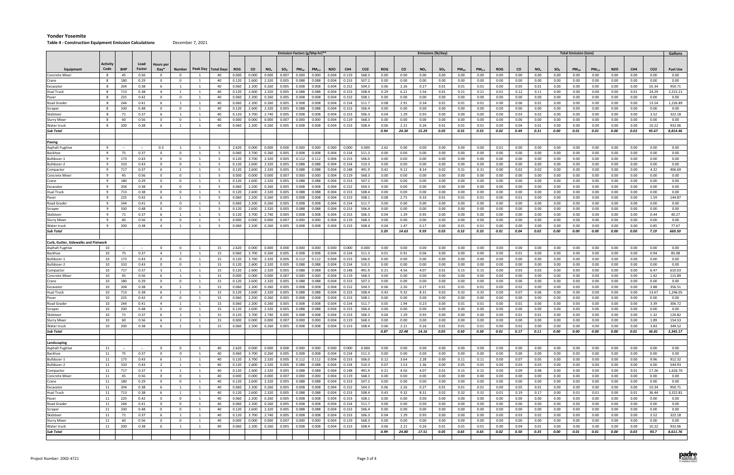#### **Table 4 ‐ Construction Equipment Emission Calculations** December 7, 2021

|                                      |                 |            |              |                                           |                                  |                |                       |                |                |                                  |                |                | Emission Factors (g/bhp-hr)**                           |                  |                |                 |              |              |                 | Emissions (lb/day) |              |                   |              |              |                 |              | <b>Total Emission (tons)</b> |                   |              |              |                 | Gallons          |
|--------------------------------------|-----------------|------------|--------------|-------------------------------------------|----------------------------------|----------------|-----------------------|----------------|----------------|----------------------------------|----------------|----------------|---------------------------------------------------------|------------------|----------------|-----------------|--------------|--------------|-----------------|--------------------|--------------|-------------------|--------------|--------------|-----------------|--------------|------------------------------|-------------------|--------------|--------------|-----------------|------------------|
|                                      |                 |            |              |                                           |                                  |                |                       |                |                |                                  |                |                |                                                         |                  |                |                 |              |              |                 |                    |              |                   |              |              |                 |              |                              |                   |              |              |                 |                  |
|                                      | <b>Activity</b> |            | Load         | <b>Hours</b> per                          |                                  |                |                       |                |                |                                  |                |                |                                                         |                  |                |                 |              |              |                 |                    |              |                   |              |              |                 |              |                              |                   |              |              |                 |                  |
| Equipment                            | Code            | <b>BHP</b> | Factor       | $Day*$                                    | Number                           |                | Peak Day   Total Days | ROG            | <b>CO</b>      | NO <sub>x</sub>                  | $SO_{X}$       | $PM_{10}$      | PM <sub>2.5</sub>                                       | N <sub>2</sub> O | CH4            | CO <sub>2</sub> | <b>ROG</b>   | <b>CO</b>    | NO <sub>x</sub> | $SO_{X}$           | $PM_{10}$    | PM <sub>2.5</sub> | <b>ROG</b>   | <b>CO</b>    | NO <sub>x</sub> | $SO_{X}$     | $PM_{10}$                    | PM <sub>2.5</sub> | <b>N2O</b>   | CH4          | CO <sub>2</sub> | <b>Fuel Use</b>  |
| <b>Concrete Mixer</b>                | 8               | 45<br>180  | 0.56<br>0.29 | $\Omega$<br>$\Omega$                      | $\Omega$                         | 1              | 40<br>40              | 0.000<br>0.120 | 0.000          | 0.000<br>2.320                   | 0.007<br>0.005 | 0.000<br>0.088 | 0.000                                                   | 0.004            | 0.119<br>0.153 | 568.3<br>507.2  | 0.00<br>0.00 | 0.00<br>0.00 | 0.00            | 0.00               | 0.00<br>0.00 | 0.00<br>0.00      | 0.00         | 0.00         | 0.00<br>0.00    | 0.00<br>0.00 | 0.00<br>0.00                 | 0.00              | 0.00         | 0.00<br>0.00 | 0.00<br>0.00    | 0.00<br>0.00     |
| Crane<br>Excavator                   | 8<br>8          | 204        | 0.38         | - 6                                       | $\overline{1}$                   | 1              | 40                    | 0.060          | 2.600<br>2.200 | 0.260                            | 0.005          | 0.008          | 0.088<br>0.008                                          | 0.004<br>0.004   | 0.152          | 504.3           | 0.06         | 2.26         | 0.00<br>0.27    | 0.00<br>0.01       | 0.01         | 0.01              | 0.00<br>0.00 | 0.00<br>0.05 | 0.01            | 0.00         | 0.00                         | 0.00<br>0.00      | 0.00<br>0.00 | 0.00         | 10.34           | 950.71           |
| Hual Truck                           | 8               | 713        | 0.38         | 4                                         | -1                               | 1              | 40                    | 0.120          | 2.600          | 2.320                            | 0.005          | 0.088          | 0.088                                                   | 0.004            | 0.153          | 508.4           | 0.29         | 6.21         | 5.54            | 0.01               | 0.21         | 0.21              | 0.01         | 0.12         | 0.11            | 0.00         | 0.00                         | 0.00              | 0.00         | 0.01         | 24.29           | 2,215.21         |
| Paver                                | 8               | 225        | 0.42         | $\overline{0}$                            | $\Omega$                         |                | 40                    | 0.060          | 2.200          | 0.260                            | 0.005          | 0.008          | 0.008                                                   | 0.004            | 0.153          | 508.1           | 0.00         | 0.00         | 0.00            | 0.00               | 0.00         | 0.00              | 0.00         | 0.00         | 0.00            | 0.00         | 0.00                         | 0.00              | 0.00         | 0.00         | 0.00            | 0.00             |
| Road Grader                          | 8               | 244        | 0.41         | - 6                                       |                                  | $\mathbf{1}$   | 40                    | 0.060          | 2.200          | 0.260                            | 0.005          | 0.008          | 0.008                                                   | 0.004            | 0.154          | 511.7           | 0.08         | 2.91         | 0.34            | 0.01               | 0.01         | 0.01              | 0.00         | 0.06         | 0.01            | 0.00         | 0.00                         | 0.00              | 0.00         | 0.00         | 13.54           | 1,226.89         |
| scraper                              | 8               | 330        | 0.48         | $\overline{0}$                            | . റ                              | 1              | 40                    | 0.120          | 2.600          | 2.320                            | 0.005          | 0.088          | 0.088                                                   | 0.004            | 0.153          | 506.4           | 0.00         | 0.00         | 0.00            | 0.00               | 0.00         | 0.00              | 0.00         | 0.00         | 0.00            | 0.00         | 0.00                         | 0.00              | 0.00         | 0.00         | 0.00            | 0.00             |
| Skidsteer                            | 8               | 71         | 0.37         | - 6                                       | -1                               | 1              | 40                    | 0.120          | 3.700          | 2.740                            | 0.005          | 0.008          | 0.008                                                   | 0.004            | 0.153          | 506.3           | 0.04         | 1.29         | 0.95            | 0.00               | 0.00         | 0.00              | 0.00         | 0.03         | 0.02            | 0.00         | 0.00                         | 0.00              | 0.00         | 0.00         | 3.52            | 322.18           |
| <b>Slurry Mixer</b>                  | 8               | 60         | 0.56         | $\Omega$                                  | $\Omega$                         | 1              | 40                    | 0.000          | 0.000          | 0.000                            | 0.007          | 0.000          | 0.000                                                   | 0.004            | 0.119          | 568.3           | 0.00         | 0.00         | 0.00            | 0.00               | 0.00         | 0.00              | 0.00         | 0.00         | 0.00            | 0.00         | 0.00                         | 0.00              | 0.00         | 0.00         | 0.00            | 0.00             |
| Water truck                          | 8               | 200        | 0.38         | -6                                        |                                  |                | 40                    | 0.060          | 2.200          | 0.260                            | 0.005          | 0.008          | 0.008                                                   | 0.004            | 0.153          | 508.4           | 0.06         | 2.21         | 0.26            | 0.01               | 0.01         | 0.01              | 0.00         | 0.04         | 0.01            | 0.00         | 0.00                         | 0.00              | 0.00         | 0.00         | 10.22           | 932.06           |
| Sub Total                            |                 |            |              |                                           |                                  |                |                       |                |                |                                  |                |                |                                                         |                  |                |                 | 0.94         | 24.30        | 15.29           | 0.05               | 0.55         | 0.55              | 0.02         | 0.49         | 0.31            | 0.00         | 0.01                         | 0.01              | 0.00         | 0.03         | 95.67           | 8,814.46         |
|                                      |                 |            |              |                                           |                                  |                |                       |                |                |                                  |                |                |                                                         |                  |                |                 |              |              |                 |                    |              |                   |              |              |                 |              |                              |                   |              |              |                 |                  |
| Paving                               |                 |            |              |                                           |                                  |                |                       |                |                |                                  |                |                |                                                         |                  |                |                 |              |              |                 |                    |              |                   |              |              |                 |              |                              |                   |              |              |                 |                  |
| <b>Asphalt Fugitive</b>              | 9               | $\sim$     | $\sim$       | 0.3                                       | - 1                              | 1              | - 5                   | 2.620          | 0.000          | 0.000                            | 0.000          | 0.000          | 0.000                                                   | 0.000            | 0.000          | 0.000           | 2.62         | 0.00         | 0.00            | 0.00               | 0.00         | 0.00              | 0.01         | 0.00         | 0.00            | 0.00         | 0.00                         | 0.00              | 0.00         | 0.00         | 0.00            | 0.00             |
| Backhoe                              | 9               | 75         | 0.37         | $\Omega$                                  | $\Omega$                         |                | - 5                   | 0.060          | 3.700          | 0.260                            | 0.005          | 0.008          | 0.008                                                   | 0.004            | 0.154          | 511.3           | 0.00         | 0.00         | 0.00            | 0.00               | 0.00         | 0.00              | 0.00         | 0.00         | 0.00            | 0.00         | 0.00                         | 0.00              | 0.00         | 0.00         | 0.00            | 0.00             |
| Bulldozer-1                          | 9               | 173        | 0.43         | $\Omega$                                  |                                  |                | -5                    | 0.120          | 3.700          | 2.320                            | 0.005          | 0.112          | 0.112                                                   | 0.004            | 0.153          | 506.0           | 0.00         | 0.00         | 0.00            | 0.00               | 0.00         | 0.00              | 0.00         | 0.00         | 0.00            | 0.00         | 0.00                         | 0.00              | 0.00         | 0.00         | 0.00            | 0.00             |
| Bulldozer-2                          | 9               | 310        | 0.43         | . റ                                       |                                  |                | -5                    | 0.120          | 2.600          | 2.320                            | 0.005          | 0.088          | 0.088                                                   | 0.004            | 0.154          | 510.3           | 0.00         | 0.00         | 0.00            | 0.00               | 0.00         | 0.00              | $0.00\,$     | 0.00         | 0.00            | 0.00         | 0.00                         | 0.00              | 0.00         | 0.00         | 0.00            | 0.00             |
| Compactor                            | 9               | 717        | 0.37         | - 6                                       | -1                               | 1              | 5                     | 0.120          | 2.600          | 2.320                            | 0.005          | 0.088          | 0.088                                                   | 0.004            | 0.148          | 491.9           | 0.42         | 9.12         | 8.14            | 0.02               | 0.31         | 0.31              | $0.00\,$     | 0.02         | 0.02            | 0.00         | 0.00                         | 0.00              | 0.00         | 0.00         | 4.32            | 406.69           |
| Concrete Mixer                       | 9<br>-9         | 45<br>180  | 0.56         | $\mathbf 0$<br>$\Omega$                   | $\Omega$                         | 1<br>1         | 5<br>- 5              | 0.000<br>0.120 | 0.000<br>2.600 | 0.000<br>2.320                   | 0.007<br>0.005 | 0.000<br>0.088 | 0.000<br>0.088                                          | 0.004            | 0.119          | 568.3<br>507.2  | 0.00<br>0.00 | 0.00<br>0.00 | 0.00<br>0.00    | 0.00<br>0.00       | 0.00         | 0.00              | $0.00\,$     | 0.00         | 0.00<br>0.00    | 0.00         | 0.00<br>0.00                 | 0.00<br>0.00      | 0.00<br>0.00 | 0.00<br>0.00 | 0.00            | 0.00<br>0.00     |
| Crane                                | 9               | 204        | 0.29<br>0.38 | $\overline{0}$                            | $\Omega$                         | 1              | 5                     | 0.060          | 2.200          | 0.260                            | 0.005          | 0.008          | 0.008                                                   | 0.004<br>0.004   | 0.153<br>0.152 | 504.3           | 0.00         | 0.00         | 0.00            | 0.00               | 0.00<br>0.00 | 0.00<br>0.00      | 0.00<br>0.00 | 0.00<br>0.00 | 0.00            | 0.00<br>0.00 | 0.00                         | 0.00              | 0.00         | 0.00         | 0.00<br>0.00    | 0.00             |
| Excavator<br>Hual Truck              | 9               | 713        | 0.38         | $\overline{0}$                            | $\Omega$                         | $\overline{1}$ | - 5                   | 0.120          | 2.600          | 2.320                            | 0.005          | 0.088          | 0.088                                                   | 0.004            | 0.153          | 508.4           | 0.00         | 0.00         | 0.00            | 0.00               | 0.00         | 0.00              | 0.00         | 0.00         | 0.00            | 0.00         | 0.00                         | 0.00              | 0.00         | 0.00         | 0.00            | 0.00             |
| Paver                                | 9               | 225        | 0.42         | - 6                                       | - 1                              | 1              | 5                     | 0.060          | 2.200          | 0.260                            | 0.005          | 0.008          | 0.008                                                   | 0.004            | 0.153          | 508.1           | 0.08         | 2.75         | 0.33            | 0.01               | 0.01         | 0.01              | 0.00         | 0.01         | 0.00            | 0.00         | 0.00                         | 0.00              | 0.00         | 0.00         | 1.59            | 144.87           |
| Road Grader                          | 9               | 244        | 0.41         | $\overline{0}$                            | $\mathbf{0}$                     | 1              | 5                     | 0.060          | 2.200          | 0.260                            | 0.005          | 0.008          | 0.008                                                   | 0.004            | 0.154          | 511.7           | 0.00         | 0.00         | 0.00            | 0.00               | 0.00         | 0.00              | 0.00         | 0.00         | 0.00            | 0.00         | 0.00                         | 0.00              | 0.00         | 0.00         | 0.00            | 0.00             |
| Scraper                              | 9               | 330        | 0.48         | $\Omega$                                  |                                  |                | - 5                   | 0.120          | 2.600          | 2.320                            | 0.005          | 0.088          | 0.088                                                   | 0.004            | 0.153          | 506.4           | 0.00         | 0.00         | 0.00            | 0.00               | 0.00         | 0.00              | 0.00         | 0.00         | 0.00            | 0.00         | 0.00                         | 0.00              | 0.00         | 0.00         | 0.00            | 0.00             |
| Skidsteer                            | -9              | 71         | 0.37         | -6                                        |                                  |                | - 5                   | 0.120          | 3.700          | 2.740                            | 0.005          | 0.008          | 0.008                                                   | 0.004            | 0.153          | 506.3           | 0.04         | 1.29         | 0.95            | 0.00               | 0.00         | 0.00              | 0.00         | 0.00         | 0.00            | 0.00         | 0.00                         | 0.00              | 0.00         | 0.00         | 0.44            | 40.27            |
| Slurry Mixer                         | -9              | 60         | 0.56         | . റ                                       |                                  |                |                       | 0.000          | 0.000          | 0.000                            | 0.007          | 0.000          | 0.000                                                   | 0.004            | 0.119          | 568.3           | 0.00         | 0.00         | 0.00            | 0.00               | 0.00         | 0.00              | 0.00         | 0.00         | 0.00            | 0.00         | 0.00                         | 0.00              | 0.00         | 0.00         | 0.00            | 0.00             |
| Water truck                          | 9               | 200        | 0.38         | $\overline{4}$                            | -1                               | 1              | 5                     | 0.060          | 2.200          | 0.260                            | 0.005          | 0.008          | 0.008                                                   | 0.004            | 0.153          | 508.4           | 0.04         | 1.47         | 0.17            | 0.00               | 0.01         | 0.01              | 0.00         | 0.00         | 0.00            | 0.00         | 0.00                         | 0.00              | 0.00         | 0.00         | 0.85            | 77.67            |
| Sub Total                            |                 |            |              |                                           |                                  |                |                       |                |                |                                  |                |                |                                                         |                  |                |                 | 3.20         | 14.63        | 9.59            | 0.03               | 0.33         | 0.33              | 0.01         | 0.04         | 0.02            | 0.00         | 0.00                         | 0.00              | 0.00         | 0.00         | 7.19            | 669.50           |
|                                      |                 |            |              |                                           |                                  |                |                       |                |                |                                  |                |                |                                                         |                  |                |                 |              |              |                 |                    |              |                   |              |              |                 |              |                              |                   |              |              |                 |                  |
| Curb, Gutter, Sidewalks and Flatwork |                 |            |              |                                           |                                  |                |                       |                |                |                                  |                |                |                                                         |                  |                |                 |              |              |                 |                    |              |                   |              |              |                 |              |                              |                   |              |              |                 |                  |
| <b>Asphalt Fugitive</b>              | 10              | $\sim$     | $\sim$       | $\Omega$                                  |                                  | 1              | 15                    | 2.620          | 0.000          | 0.000                            | 0.000          | 0.000          | 0.000                                                   | 0.000            | 0.000          | 0.000           | 0.00         | 0.00         | 0.00            | 0.00               | 0.00         | 0.00              | 0.00         | 0.00         | 0.00            | 0.00         | 0.00                         | 0.00              | 0.00         | 0.00         | 0.00            | 0.00             |
| Backhoe                              | 10              | 75         | 0.37         | $\overline{a}$                            | - 1                              | 1              | 15                    | 0.060          | 3.700          | 0.260                            | 0.005          | 0.008          | 0.008                                                   | 0.004            | 0.154          | 511.3           | 0.01         | 0.91         | 0.06            | 0.00               | 0.00         | 0.00              | 0.00         | 0.01         | 0.00            | 0.00         | 0.00                         | 0.00              | 0.00         | 0.00         | 0.94            | 85.08            |
| Bulldozer-1                          | 10              | 173        | 0.43         | $\mathbf 0$                               | $\mathbf{0}$                     | 1              | 15                    | 0.120          | 3.700          | 2.320                            | 0.005          | 0.112          | 0.112                                                   | 0.004            | 0.153          | 506.0           | 0.00         | 0.00         | 0.00            | 0.00               | 0.00         | 0.00              | 0.00         | 0.00         | 0.00            | 0.00         | 0.00                         | 0.00              | 0.00         | 0.00         | 0.00            | 0.00             |
| Bulldozer-2                          | 10              | 310        | 0.43<br>0.37 | $\overline{0}$<br>$\overline{\mathbf{3}}$ | $\overline{0}$<br>$\overline{1}$ | 1<br>1         | 15<br>15              | 0.120          | 2.600          | 2.320<br>2.320                   | 0.005          | 0.088          | 0.088                                                   | 0.004            | 0.154          | 510.3           | 0.00         | 0.00         | 0.00            | 0.00               | 0.00         | 0.00              | 0.00         | 0.00         | 0.00            | 0.00         | 0.00                         | 0.00              | 0.00         | 0.00         | 0.00            | 0.00             |
| Compactor<br><b>Concrete Mixer</b>   | 10<br>10        | 717<br>45  | 0.56         | - 6                                       |                                  |                | 15                    | 0.120<br>0.000 | 2.600<br>0.000 | 0.000                            | 0.005<br>0.007 | 0.088<br>0.000 | 0.088<br>0.000                                          | 0.004<br>0.004   | 0.148<br>0.119 | 491.9<br>568.3  | 0.21<br>0.00 | 4.56<br>0.00 | 4.07<br>0.00    | 0.01<br>0.00       | 0.15<br>0.00 | 0.15<br>0.00      | 0.00<br>0.00 | 0.03<br>0.00 | 0.03<br>0.00    | 0.00<br>0.00 | 0.00<br>0.00                 | 0.00<br>0.00      | 0.00<br>0.00 | 0.00<br>0.00 | 6.47<br>1.42    | 610.03<br>115.89 |
| Crane                                | 10              | 180        | 0.29         | $\overline{0}$                            | $\Omega$                         | 1              | 15                    | 0.120          | 2.600          | 2.320                            | 0.005          | 0.088          | 0.088                                                   | 0.004            | 0.153          | 507.2           | 0.00         | 0.00         | 0.00            | 0.00               | 0.00         | 0.00              | 0.00         | 0.00         | 0.00            | 0.00         | 0.00                         | 0.00              | 0.00         | 0.00         | 0.00            | 0.00             |
| Excavator                            | 10              | 204        | 0.38         | - 6                                       | -1                               | 1              | 15                    | 0.060          | 2.200          | 0.260                            | 0.005          | 0.008          | 0.008                                                   | 0.004            | 0.152          | 504.3           | 0.06         | 2.26         | 0.27            | 0.01               | 0.01         | 0.01              | $0.00\,$     | 0.02         | 0.00            | 0.00         | 0.00                         | 0.00              | 0.00         | 0.00         | 3.88            | 356.51           |
| Hual Truck                           | 10              | 713        | 0.38         | -6                                        |                                  | 1              | 15                    | 0.120          | 2.600          | 2.320                            | 0.005          | 0.088          | 0.088                                                   | 0.004            | 0.153          | 508.4           | 0.43         | 9.32         | 8.31            | 0.02               | 0.32         | 0.32              | 0.00         | 0.07         | 0.06            | 0.00         | 0.00                         | 0.00              | 0.00         | 0.00         | 13.67           | 1,246.05         |
| Paver                                | 10              | 225        | 0.42         | $\Omega$                                  | $\Omega$                         | $\mathbf{1}$   | 15                    | 0.060          | 2.200          | 0.260                            | 0.005          | 0.008          | 0.008                                                   | 0.004            | 0.153          | 508.1           | 0.00         | 0.00         | 0.00            | 0.00               | 0.00         | 0.00              | 0.00         | 0.00         | 0.00            | 0.00         | 0.00                         | 0.00              | 0.00         | 0.00         | 0.00            | 0.00             |
| Road Grader                          | 10              | 244        | 0.41         | $\overline{a}$                            | 1                                | 1              | 15                    | 0.060          | 2.200          | 0.260                            | 0.005          | 0.008          | 0.008                                                   | 0.004            | 0.154          | 511.7           | 0.05         | 1.94         | 0.23            | 0.00               | 0.01         | 0.01              | 0.00         | 0.01         | 0.00            | 0.00         | 0.00                         | 0.00              | 0.00         | 0.00         | 3.39            | 306.72           |
| Scraper                              | 10              | 330        | 0.48         | $\mathbf{0}$                              | $\Omega$                         | 1              | 15                    | 0.120          | 2.600          | 2.320                            | 0.005          | 0.088          | 0.088                                                   | 0.004            | 0.153          | 506.4           | 0.00         | 0.00         | 0.00            | 0.00               | 0.00         | 0.00              | 0.00         | 0.00         | 0.00            | 0.00         | 0.00                         | 0.00              | 0.00         | 0.00         | 0.00            | 0.00             |
| Skidsteer                            | 10              | 71         | 0.37         | - 6                                       |                                  | 1              | 15                    | 0.120          | 3.700          | 2.740                            | 0.005          | 0.008          | 0.008                                                   | 0.004            | 0.153          | 506.3           | 0.04         | 1.29         | 0.95            | 0.00               | 0.00         | 0.00              | 0.00         | 0.01         | 0.01            | 0.00         | 0.00                         | 0.00              | 0.00         | 0.00         | 1.32            | 120.82           |
| <b>Slurry Mixer</b>                  | 10              | 60         | 0.56         | - 6                                       | 1                                | 1              | - 15                  | 0.000          |                |                                  |                |                | $0.000$ $0.000$ $0.007$ $0.000$ $0.000$ $0.004$ $0.119$ |                  |                | 568.3           | 0.00         | 0.00         | 0.00            | 0.00               | 0.00         | 0.00              | 0.00         | 0.00         | 0.00            | 0.00         | 0.00                         | 0.00              | 0.00         | 0.00         | 1.89            | 154.53           |
| Water truck                          | 10              | 200        | 0.38         | - 6                                       | 1                                | 1              | 15                    | 0.060          |                | 2.200 0.260 0.005                |                | 0.008          | 0.008                                                   | 0.004            | 0.153          | 508.4           | 0.06         | 2.21         | 0.26            | 0.01               | 0.01         | 0.01              | 0.00         | 0.02         | 0.00            | 0.00         | 0.00                         | 0.00              | 0.00         | 0.00         | 3.83            | 349.52           |
| Sub Total                            |                 |            |              |                                           |                                  |                |                       |                |                |                                  |                |                |                                                         |                  |                |                 | 0.87         | 22.48        | 14.16           | 0.05               | 0.50         | 0.50              | 0.01         | 0.17         | 0.11            | 0.00         | 0.00                         | 0.00              | 0.00         | 0.01         | 36.81           | 3,345.17         |
|                                      |                 |            |              |                                           |                                  |                |                       |                |                |                                  |                |                |                                                         |                  |                |                 |              |              |                 |                    |              |                   |              |              |                 |              |                              |                   |              |              |                 |                  |
| Landscaping                          |                 |            |              |                                           |                                  |                |                       |                |                |                                  |                |                |                                                         |                  |                |                 |              |              |                 |                    |              |                   |              |              |                 |              |                              |                   |              |              |                 |                  |
| <b>Asphalt Fugitive</b>              | 11              | $\sim$     | $\sim$       | $\overline{0}$                            | $\Omega$                         | 1              | 40                    | 2.620          |                | $0.000$ $0.000$ $0.000$ $0.000$  |                |                | 0.000                                                   | 0.000            | 0.000          | 0.000           | 0.00         | 0.00         | 0.00            | 0.00               | 0.00         | 0.00              | 0.00         | 0.00         | 0.00            | 0.00         | 0.00                         | 0.00              | 0.00         | 0.00         | 0.00            | 0.00             |
| Backhoe<br>Bulldozer-1               | 11<br>11        | 75<br>173  | 0.37<br>0.43 | $\overline{0}$<br>- 6                     | $\Omega$<br>1                    | 1<br>1         | 40<br>40              | 0.060<br>0.120 | 3.700          | 0.260 0.005<br>3.700 2.320 0.005 |                | 0.008<br>0.112 | 0.008<br>0.112                                          | 0.004<br>0.004   | 0.154<br>0.153 | 511.3<br>506.0  | 0.00<br>0.12 | 0.00<br>3.64 | 0.00<br>2.28    | 0.00<br>0.00       | 0.00<br>0.11 | 0.00<br>0.11      | 0.00<br>0.00 | 0.00<br>0.07 | 0.00<br>0.05    | 0.00<br>0.00 | 0.00<br>0.00                 | 0.00<br>0.00      | 0.00<br>0.00 | 0.00<br>0.00 | 0.00<br>9.96    | 0.00<br>912.32   |
| Bulldozer-2                          | 11              | 310        | 0.43         | $\overline{2}$                            | $\mathbf{1}$                     | 1              | 40                    | 0.120          |                | 2.600 2.320 0.005                |                | 0.088          | 0.088                                                   | 0.004            | 0.154          | 510.3           | 0.07         | 1.53         | 1.36            | 0.00               | 0.05         | 0.05              | 0.00         | 0.03         | 0.03            | 0.00         | 0.00                         | 0.00              | 0.00         | 0.00         | 6.00            | 544.93           |
| Compactor                            | 11              | 717        | 0.37         | $\overline{\mathbf{3}}$                   | 1                                | 1              | 40                    | 0.120          |                | 2.600 2.320 0.005                |                | 0.088          | 0.088                                                   | 0.004            | 0.148          | 491.9           | 0.21         | 4.56         | 4.07            | 0.01               | 0.15         | 0.15              | 0.00         | 0.09         | 0.08            | 0.00         | 0.00                         | 0.00              | 0.00         | 0.01         | 17.26           | 1,626.76         |
| <b>Concrete Mixer</b>                | 11              | 45         | 0.56         | $\overline{0}$                            | $\mathbf 0$                      | 1              | 40                    | 0.000          |                | $0.000$ $0.000$ $0.007$          |                | 0.000          | 0.000                                                   | 0.004            | 0.119          | 568.3           | 0.00         | 0.00         | 0.00            | 0.00               | 0.00         | 0.00              | 0.00         | 0.00         | 0.00            | 0.00         | 0.00                         | 0.00              | 0.00         | 0.00         | 0.00            | 0.00             |
| Crane                                | 11              | 180        | 0.29         | $\overline{0}$                            | $\overline{0}$                   | 1              | 40                    | 0.120          |                | 2.600 2.320 0.005                |                | 0.088          | 0.088                                                   | 0.004            | 0.153          | 507.2           | 0.00         | 0.00         | 0.00            | 0.00               | 0.00         | 0.00              | 0.00         | 0.00         | 0.00            | 0.00         | 0.00                         | 0.00              | 0.00         | 0.00         | 0.00            | 0.00             |
| Excavator                            | 11              | 204        | 0.38         | - 6                                       | 1                                | 1              | 40                    | 0.060          | 2.200          | 0.260 0.005                      |                | 0.008          | 0.008                                                   | 0.004            | 0.152          | 504.3           | 0.06         | 2.26         | 0.27            | 0.01               | 0.01         | 0.01              | 0.00         | 0.05         | 0.01            | $0.00\,$     | 0.00                         | 0.00              | 0.00         | 0.00         | 10.34           | 950.71           |
| Hual Truck                           | 11              | 713        | 0.38         | - 6                                       | 1                                | 1              | 40                    | 0.120          |                | 2.600 2.320 0.005                |                | 0.088          | 0.088                                                   | 0.004            | 0.153          | 508.4           | 0.43         | 9.32         | 8.31            | 0.02               | 0.32         | 0.32              | 0.01         | 0.19         | 0.17            | 0.00         | 0.01                         | 0.01              | 0.00         | 0.01         | 36.44           | 3,322.81         |
| Paver                                | 11              | 225        | 0.42         | $\overline{0}$                            | $\mathbf{0}$                     | 1              | 40                    | 0.060          |                | 2.200 0.260 0.005 0.008          |                |                | 0.008                                                   | 0.004            | 0.153          | 508.1           | 0.00         | 0.00         | 0.00            | 0.00               | 0.00         | 0.00              | 0.00         | 0.00         | 0.00            | $0.00\,$     | 0.00                         | 0.00              | 0.00         | 0.00         | 0.00            | 0.00             |
| Road Grader                          | 11              | 244        | 0.41         | $\overline{0}$                            | $\mathbf 0$                      | 1              | 40                    | 0.060          | 2.200          | 0.260 0.005                      |                | 0.008          | 0.008                                                   | 0.004            | 0.154          | 511.7           | 0.00         | 0.00         | 0.00            | 0.00               | 0.00         | 0.00              | 0.00         | 0.00         | 0.00            | 0.00         | 0.00                         | 0.00              | 0.00         | 0.00         | 0.00            | 0.00             |
| Scraper                              | 11              | 330        | 0.48         | $\overline{0}$                            | $\Omega$                         | 1              | 40                    | 0.120          | 2.600          | 2.320 0.005                      |                | 0.088          | 0.088                                                   | 0.004            | 0.153          | 506.4           | 0.00         | 0.00         | 0.00            | 0.00               | 0.00         | 0.00              | 0.00         | 0.00         | 0.00            | 0.00         | 0.00                         | 0.00              | 0.00         | 0.00         | 0.00            | 0.00             |
| Skidsteer                            | 11              | 71         | 0.37         | - 6                                       | 1                                | 1              | 40                    | 0.120          |                | 3.700 2.740 0.005                |                | 0.008          | 0.008                                                   | 0.004            | 0.153          | 506.3           | 0.04         | 1.29         | 0.95            | 0.00               | 0.00         | 0.00              | 0.00         | 0.03         | 0.02            | 0.00         | 0.00                         | 0.00              | 0.00         | 0.00         | 3.52            | 322.18           |
| <b>Slurry Mixer</b>                  | 11              | 60         | 0.56         | $\mathbf 0$                               | $\mathbf{0}$                     | 1              | 40                    | 0.000          | 0.000          | 0.000 0.007                      |                | 0.000          | 0.000                                                   | 0.004            | 0.119          | 568.3           | 0.00         | 0.00         | 0.00            | 0.00               | 0.00         | 0.00              | 0.00         | 0.00         | 0.00            | 0.00         | 0.00                         | 0.00              | $0.00\,$     | 0.00         | 0.00            | 0.00             |
| Water truck                          | 11              | 200        | 0.38         | - 6                                       | 1                                | 1              | 40                    | 0.060          |                | 2.200 0.260 0.005                |                | 0.008          | 0.008                                                   | 0.004            | 0.153          | 508.4           | 0.06         | 2.21         | 0.26            | 0.01               | 0.01         | 0.01              | 0.00         | 0.04         | 0.01            | 0.00         | 0.00                         | 0.00              | 0.00         | 0.00         | 10.22           | 932.06           |
| Sub Total                            |                 |            |              |                                           |                                  |                |                       |                |                |                                  |                |                |                                                         |                  |                |                 | 0.99         | 24.80        | 17.51           | 0.05               | 0.65         | 0.65              | 0.02         | 0.50         | 0.35            | 0.00         | 0.01                         | 0.01              | 0.00         | 0.03         | 93.7            | 8,611.76         |
|                                      |                 |            |              |                                           |                                  |                |                       |                |                |                                  |                |                |                                                         |                  |                |                 |              |              |                 |                    |              |                   |              |              |                 |              |                              |                   |              |              |                 |                  |

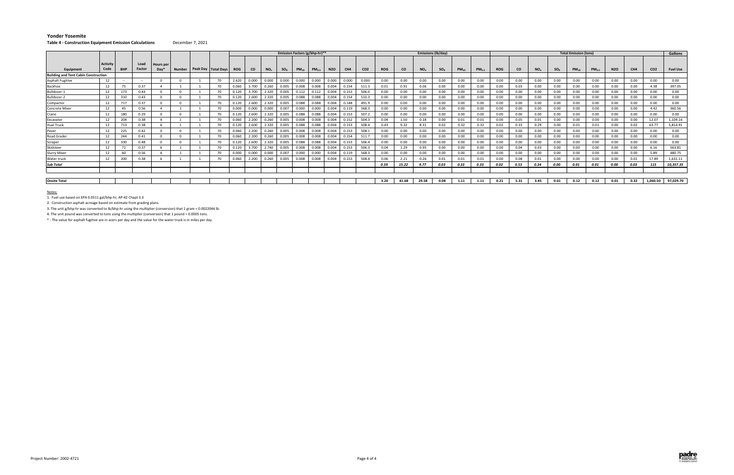#### **Table 4 ‐ Construction Equipment Emission Calculations** December 7, 2021

|                                             |                  |            |                |                            |  |                                | Emission Factors (g/bhp-hr)** |       |          |          |           |                   |                  |       |                 |            | <b>Emissions (lb/day)</b> |                 |          |           |                   |            |      | <b>Total Emission (tons)</b> |          |           |                   |            | Gallons         |                 |                 |
|---------------------------------------------|------------------|------------|----------------|----------------------------|--|--------------------------------|-------------------------------|-------|----------|----------|-----------|-------------------|------------------|-------|-----------------|------------|---------------------------|-----------------|----------|-----------|-------------------|------------|------|------------------------------|----------|-----------|-------------------|------------|-----------------|-----------------|-----------------|
| Equipment                                   | Activity<br>Code | <b>BHP</b> | Load<br>Factor | <b>Hours</b> per<br>$Day*$ |  | Number   Peak Day   Total Days | <b>ROG</b>                    | CO.   | $NO_{x}$ | $SO_{x}$ | $PM_{10}$ | PM <sub>2.5</sub> | N <sub>2</sub> O | CH4   | CO <sub>2</sub> | <b>ROG</b> | co                        | NO <sub>x</sub> | $SO_{x}$ | $PM_{10}$ | PM <sub>2.5</sub> | <b>ROG</b> | CO   | NO <sub>x</sub>              | $SO_{x}$ | $PM_{10}$ | PM <sub>2.5</sub> | <b>N2O</b> | CH <sub>4</sub> | CO <sub>2</sub> | <b>Fuel Use</b> |
| <b>Building and Tent Cabin Construction</b> |                  |            |                |                            |  |                                |                               |       |          |          |           |                   |                  |       |                 |            |                           |                 |          |           |                   |            |      |                              |          |           |                   |            |                 |                 |                 |
| <b>Asphalt Fugitive</b>                     | 12               | $\sim$     | $\sim$         |                            |  | 70                             | 2.620                         | 0.000 | 0.000    | 0.000    | 0.000     | 0.000             | 0.000            | 0.000 | 0.000           | 0.00       | 0.00                      | 0.00            | 0.00     | 0.00      | 0.00              | 0.00       | 0.00 | 0.00                         | 0.00     | 0.00      | 0.00              | 0.00       | 0.00            | 0.00            | 0.00            |
| Backhoe                                     | 12               | 75         | 0.37           |                            |  | 70                             | 0.060                         | 3.700 | 0.260    | 0.005    | 0.008     | 0.008             | 0.004            | 0.154 | 511.3           | 0.01       | 0.91                      | 0.06            | 0.00     | 0.00      | 0.00              | 0.00       | 0.03 | 0.00                         | 0.00     | 0.00      | 0.00              | 0.00       | 0.00            | 4.38            | 397.05          |
| Bulldozer-1                                 | 12               |            | 0.43           |                            |  | 70                             | 0.120                         | 3.700 | 2.320    | 0.005    | 0.112     | 0.11              | 0.004            | 0.153 | 506.0           | 0.00       | 0.00                      | 0.00            | 0.00     | 0.00      |                   | 0.00       | 0.00 | 0.00                         | 0.00     | 0.00      | 0.00              | 0.00       | 0.00            | 0.00            | 0.00            |
| Bulldozer-2                                 | 12               | 310        | 0.43           |                            |  | 70                             | 0.120                         | 2.600 | 2.320    | 0.005    | 0.088     | 0.088             | 0.004            | 0.154 | 510.3           | 0.00       | 0.00                      | $0.00\,$        | 0.00     | 0.00      | 0.00              | 0.00       | 0.00 | 0.00                         | 0.00     | 0.00      | 0.00              | 0.00       | 0.00            | 0.00            | 0.00            |
| Compactor                                   | 12               | 717        | 0.37           |                            |  | 70                             | 0.120                         | 2.600 | 2.320    | 0.005    | 0.088     | 0.088             | 0.004            | 0.148 | 491.9           | 0.00       | 0.00                      | 0.00            | 0.00     | 0.00      | 0.00              | 0.00       | 0.00 | 0.00                         | 0.00     | 0.00      | 0.00              | 0.00       | 0.00            | 0.00            | 0.00            |
| Concrete Mixer                              | 12               | 45         | 0.56           |                            |  | 70                             | 0.000                         | 0.000 | 0.000    | 0.007    | 0.000     | 0.000             | 0.004            | 0.119 | 568.3           | 0.00       | 0.00                      | 0.00            | 0.00     | 0.00      | 0.00              | 0.00       | 0.00 | 0.00                         | 0.00     | 0.00      | 0.00              | 0.00       | 0.00            | 4.42            | 360.56          |
| Crane                                       | 12               | 180        | 0.29           |                            |  | 70                             | 0.120                         | 2.600 | 2.320    | 0.005    | 0.088     | 0.088             | 0.004            | 0.153 | 507.2           | 0.00       | 0.00                      | 0.00            | 0.00     | 0.00      | 0.00              | 0.00       | 0.00 | 0.00                         | 0.00     | 0.00      | 0.00              | 0.00       | 0.00            | 0.00            | 0.00            |
| Excavator                                   | 12               | 204        | 0.38           |                            |  | 70                             | 0.060                         | 2.200 | 0.260    | 0.005    | 0.008     | 0.003             | 0.004            | 0.152 | 504.3           | 0.04       | 1.50                      | 0.18            | 0.00     | 0.01      | 0.01              | 0.00       | 0.05 | 0.01                         | 0.00     | 0.00      | 0.00              | 0.00       | 0.00            | 12.07           | 1,109.16        |
| <b>Hual Truck</b>                           | 12               |            | 0.38           |                            |  | 70                             | 0.120                         | 2.600 | 2.320    | 0.005    | 0.088     | 0.088             | 0.004            | 0.153 | 508.4           | 0.43       | 9.32                      | 8.31            | 0.02     | 0.32      | 0.32              | 0.02       | 0.33 | 0.29                         | 0.00     | 0.01      | 0.01              | 0.00       | 0.02            | 63.77           | 5,814.91        |
| Paver                                       | 12               | 225        | 0.42           |                            |  | 70                             | 0.060                         | 2.200 | 0.260    | 0.005    | 0.008     | 0.003             | 0.004            | 0.153 | 508.1           | 0.00       | 0.00                      | 0.00            | 0.00     | 0.00      | 0.00              | 0.00       | 0.00 | 0.00                         | 0.00     | 0.00      | 0.00              | 0.00       | 0.00            | 0.00            | 0.00            |
| Road Grader                                 | 12               | 244        | 0.41           |                            |  | 70                             | 0.060                         | 2.200 | 0.260    | 0.005    | 0.008     | 0.008             | 0.004            | 0.154 | 511.7           | 0.00       | 0.00                      | 0.00            | 0.00     | 0.00      | 0.00              | 0.00       | 0.00 | 0.00                         | 0.00     | 0.00      | 0.00              | 0.00       | 0.00            | 0.00            | 0.00            |
| Scraper                                     | 12               | 330        | 0.48           |                            |  | 70                             | 0.120                         | 2.600 | 2.320    | 0.005    | 0.088     | 0.088             | 0.004            | 0.153 | 506.4           | 0.00       | 0.00                      | 0.00            | 0.00     | 0.00      | 0.00              | 0.00       | 0.00 | 0.00                         | 0.00     | 0.00      | 0.00              | 0.00       | 0.00            | 0.00            | 0.00            |
| Skidsteer                                   | 12               |            | 0.37           |                            |  | 70                             | 0.120                         | 3.700 | 2.740    | 0.005    | 0.008     | 0.008             | 0.004            | 0.153 | 506.3           | 0.04       | 1.29                      | 0.95            | 0.00     | 0.00      | 0.00              | 0.00       | 0.04 | 0.03                         | 0.00     | 0.00      | 0.00              | 0.00       | 0.00            | 6.16            | 563.81          |
| <b>Slurry Mixer</b>                         | 12               | 60         | 0.56           |                            |  | 70                             | 0.000                         | 0.000 | 0.000    | 0.007    | 0.000     | 0.000             | 0.004            | 0.119 | 568.3           | 0.00       | 0.00                      | 0.00            | 0.00     | 0.00      |                   | $0.00\,$   | 0.00 | 0.00                         | 0.00     | 0.00      | 0.00              | 0.00       | 0.00            | 5.89            | 480.75          |
| Water truck                                 | 12               | 200        | 0.38           |                            |  | 70                             | 0.060                         | 2.200 | 0.260    | 0.005    | 0.008     | 0.008             | 0.004            | 0.153 | 508.4           | 0.06       | 2.21                      | 0.26            | 0.01     | 0.01      | 0.01              | $0.00\,$   | 0.08 | 0.01                         | 0.00     | 0.00      | 0.00              | 0.00       | 0.01            | 17.89           | 1,631.11        |
| Sub Total                                   |                  |            |                |                            |  |                                |                               |       |          |          |           |                   |                  |       |                 | 0.59       | 15.22                     | 9.77            | 0.03     | 0.33      | 0.33              | 0.02       | 0.53 | 0.34                         | 0.00     | 0.01      | 0.01              | 0.00       | 0.03            | 115             | 10,357.35       |
|                                             |                  |            |                |                            |  |                                |                               |       |          |          |           |                   |                  |       |                 |            |                           |                 |          |           |                   |            |      |                              |          |           |                   |            |                 |                 |                 |
|                                             |                  |            |                |                            |  |                                |                               |       |          |          |           |                   |                  |       |                 |            |                           |                 |          |           |                   |            |      |                              |          |           |                   |            |                 |                 |                 |
| <b>Onsite Total</b>                         |                  |            |                |                            |  |                                |                               |       |          |          |           |                   |                  |       |                 | 3.20       | 41.68                     | 29.58           | 0.08     | 1.11      | 1.11              | 0.21       | 5.31 | 3.45                         | 0.01     | 0.12      | 0.12              | 0.01       | 0.32            | 1,060.50        | 97,029.70       |

<u>Notes:</u><br>1. Fuel use based on EPA 0.0511 gal/bhp-hr, AP-42 Chapt 3.3

2. Construction asphalt acreage based on estimate from grading plans.

3. The unit g/bhp‐hr was converted to lb/bhp‐hr using the multiplier (conversion) that 1 gram <sup>=</sup> 0.0022046 lb.

4. The unit pound was converted to tons using the multiplier (conversion) that 1 pound <sup>=</sup> 0.0005 tons.

\* ‐ The value for asphalt fugitive are in acers per day and the value for the water truck is in miles per day.

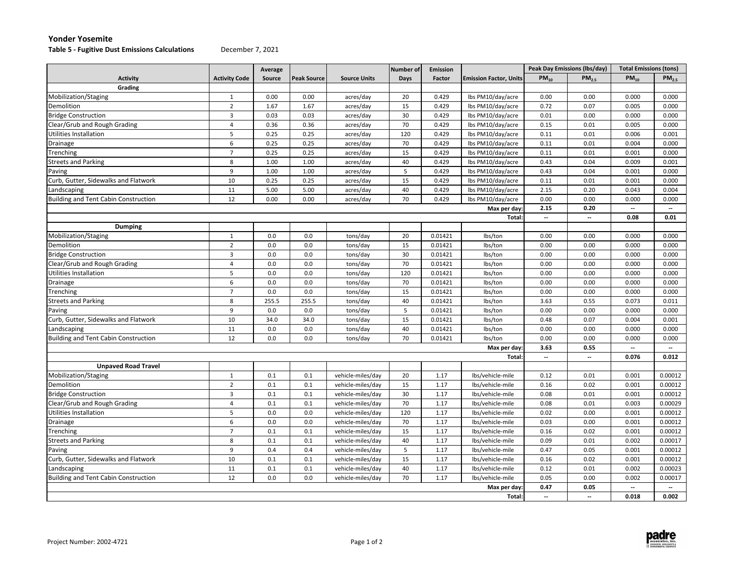#### **Table 5 ‐ Fugitive Dust Emissions Calculations** December 7, 2021

|                                             |                         | Average |                    |                     | <b>Number of</b> | <b>Emission</b> |                               |                          | Peak Day Emissions (lbs/day) | <b>Total Emissions (tons)</b> |                          |
|---------------------------------------------|-------------------------|---------|--------------------|---------------------|------------------|-----------------|-------------------------------|--------------------------|------------------------------|-------------------------------|--------------------------|
| <b>Activity</b>                             | <b>Activity Code</b>    | Source  | <b>Peak Source</b> | <b>Source Units</b> | Days             | Factor          | <b>Emission Factor, Units</b> | $PM_{10}$                | PM <sub>25</sub>             | $PM_{10}$                     | $PM_{25}$                |
| Grading                                     |                         |         |                    |                     |                  |                 |                               |                          |                              |                               |                          |
| Mobilization/Staging                        | $\mathbf{1}$            | 0.00    | 0.00               | acres/day           | 20               | 0.429           | lbs PM10/day/acre             | 0.00                     | 0.00                         | 0.000                         | 0.000                    |
| Demolition                                  | $\overline{2}$          | 1.67    | 1.67               | acres/day           | 15               | 0.429           | lbs PM10/day/acre             | 0.72                     | 0.07                         | 0.005                         | 0.000                    |
| <b>Bridge Construction</b>                  | $\overline{3}$          | 0.03    | 0.03               | acres/day           | 30               | 0.429           | lbs PM10/day/acre             | 0.01                     | 0.00                         | 0.000                         | 0.000                    |
| Clear/Grub and Rough Grading                | $\overline{4}$          | 0.36    | 0.36               | acres/day           | 70               | 0.429           | lbs PM10/day/acre             | 0.15                     | 0.01                         | 0.005                         | 0.000                    |
| <b>Utilities Installation</b>               | 5                       | 0.25    | 0.25               | acres/day           | 120              | 0.429           | lbs PM10/day/acre             | 0.11                     | 0.01                         | 0.006                         | 0.001                    |
| Drainage                                    | 6                       | 0.25    | 0.25               | acres/day           | 70               | 0.429           | lbs PM10/day/acre             | 0.11                     | 0.01                         | 0.004                         | 0.000                    |
| Trenching                                   | $\overline{7}$          | 0.25    | 0.25               | acres/day           | 15               | 0.429           | lbs PM10/day/acre             | 0.11                     | 0.01                         | 0.001                         | 0.000                    |
| <b>Streets and Parking</b>                  | 8                       | 1.00    | 1.00               | acres/day           | 40               | 0.429           | lbs PM10/day/acre             | 0.43                     | 0.04                         | 0.009                         | 0.001                    |
| Paving                                      | 9                       | 1.00    | 1.00               | acres/day           | 5                | 0.429           | lbs PM10/day/acre             | 0.43                     | 0.04                         | 0.001                         | 0.000                    |
| Curb, Gutter, Sidewalks and Flatwork        | 10                      | 0.25    | 0.25               | acres/day           | 15               | 0.429           | lbs PM10/day/acre             | 0.11                     | 0.01                         | 0.001                         | 0.000                    |
| Landscaping                                 | 11                      | 5.00    | 5.00               | acres/day           | 40               | 0.429           | lbs PM10/day/acre             | 2.15                     | 0.20                         | 0.043                         | 0.004                    |
| <b>Building and Tent Cabin Construction</b> | 12                      | 0.00    | 0.00               | acres/day           | 70               | 0.429           | lbs PM10/day/acre             | 0.00                     | 0.00                         | 0.000                         | 0.000                    |
|                                             |                         |         |                    |                     |                  |                 | Max per day                   | 2.15                     | 0.20                         | $\overline{\phantom{a}}$      | $\overline{\phantom{a}}$ |
|                                             |                         |         |                    |                     |                  |                 | Total:                        | $\overline{\phantom{a}}$ | $\overline{\phantom{a}}$     | 0.08                          | 0.01                     |
| <b>Dumping</b>                              |                         |         |                    |                     |                  |                 |                               |                          |                              |                               |                          |
| Mobilization/Staging                        | $\mathbf{1}$            | 0.0     | 0.0                | tons/day            | 20               | 0.01421         | lbs/ton                       | 0.00                     | 0.00                         | 0.000                         | 0.000                    |
| Demolition                                  | $\overline{2}$          | 0.0     | 0.0                | tons/day            | 15               | 0.01421         | lbs/ton                       | 0.00                     | 0.00                         | 0.000                         | 0.000                    |
| <b>Bridge Construction</b>                  | $\overline{\mathbf{3}}$ | 0.0     | 0.0                | tons/day            | 30               | 0.01421         | lbs/ton                       | 0.00                     | 0.00                         | 0.000                         | 0.000                    |
| Clear/Grub and Rough Grading                | $\overline{4}$          | 0.0     | 0.0                | tons/day            | 70               | 0.01421         | lbs/ton                       | 0.00                     | 0.00                         | 0.000                         | 0.000                    |
| Utilities Installation                      | 5                       | 0.0     | 0.0                | tons/day            | 120              | 0.01421         | lbs/ton                       | 0.00                     | 0.00                         | 0.000                         | 0.000                    |
| Drainage                                    | 6                       | 0.0     | 0.0                | tons/day            | 70               | 0.01421         | lbs/ton                       | 0.00                     | 0.00                         | 0.000                         | 0.000                    |
| Trenching                                   | $\overline{7}$          | 0.0     | 0.0                | tons/day            | 15               | 0.01421         | lbs/ton                       | 0.00                     | 0.00                         | 0.000                         | 0.000                    |
| <b>Streets and Parking</b>                  | 8                       | 255.5   | 255.5              | tons/day            | 40               | 0.01421         | lbs/ton                       | 3.63                     | 0.55                         | 0.073                         | 0.011                    |
| Paving                                      | 9                       | 0.0     | 0.0                | tons/day            | 5                | 0.01421         | lbs/ton                       | 0.00                     | 0.00                         | 0.000                         | 0.000                    |
| Curb, Gutter, Sidewalks and Flatwork        | 10                      | 34.0    | 34.0               | tons/day            | 15               | 0.01421         | lbs/ton                       | 0.48                     | 0.07                         | 0.004                         | 0.001                    |
| Landscaping                                 | 11                      | 0.0     | 0.0                | tons/day            | 40               | 0.01421         | lbs/ton                       | 0.00                     | 0.00                         | 0.000                         | 0.000                    |
| <b>Building and Tent Cabin Construction</b> | 12                      | 0.0     | 0.0                | tons/day            | 70               | 0.01421         | lbs/ton                       | 0.00                     | 0.00                         | 0.000                         | 0.000                    |
|                                             |                         |         |                    |                     |                  |                 | Max per day                   | 3.63                     | 0.55                         | $\overline{\phantom{a}}$      | $\overline{\phantom{a}}$ |
|                                             |                         |         |                    |                     |                  |                 | Total                         | $\overline{\phantom{a}}$ | −                            | 0.076                         | 0.012                    |
| <b>Unpaved Road Travel</b>                  |                         |         |                    |                     |                  |                 |                               |                          |                              |                               |                          |
| Mobilization/Staging                        | $\mathbf{1}$            | 0.1     | 0.1                | vehicle-miles/day   | 20               | 1.17            | lbs/vehicle-mile              | 0.12                     | 0.01                         | 0.001                         | 0.00012                  |
| Demolition                                  | $\overline{2}$          | 0.1     | 0.1                | vehicle-miles/day   | 15               | 1.17            | lbs/vehicle-mile              | 0.16                     | 0.02                         | 0.001                         | 0.00012                  |
| <b>Bridge Construction</b>                  | $\overline{\mathbf{3}}$ | 0.1     | 0.1                | vehicle-miles/day   | 30               | 1.17            | lbs/vehicle-mile              | 0.08                     | 0.01                         | 0.001                         | 0.00012                  |
| Clear/Grub and Rough Grading                | $\overline{4}$          | 0.1     | 0.1                | vehicle-miles/day   | 70               | 1.17            | Ibs/vehicle-mile              | 0.08                     | 0.01                         | 0.003                         | 0.00029                  |
| Utilities Installation                      | 5                       | 0.0     | 0.0                | vehicle-miles/day   | 120              | 1.17            | lbs/vehicle-mile              | 0.02                     | 0.00                         | 0.001                         | 0.00012                  |
| Drainage                                    | 6                       | 0.0     | 0.0                | vehicle-miles/day   | 70               | 1.17            | Ibs/vehicle-mile              | 0.03                     | 0.00                         | 0.001                         | 0.00012                  |
| Trenching                                   | $\overline{7}$          | 0.1     | 0.1                | vehicle-miles/day   | 15               | 1.17            | Ibs/vehicle-mile              | 0.16                     | 0.02                         | 0.001                         | 0.00012                  |
| <b>Streets and Parking</b>                  | 8                       | 0.1     | 0.1                | vehicle-miles/day   | 40               | 1.17            | Ibs/vehicle-mile              | 0.09                     | 0.01                         | 0.002                         | 0.00017                  |
| Paving                                      | 9                       | 0.4     | 0.4                | vehicle-miles/day   | 5                | 1.17            | Ibs/vehicle-mile              | 0.47                     | 0.05                         | 0.001                         | 0.00012                  |
| Curb, Gutter, Sidewalks and Flatwork        | 10                      | 0.1     | 0.1                | vehicle-miles/day   | 15               | 1.17            | Ibs/vehicle-mile              | 0.16                     | 0.02                         | 0.001                         | 0.00012                  |
| Landscaping                                 | 11                      | 0.1     | 0.1                | vehicle-miles/day   | 40               | 1.17            | Ibs/vehicle-mile              | 0.12                     | 0.01                         | 0.002                         | 0.00023                  |
| <b>Building and Tent Cabin Construction</b> | 12                      | 0.0     | 0.0                | vehicle-miles/day   | 70               | 1.17            | Ibs/vehicle-mile              | 0.05                     | 0.00                         | 0.002                         | 0.00017                  |
|                                             |                         |         |                    |                     |                  |                 | Max per day                   | 0.47                     | 0.05                         | $\overline{\phantom{a}}$      | $\overline{\phantom{a}}$ |
|                                             |                         |         |                    |                     |                  |                 | Total:                        | $\overline{\phantom{a}}$ | --                           | 0.018                         | 0.002                    |

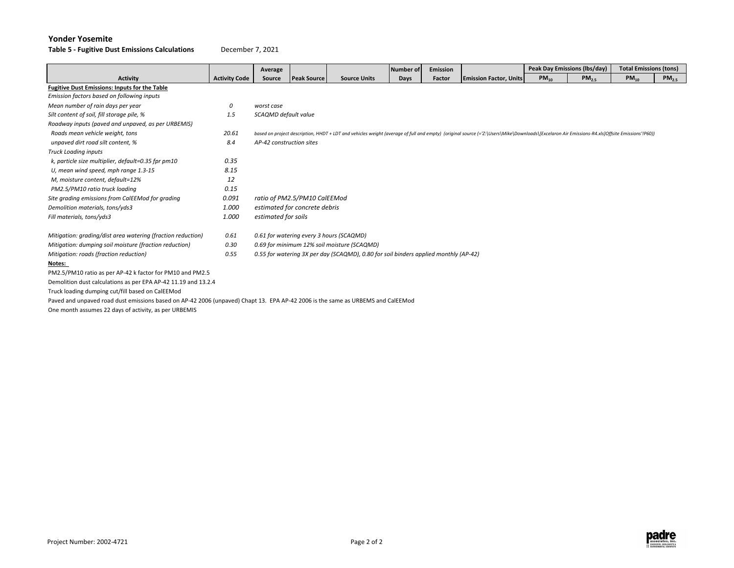**Table 5 ‐ Fugitive Dust Emissions Calculations** December 7, 2021

|                                                                                                                                 |                      | Average                  |                               |                                                                                      | Number of | <b>Emission</b> |                                                                                                                                                                                               |           | Peak Day Emissions (Ibs/day) | <b>Total Emissions (tons)</b> |                   |
|---------------------------------------------------------------------------------------------------------------------------------|----------------------|--------------------------|-------------------------------|--------------------------------------------------------------------------------------|-----------|-----------------|-----------------------------------------------------------------------------------------------------------------------------------------------------------------------------------------------|-----------|------------------------------|-------------------------------|-------------------|
| <b>Activity</b>                                                                                                                 | <b>Activity Code</b> | Source                   | <b>Peak Source</b>            | <b>Source Units</b>                                                                  | Days      | Factor          | <b>Emission Factor, Units</b>                                                                                                                                                                 | $PM_{10}$ | $PM_{25}$                    | $PM_{10}$                     | PM <sub>2.5</sub> |
| <b>Fugitive Dust Emissions: Inputs for the Table</b>                                                                            |                      |                          |                               |                                                                                      |           |                 |                                                                                                                                                                                               |           |                              |                               |                   |
| Emission factors based on following inputs                                                                                      |                      |                          |                               |                                                                                      |           |                 |                                                                                                                                                                                               |           |                              |                               |                   |
| Mean number of rain days per year                                                                                               | 0                    | worst case               |                               |                                                                                      |           |                 |                                                                                                                                                                                               |           |                              |                               |                   |
| Silt content of soil, fill storage pile, %                                                                                      | 1.5                  | SCAQMD default value     |                               |                                                                                      |           |                 |                                                                                                                                                                                               |           |                              |                               |                   |
| Roadway inputs (paved and unpaved, as per URBEMIS)                                                                              |                      |                          |                               |                                                                                      |           |                 |                                                                                                                                                                                               |           |                              |                               |                   |
| Roads mean vehicle weight, tons                                                                                                 | 20.61                |                          |                               |                                                                                      |           |                 | based on project description, HHDT + LDT and vehicles weight (average of full and empty) (original source (='Z:\Users\Mike\Downloads\[Excelaron Air Emissions-R4.xls]Offsite Emissions'!P60)) |           |                              |                               |                   |
| unpaved dirt road silt content, %                                                                                               | 8.4                  | AP-42 construction sites |                               |                                                                                      |           |                 |                                                                                                                                                                                               |           |                              |                               |                   |
| <b>Truck Loading inputs</b>                                                                                                     |                      |                          |                               |                                                                                      |           |                 |                                                                                                                                                                                               |           |                              |                               |                   |
| k, particle size multiplier, default=0.35 fpr pm10                                                                              | 0.35                 |                          |                               |                                                                                      |           |                 |                                                                                                                                                                                               |           |                              |                               |                   |
| U, mean wind speed, mph range 1.3-15                                                                                            | 8.15                 |                          |                               |                                                                                      |           |                 |                                                                                                                                                                                               |           |                              |                               |                   |
| M, moisture content, default=12%                                                                                                | 12                   |                          |                               |                                                                                      |           |                 |                                                                                                                                                                                               |           |                              |                               |                   |
| PM2.5/PM10 ratio truck loading                                                                                                  | 0.15                 |                          |                               |                                                                                      |           |                 |                                                                                                                                                                                               |           |                              |                               |                   |
| Site grading emissions from CalEEMod for grading                                                                                | 0.091                |                          | ratio of PM2.5/PM10 CalEEMod  |                                                                                      |           |                 |                                                                                                                                                                                               |           |                              |                               |                   |
| Demolition materials, tons/yds3                                                                                                 | 1.000                |                          | estimated for concrete debris |                                                                                      |           |                 |                                                                                                                                                                                               |           |                              |                               |                   |
| Fill materials, tons/yds3                                                                                                       | 1.000                | estimated for soils      |                               |                                                                                      |           |                 |                                                                                                                                                                                               |           |                              |                               |                   |
| Mitigation: grading/dist area watering (fraction reduction)                                                                     | 0.61                 |                          |                               | 0.61 for watering every 3 hours (SCAQMD)                                             |           |                 |                                                                                                                                                                                               |           |                              |                               |                   |
| Mitigation: dumping soil moisture (fraction reduction)                                                                          | 0.30                 |                          |                               | 0.69 for minimum 12% soil moisture (SCAQMD)                                          |           |                 |                                                                                                                                                                                               |           |                              |                               |                   |
| Mitigation: roads (fraction reduction)                                                                                          | 0.55                 |                          |                               | 0.55 for watering 3X per day (SCAQMD), 0.80 for soil binders applied monthly (AP-42) |           |                 |                                                                                                                                                                                               |           |                              |                               |                   |
| Notes:                                                                                                                          |                      |                          |                               |                                                                                      |           |                 |                                                                                                                                                                                               |           |                              |                               |                   |
| PM2.5/PM10 ratio as per AP-42 k factor for PM10 and PM2.5                                                                       |                      |                          |                               |                                                                                      |           |                 |                                                                                                                                                                                               |           |                              |                               |                   |
| Demolition dust calculations as per EPA AP-42 11.19 and 13.2.4                                                                  |                      |                          |                               |                                                                                      |           |                 |                                                                                                                                                                                               |           |                              |                               |                   |
| Truck loading dumping cut/fill based on CalEEMod                                                                                |                      |                          |                               |                                                                                      |           |                 |                                                                                                                                                                                               |           |                              |                               |                   |
| Paved and unpaved road dust emissions based on AP-42 2006 (unpaved) Chapt 13. EPA AP-42 2006 is the same as URBEMS and CalEEMod |                      |                          |                               |                                                                                      |           |                 |                                                                                                                                                                                               |           |                              |                               |                   |
| One month assumes 22 days of activity, as per URBEMIS                                                                           |                      |                          |                               |                                                                                      |           |                 |                                                                                                                                                                                               |           |                              |                               |                   |

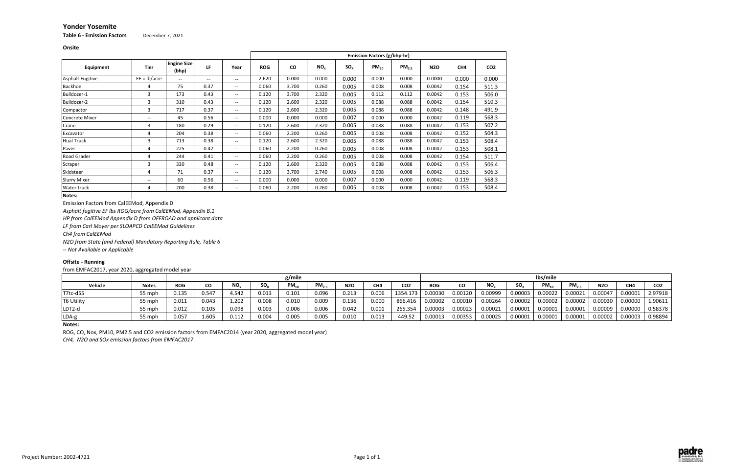**Onsite**

**Table 6 ‐ Emission Factors** December 7, 2021

**Notes:**

Emission Factors from CalEEMod, Appendix D

*Asphalt fugitive EF lbs ROG/acre from CalEEMod, Appendix B.1*

*HP from CalEEMod Appendix D from OFFROAD and applicant data*

*LF from Carl Moyer per SLOAPCD CalEEMod Guidelines*

*Ch4 from CalEEMod*

*N2O from State (and Federal) Mandatory Reporting Rule, Table 6*

*‐‐ Not Available or Applicable*

## **Offsite ‐ Running**

from EMFAC2017, year 2020, aggregated model year

|                         |                          |                             |                                       |       |            |           |                 |          | <b>Emission Factors (g/bhp-hr)</b> |                   |            |                 |                 |
|-------------------------|--------------------------|-----------------------------|---------------------------------------|-------|------------|-----------|-----------------|----------|------------------------------------|-------------------|------------|-----------------|-----------------|
| Equipment               | <b>Tier</b>              | <b>Engine Size</b><br>(bhp) | LF                                    | Year  | <b>ROG</b> | <b>CO</b> | NO <sub>x</sub> | $SO_{x}$ | $PM_{10}$                          | PM <sub>2.5</sub> | <b>N2O</b> | CH <sub>4</sub> | CO <sub>2</sub> |
| <b>Asphalt Fugitive</b> | $EF = lb/acre$           | $- -$                       | $\hspace{0.05cm}$ – $\hspace{0.05cm}$ | $- -$ | 2.620      | 0.000     | 0.000           | 0.000    | 0.000                              | 0.000             | 0.0000     | 0.000           | 0.000           |
| <b>Backhoe</b>          | 4                        | 75                          | 0.37                                  | $- -$ | 0.060      | 3.700     | 0.260           | 0.005    | 0.008                              | 0.008             | 0.0042     | 0.154           | 511.3           |
| Bulldozer-1             | 3                        | 173                         | 0.43                                  | $- -$ | 0.120      | 3.700     | 2.320           | 0.005    | 0.112                              | 0.112             | 0.0042     | 0.153           | 506.0           |
| Bulldozer-2             | 3                        | 310                         | 0.43                                  | $- -$ | 0.120      | 2.600     | 2.320           | 0.005    | 0.088                              | 0.088             | 0.0042     | 0.154           | 510.3           |
| Compactor               | 3                        | 717                         | 0.37                                  | $- -$ | 0.120      | 2.600     | 2.320           | 0.005    | 0.088                              | 0.088             | 0.0042     | 0.148           | 491.9           |
| <b>Concrete Mixer</b>   | $\overline{\phantom{a}}$ | 45                          | 0.56                                  | $- -$ | 0.000      | 0.000     | 0.000           | 0.007    | 0.000                              | 0.000             | 0.0042     | 0.119           | 568.3           |
| Crane                   | 3                        | 180                         | 0.29                                  | $- -$ | 0.120      | 2.600     | 2.320           | 0.005    | 0.088                              | 0.088             | 0.0042     | 0.153           | 507.2           |
| Excavator               | 4                        | 204                         | 0.38                                  | $- -$ | 0.060      | 2.200     | 0.260           | 0.005    | 0.008                              | 0.008             | 0.0042     | 0.152           | 504.3           |
| <b>Hual Truck</b>       | 3                        | 713                         | 0.38                                  | $- -$ | 0.120      | 2.600     | 2.320           | 0.005    | 0.088                              | 0.088             | 0.0042     | 0.153           | 508.4           |
| Paver                   | 4                        | 225                         | 0.42                                  | $- -$ | 0.060      | 2.200     | 0.260           | 0.005    | 0.008                              | 0.008             | 0.0042     | 0.153           | 508.1           |
| <b>Road Grader</b>      | 4                        | 244                         | 0.41                                  | $- -$ | 0.060      | 2.200     | 0.260           | 0.005    | 0.008                              | 0.008             | 0.0042     | 0.154           | 511.7           |
| Scraper                 | 3                        | 330                         | 0.48                                  | $- -$ | 0.120      | 2.600     | 2.320           | 0.005    | 0.088                              | 0.088             | 0.0042     | 0.153           | 506.4           |
| Skidsteer               | 4                        | 71                          | 0.37                                  | $- -$ | 0.120      | 3.700     | 2.740           | 0.005    | 0.008                              | 0.008             | 0.0042     | 0.153           | 506.3           |
| <b>Slurry Mixer</b>     | $\hspace{0.05cm}$        | 60                          | 0.56                                  | $- -$ | 0.000      | 0.000     | 0.000           | 0.007    | 0.000                              | 0.000             | 0.0042     | 0.119           | 568.3           |
| Water truck             | 4                        | 200                         | 0.38                                  | $- -$ | 0.060      | 2.200     | 0.260           | 0.005    | 0.008                              | 0.008             | 0.0042     | 0.153           | 508.4           |
| Notes:                  |                          |                             |                                       |       |            |           |                 |          |                                    |                   |            |                 |                 |

|                   |              |            |       |       |          | g/mile    |            |            |       |                 |            |         |         |                 | lbs/mile  |                   |            |                     |                 |
|-------------------|--------------|------------|-------|-------|----------|-----------|------------|------------|-------|-----------------|------------|---------|---------|-----------------|-----------|-------------------|------------|---------------------|-----------------|
| Vehicle           | <b>Notes</b> | <b>ROG</b> | CO    | NO.   | $SO_{x}$ | $PM_{10}$ | $PM_{2.5}$ | <b>N2O</b> | CH4   | CO <sub>2</sub> | <b>ROG</b> | CO      | NO.     | SO <sub>x</sub> | $PM_{10}$ | PM <sub>2.5</sub> | <b>N2O</b> | CH4                 | CO <sub>2</sub> |
| T7tc-d55          | 55 mph       | 0.135      | 0.547 | 4.542 | 0.013    | 0.101     | 0.096      | 0.213      | 0.006 | 1354.173        | 0.00030    | 0.00120 | 0.00999 | 0.00003         | 0.00022   | 0.00021           | 0.00047    | 0.00001             | 2.97918         |
| <b>T6 Utility</b> | 55 mph       | 0.011      | 0.043 | 1.202 | 0.008    | 0.010     | 0.009      | 0.136      | 0.000 | 866.416         | 0.00002    | 0.00010 | 0.00264 | 0.00002         | 0.00002   | 0.00002           | 0.00030    | $0.00000$   1.90611 |                 |
| LDT2-d            | 55 mph       | 0.012      | 0.105 | 0.098 | 0.003    | 0.006     | 0.006      | 0.042      | 0.001 | 265.354         | 0.00003    | 0.00023 | 0.00021 | 0.00001         | 0.00001   | 0.00001           | 0.00009    | $0.00000$ 0.58378   |                 |
| LDA-g             | 55 mph       | 0.057      | 1.605 | 0.112 | 0.004    | 0.005     | 0.005      | 0.010      | 0.013 | 449.52          | 0.00013    | 0.00353 | 0.00025 | 0.00001         | 0.00001   | 0.00001           | 0.00002    | $0.00003$ 0.98894   |                 |
|                   |              |            |       |       |          |           |            |            |       |                 |            |         |         |                 |           |                   |            |                     |                 |

**Notes:**

ROG, CO, Nox, PM10, PM2.5 and CO2 emission factors from EMFAC2014 (year 2020, aggregated model year)

*CH4, N2O and SOx emission factors from EMFAC2017*

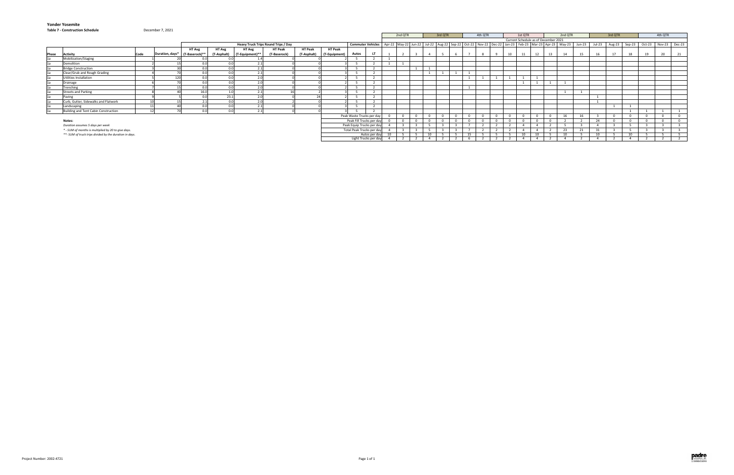#### **Table 7 ‐ Construction Schedule**



|       | rable 7 - Construction Schedule                         |      | December 7, 2021 |                                |               |                 |                                     |                |               |                           |                                                                                                                                                          |                |    |         |                |         |          |                                      |         |          |    |         |                |    |          |    |                                           |    |
|-------|---------------------------------------------------------|------|------------------|--------------------------------|---------------|-----------------|-------------------------------------|----------------|---------------|---------------------------|----------------------------------------------------------------------------------------------------------------------------------------------------------|----------------|----|---------|----------------|---------|----------|--------------------------------------|---------|----------|----|---------|----------------|----|----------|----|-------------------------------------------|----|
|       |                                                         |      |                  |                                |               |                 |                                     |                |               |                           |                                                                                                                                                          | 2nd QTR        |    | 3rd QTR |                | 4th QTR |          |                                      | 1st QTR |          |    | 2nd QTR |                |    | 3rd QTR  |    | 4th QTR                                   |    |
|       |                                                         |      |                  |                                |               |                 |                                     |                |               |                           |                                                                                                                                                          |                |    |         |                |         |          | Current Schedule as of December 2021 |         |          |    |         |                |    |          |    |                                           |    |
|       |                                                         |      |                  |                                |               |                 | Heavy Truck Trips Round Trips / Day |                |               |                           | Commuter Vehicles   Apr-22   May-22   Jul-22   Aug-22   Sep-22   Oct-22   Nov-22   Dec-22   Jan-23   Feb-23   Mar-23   Apr-23   May-23   May-23   Jun-23 |                |    |         |                |         |          |                                      |         |          |    |         |                |    |          |    | Jul-23 Aug-23 Sep-23 Oct-23 Nov-23 Dec-23 |    |
|       |                                                         |      |                  | <b>HT Avg</b>                  | <b>HT Avg</b> | HT Avg          | <b>HT Peak</b>                      | <b>HT Peak</b> | HT Peak       |                           |                                                                                                                                                          |                |    |         |                |         |          |                                      |         |          |    |         |                |    |          |    |                                           |    |
| Phase | <b>Activity</b>                                         | Code |                  | Duration, days* (T-Baserock)** | (T-Asphalt)   | (T-Equipment)** | (T-Baserock)                        | (T-Asphalt)    | (T-Equipment) | <b>Autos</b>              |                                                                                                                                                          |                |    |         |                |         |          | 10                                   |         | 12       | 12 | 14      | 15             | 16 | 17       | 18 | 20                                        | 21 |
|       | Mobilization/Staging                                    |      |                  |                                |               |                 |                                     |                |               |                           |                                                                                                                                                          |                |    |         |                |         |          |                                      |         |          |    |         |                |    |          |    |                                           |    |
|       | Demolition                                              |      |                  | 0.0                            |               |                 |                                     |                |               |                           |                                                                                                                                                          | $\overline{a}$ |    |         |                |         |          |                                      |         |          |    |         |                |    |          |    |                                           |    |
|       | <b>Bridge Construction</b>                              |      |                  | 0.0                            |               |                 |                                     |                |               |                           |                                                                                                                                                          |                |    |         |                |         |          |                                      |         |          |    |         |                |    |          |    |                                           |    |
|       | Clear/Grub and Rough Grading                            |      |                  | 0.0 <sub>1</sub>               | $\cap$        | 2.1             |                                     |                |               |                           |                                                                                                                                                          |                |    |         |                |         |          |                                      |         |          |    |         |                |    |          |    |                                           |    |
|       | Utilities Installation                                  |      | 120              | 0.0                            | $\cap$        | 20              |                                     |                |               |                           |                                                                                                                                                          |                |    |         |                |         |          |                                      |         |          |    |         |                |    |          |    |                                           |    |
|       | Drainage                                                |      |                  | 0.0 <sub>1</sub>               | $\cap$        | $\sim$          |                                     |                |               |                           |                                                                                                                                                          |                |    |         |                |         |          |                                      |         |          |    |         |                |    |          |    |                                           |    |
|       | Trenching                                               |      |                  | 0.0                            |               | $\sim$          |                                     |                |               |                           |                                                                                                                                                          |                |    |         | $\overline{a}$ |         |          |                                      |         |          |    |         |                |    |          |    |                                           |    |
|       | <b>Streets and Parking</b>                              |      |                  | 16.0                           |               | 2 <sub>1</sub>  |                                     |                |               |                           |                                                                                                                                                          |                |    |         |                |         |          |                                      |         |          |    |         | $\overline{a}$ |    |          |    |                                           |    |
|       | Paving                                                  |      |                  | 0.0                            | 23.1          | $\Omega$        |                                     |                |               |                           |                                                                                                                                                          |                |    |         |                |         |          |                                      |         |          |    |         |                |    |          |    |                                           |    |
|       | Curb, Gutter, Sidewalks and Flatwork                    |      |                  | 2.1                            | $\bigcap$     |                 |                                     |                |               |                           |                                                                                                                                                          |                |    |         |                |         |          |                                      |         |          |    |         |                |    |          |    |                                           |    |
|       | Landscaping                                             |      |                  | 0.0                            |               |                 |                                     |                |               |                           |                                                                                                                                                          |                |    |         |                |         |          |                                      |         |          |    |         |                |    |          |    |                                           |    |
|       | Building and Tent Cabin Construction                    |      |                  | 0.0                            | $\sim$        | $\sim$          |                                     |                |               |                           |                                                                                                                                                          |                |    |         |                |         |          |                                      |         |          |    |         |                |    |          |    |                                           |    |
|       |                                                         |      |                  |                                |               |                 |                                     |                |               | Peak Waste Trucks per day |                                                                                                                                                          | $\Omega$       |    |         |                |         | $\Omega$ |                                      |         | $\Omega$ |    | 16      | 16             |    | $\Omega$ |    | $\Omega$                                  |    |
|       | Notes:                                                  |      |                  |                                |               |                 |                                     |                |               | Peak Fill Trucks per day  |                                                                                                                                                          |                |    |         |                |         | $\Omega$ |                                      |         | $\Omega$ |    |         |                | 24 | $\Omega$ |    | $\Omega$                                  |    |
|       | Duration assumes 5 days per week                        |      |                  |                                |               |                 |                                     |                |               | Peak Equip Trucks per day |                                                                                                                                                          |                |    |         |                |         |          |                                      |         |          |    |         |                |    |          |    |                                           |    |
|       | * - SUM of months is multiplied by 20 to give days.     |      |                  |                                |               |                 |                                     |                |               | Total Peak Trucks per day |                                                                                                                                                          |                |    |         |                |         |          |                                      |         |          |    | 23      | 21             | 31 |          |    |                                           |    |
|       | **- SUM of truck trips divided by the duration in days. |      |                  |                                |               |                 |                                     |                |               |                           | Autos per day                                                                                                                                            |                | 10 |         |                |         |          |                                      | 10      | 10       |    | 10      |                |    |          | 10 |                                           |    |
|       |                                                         |      |                  |                                |               |                 |                                     |                |               |                           | Light Trucks per day                                                                                                                                     |                |    |         |                |         |          |                                      |         |          |    |         |                |    |          |    |                                           |    |

#### December 7, 2021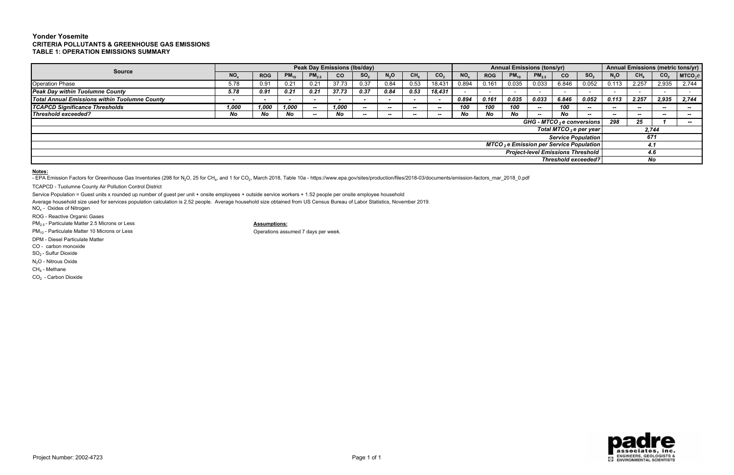# **Yonder YosemiteCRITERIA POLLUTANTS & GREENHOUSE GAS EMISSIONS TABLE 1: OPERATION EMISSIONS SUMMARY**

TCAPCD - Tuolumne County Air Pollution Control District

Service Population = Guest units x rounded up number of guest per unit + onsite employees + outside service workers + 1.52 people per onsite employee household

|                                                      |                                                                                                               |                          |           |            | <b>Peak Day Emissions (Ibs/day)</b> |                          |                                          |                            |                 |                 |            | <b>Annual Emissions (tons/yr)</b> |            |                                                            |                            |        |                 |                 | Annual Emissions (metric tons/yr) |  |
|------------------------------------------------------|---------------------------------------------------------------------------------------------------------------|--------------------------|-----------|------------|-------------------------------------|--------------------------|------------------------------------------|----------------------------|-----------------|-----------------|------------|-----------------------------------|------------|------------------------------------------------------------|----------------------------|--------|-----------------|-----------------|-----------------------------------|--|
| <b>Source</b>                                        | NO <sub>x</sub>                                                                                               | <b>ROG</b>               | $PM_{10}$ | $PM_{2.5}$ | <b>CO</b>                           | SO <sub>2</sub>          | $N_2O$                                   | CH <sub>4</sub>            | CO <sub>2</sub> | NO <sub>x</sub> | <b>ROG</b> | $PM_{10}$                         | $PM_{2.5}$ | CO <sub>2</sub>                                            | SO <sub>2</sub>            | $N_2O$ | CH <sub>4</sub> | CO <sub>2</sub> | MTCO <sub>2</sub> e               |  |
| <b>Operation Phase</b>                               | 5.78                                                                                                          | 0.91                     | 0.21      |            | 37.73                               | 0.37                     | 0.84                                     | 0.53                       | 18,431          | 0.894           | 0.161      | 0.035                             | 0.033      | 6.846                                                      | 0.052                      | 0.113  | 2.257           | 2,935           | 2,744                             |  |
| <b>Peak Day within Tuolumne County</b>               | 5.78                                                                                                          | 0.91                     | 0.21      | 0.21       | 37.73                               | 0.37                     | 0.84                                     | 0.53                       | 18,431          |                 |            |                                   |            |                                                            |                            |        |                 |                 |                                   |  |
| <b>Total Annual Emissions within Tuolumne County</b> | $\overline{\phantom{a}}$                                                                                      | $\overline{\phantom{a}}$ |           |            |                                     | $\overline{\phantom{a}}$ | $\overline{\phantom{0}}$                 |                            |                 | 0.894           | 0.161      | 0.035                             | 0.033      | 6.846                                                      | 0.052                      | 0.113  | 2.257           | 2,935           | 2,744                             |  |
| <b>TCAPCD Significance Thresholds</b>                | 1.000                                                                                                         | 1,000                    | 1.000     | $-$        | 1.000                               | $-$                      | $- -$                                    | --                         | $-$             | 100             | 100        | 100                               | $- -$      | 100                                                        | $- -$                      | $- -$  | $- -$           | $- -$           | $- -$                             |  |
| Threshold exceeded?                                  | No<br>No<br>No<br>No<br>No<br><b>No</b><br>No<br>- No<br>$- -$<br>$\sim$<br>--<br>$- -$<br>$-$<br>$- -$<br>-- |                          |           |            |                                     |                          |                                          |                            |                 |                 |            |                                   |            |                                                            | $- -$                      | --     | $- -$           | --              |                                   |  |
|                                                      |                                                                                                               |                          |           |            |                                     |                          |                                          |                            |                 |                 |            |                                   |            |                                                            | GHG - MTCO 2 e conversions | 298    | 25              |                 | <b>Brand</b>                      |  |
|                                                      |                                                                                                               |                          |           |            |                                     |                          |                                          |                            |                 |                 |            |                                   |            |                                                            | Total MTCO $_2$ e per year |        |                 | 2,744           |                                   |  |
|                                                      |                                                                                                               |                          |           |            |                                     |                          |                                          |                            |                 |                 |            |                                   |            |                                                            | <b>Service Population</b>  |        | 671             |                 |                                   |  |
|                                                      |                                                                                                               |                          |           |            |                                     |                          |                                          |                            |                 |                 |            |                                   |            | <b>MTCO</b> <sub>2</sub> e Emission per Service Population |                            |        | 4.1             |                 |                                   |  |
|                                                      |                                                                                                               |                          |           |            |                                     |                          | <b>Project-level Emissions Threshold</b> |                            |                 | 4.6             |            |                                   |            |                                                            |                            |        |                 |                 |                                   |  |
|                                                      |                                                                                                               |                          |           |            |                                     |                          |                                          | <b>Threshold exceeded?</b> |                 |                 |            |                                   |            |                                                            |                            |        |                 |                 |                                   |  |

Average household size used for services population calculation is 2.52 people. Average household size obtained from US Census Bureau of Labor Statistics, November 2019.

NO<sub>x</sub> - Oxides of Nitrogen

ROG - Reactive Organic Gases

PM<sub>2.5</sub> - Particulate Matter 2.5 Microns or Less **Assumptions:** 

PM<sub>10</sub> - Particulate Matter 10 Microns or Less **Operations** of Conservations assumed 7 days per week.

DPM - Diesel Particulate Matter

CO - carbon monoxide

SO2 - Sulfur Dioxide

N<sub>2</sub>O - Nitrous Oxide

CH4 - Methane

CO<sub>2</sub> - Carbon Dioxide

**Notes:**

- EPA Emission Factors for Greenhouse Gas Inventories (298 for N<sub>2</sub>O, 25 for CH<sub>4</sub>, and 1 for CO<sub>2</sub>, March 2018, Table 10a - https://www.epa.gov/sites/production/files/2018-03/documents/emission-factors\_mar\_2018\_0.pdf

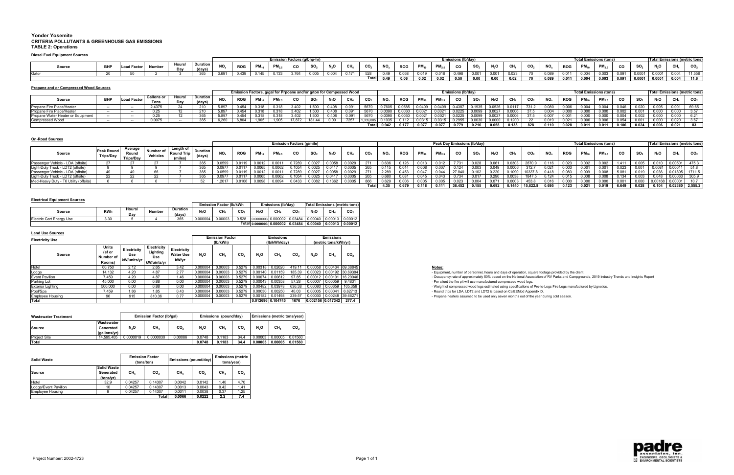### **Yonder Yosemite CRITERIA POLLUTANTS & GREENHOUSE GAS EMISSIONS TABLE 2: Operations**

## **Diesel Fuel Equipment Sources**

#### **On-Road Sources**

|        |            |  |               |                           |           |            |        |                  | <b>Emission Factors (y</b> |        |            |       |               |                          |               |               |           |      |        |       |      |                 |                       |            | <b>Total Emissions (tons)</b> |                 |       |          |                 |       | ssions (metric tons) |
|--------|------------|--|---------------|---------------------------|-----------|------------|--------|------------------|----------------------------|--------|------------|-------|---------------|--------------------------|---------------|---------------|-----------|------|--------|-------|------|-----------------|-----------------------|------------|-------------------------------|-----------------|-------|----------|-----------------|-------|----------------------|
| Source | <b>BHP</b> |  | Hours/<br>Dav | <b>Duration</b><br>(days) | <b>NO</b> | <b>DOC</b> | PM.    | <b>DM</b><br>rw. | $ -$                       | $\sim$ | <b>ALC</b> |       | $\sim$ $\sim$ | $\overline{\phantom{a}}$ | $R^{\sim}$    |               | <b>PM</b> | CO.  | $\sim$ | N-O   | CH.  | CO <sub>2</sub> | NO <sub>v</sub>       | <b>ROG</b> | <b>DM</b><br>rw.              | PM <sub>2</sub> | CO.   |          |                 |       | CO <sub>2</sub>      |
|        |            |  |               | .30.5.                    | 3.691     | 0.43       | . በ 14 | .                | $7^{\circ}$                |        | 0.004      | 0.171 | - - -         |                          |               |               |           |      |        | 0.00° |      |                 | 0.000<br><b>0.089</b> | U.UT       |                               | U.UU3           |       | _ በ በበበ1 | n nnn<br>,,,,,, |       | 11.558               |
|        |            |  |               |                           |           |            |        |                  |                            |        |            |       | . <b>.</b>    |                          | $\sim$ $\sim$ | $\sim$ $\sim$ | 0.02      | n En | 0.00   | 0.00  | 0.02 |                 | 0.089                 | 0.011      | 0.004                         | 0.003           | 0.091 | 0.0001   | 0.0001          | 0.004 | 11.6                 |

## **Electrical Equipment Sources**

| <b>Propane and or Compressed Wood Sources</b> |            |           |                   |       |          |           |                                                                     |    |       |                     |                |      |     |                    |            |        |        |                          |        |        |        |                 |       |            |                               |                |       |                   |       |       |                                      |
|-----------------------------------------------|------------|-----------|-------------------|-------|----------|-----------|---------------------------------------------------------------------|----|-------|---------------------|----------------|------|-----|--------------------|------------|--------|--------|--------------------------|--------|--------|--------|-----------------|-------|------------|-------------------------------|----------------|-------|-------------------|-------|-------|--------------------------------------|
|                                               |            |           |                   |       |          |           | Emission Factors, g/gal for Prpoane and/or g/ton for Compessed Wood |    |       |                     |                |      |     |                    |            |        |        | <b>Emissions (lb/day</b> |        |        |        |                 |       |            | <b>Total Emissions (tons)</b> |                |       |                   |       |       | <b>Total Emissions (metric tons)</b> |
| Source                                        | <b>BHP</b> | ∟oad Fac` | <b>Gallons or</b> | Hours | Duration | <b>NO</b> | <b>ROC</b>                                                          | PM |       |                     | N <sub>n</sub> | Сŀ   | CO. |                    | <b>ROG</b> | PM.    |        | CO                       |        | N.O    | CH.    | CO <sub>2</sub> | NO.   | <b>ROG</b> | PM.                           |                | CO    |                   |       |       | CO <sub>2</sub>                      |
|                                               |            |           | Tons              |       | (days)   |           |                                                                     |    |       |                     |                |      |     |                    |            |        |        |                          |        |        |        |                 |       |            |                               |                |       |                   |       |       |                                      |
| Propane Fire Place/Heater                     |            | $\sim$    | 2.4375            |       | 210      | דוס א     | J.45⁄                                                               |    |       |                     |                |      |     |                    | 0585       | 0.0409 | 0.0409 | በ 4387                   | በ 1935 | በ በ526 | 0.0117 | 731             |       |            |                               |                | 0.046 |                   |       |       | 69.65                                |
| Propane Fire Place/Heater                     |            | $-$       |                   |       |          |           |                                                                     |    |       |                     |                |      |     |                    |            |        |        |                          |        |        |        |                 |       |            |                               |                |       |                   |       |       | 2E7                                  |
| Propane Water Heater or Equipment             |            | $-$       | 0.05<br>∪.∠ວ      |       | 365      | 5.897     | 0.454                                                               |    |       | <b>LEOO</b><br>.טטע |                |      |     |                    |            |        |        |                          |        |        | 0.0006 | $\sim$ $\sim$   |       |            |                               |                | 0.004 |                   |       |       | <b>0.4</b> I                         |
| <b>Compressed Wood</b>                        |            | $-$       | 0.0075            |       | 365      | ാദി       |                                                                     |    | 17872 | 181.44              |                | 7257 |     |                    |            |        |        |                          |        |        | 0.1200 |                 |       |            |                               |                |       | 0.00 <sup>.</sup> |       |       | 3 G7                                 |
|                                               |            |           |                   |       |          |           |                                                                     |    |       |                     |                |      |     | <b>Total 0.942</b> | 0.177      | 0.077  | 0.077  | 0.779                    | 0.216  | 0.058  | 0.133  | 828             | 0.110 | 0.028      | 0.01'                         | $0.01^{\circ}$ | 0.106 | 0.024             | 0.006 | 0.021 | 83                                   |

|                                    |                                       |                                     |          |                                     |                         |               |            |           |        | <b>Emission Factors (g/mile</b> |        |        |        |       |       |       |       |       |        | Peak Day Emissions (Ib/day) |       |                     |                 |       |            |       | <b>Total Emissions (tons)</b> |       |       |         |                    | <b>Total Emissions (metric tons)</b> |
|------------------------------------|---------------------------------------|-------------------------------------|----------|-------------------------------------|-------------------------|---------------|------------|-----------|--------|---------------------------------|--------|--------|--------|-------|-------|-------|-------|-------|--------|-----------------------------|-------|---------------------|-----------------|-------|------------|-------|-------------------------------|-------|-------|---------|--------------------|--------------------------------------|
| Source                             | <b>Peak Round</b><br><b>Trips/Day</b> | Average<br>Roun<br><b>Trips/Day</b> | Vehicles | Lenath of<br><b>Round</b><br>(mile: | <b>Durati</b><br>(days) | NO.           | <b>ROG</b> | <b>PM</b> | PM.    |                                 | SO.    |        |        |       |       |       |       |       | CO.    |                             | N.O   | CH.                 | CO <sub>2</sub> | NO.   | <b>ROG</b> |       |                               | CO.   |       |         |                    | CO <sub>2</sub>                      |
| - LDA (offsite)                    |                                       |                                     |          |                                     |                         | 0.0599        |            |           |        |                                 |        |        | 0.0029 |       |       |       |       | 0.012 |        |                             |       | 0.0303              | 2870            |       |            |       |                               | 1.411 | 0.005 |         |                    | 475.3                                |
| Light-Duty Truck - LDT2 (offsite   |                                       |                                     |          |                                     |                         | <b>J.0977</b> |            |           |        |                                 |        |        |        |       |       |       |       |       |        |                             |       |                     |                 |       |            |       |                               |       |       |         |                    | 51.8                                 |
| - LDA (offsite)<br>Passenger \     |                                       |                                     |          |                                     |                         | 0.0599        |            |           |        |                                 |        | ა.0058 | 0.0029 |       | 2.289 | 0.453 | 0.047 |       |        | . በ 1በ2                     |       | 0.1000              |                 | 0.418 | 0.083      |       |                               | 5.081 | 0.019 |         |                    | 1711.5                               |
|                                    |                                       | 22                                  |          |                                     |                         | 0.0977        |            |           |        |                                 |        |        | 0.0005 | 265   |       |       | 0.045 |       |        |                             | 0.290 |                     |                 | 0.124 |            | 0.008 | 0.008                         | 0.134 | 0.003 |         |                    | 305.9                                |
| Jeavy Duty - T6 Utility (offsite). |                                       |                                     |          |                                     |                         | 1.2017        | 0.010E     | 0.0098    | 0.0094 | 0.0433                          | 0.0082 | 0.1362 | 0.0005 | 866   |       |       |       |       |        |                             |       | 0.0003              | 453.8           |       | 0.000      | 0.000 | 0.000                         | 0.001 | 0.000 | 0.00168 | 0.00001            | 107                                  |
|                                    |                                       |                                     |          |                                     |                         |               |            |           |        |                                 |        |        |        | Total | 4.35  | 0.679 | 0.118 | 0.111 | 36.452 | 0.155                       | 0.692 | $0.1440$   15,822.8 |                 | 0.695 | 0.123      | 0.021 | 0.019                         | 6.649 | 0.028 | 0.104   | $10.02380$ 2,555.2 |                                      |

| <b>Land Use Sources</b>  |                                        |                    |                                                                             |                                   |          |                        |                 |        |                                                                                           |                 |                              |                      |                 |
|--------------------------|----------------------------------------|--------------------|-----------------------------------------------------------------------------|-----------------------------------|----------|------------------------|-----------------|--------|-------------------------------------------------------------------------------------------|-----------------|------------------------------|----------------------|-----------------|
| <b>Electricity Use</b>   |                                        |                    |                                                                             |                                   |          | <b>Emission Factor</b> |                 |        | <b>Emissions</b>                                                                          |                 |                              | <b>Emissions</b>     |                 |
|                          |                                        |                    |                                                                             |                                   |          | (lb/kWh)               |                 |        | (lb/kWh/dav)                                                                              |                 |                              | (metric tons/kWh/yr) |                 |
| Source                   | Units<br>(sf or<br>Number of<br>Rooms) | Electricity<br>Use | Electricity<br>Lighting<br>Use<br>ı kW/units/yr   <sub>k</sub> W/uints/yr l | Electricity<br>Water Use<br>kW/vr | $N_2O$   | CH <sub>4</sub>        | CO <sub>2</sub> | $N_2O$ | $CH_4$                                                                                    | CO <sub>2</sub> | N <sub>2</sub> O             | CH <sub>4</sub>      | CO <sub>2</sub> |
| Hote                     | 60,750                                 | 2.12               | 2.65                                                                        | 3.42                              | 0.000004 | 0.00003                | 0.5279          |        | $\mid$ 0.00318 $\mid$ 0.02620 $\mid$ 419.11 $\mid$ 0.00058 $\mid$ 0.00434 $\mid$ 69.38845 |                 |                              |                      |                 |
| Lodge                    | 14.132                                 | 4.20               | 4.87                                                                        | 2.77                              | 0.000004 | 0.00003                |                 |        | 0.5279 0.00140 0.01159 185.39 0.00023 0.00192 30.69304                                    |                 |                              |                      |                 |
| <b>Event Pavilion</b>    | 7.459                                  | 4.20               | 4.87                                                                        | 1.46                              | 0.000004 | 0.00003                |                 |        | $0.5279$ 0.00074 0.00612                                                                  | 97.85           | 0.00012 0.00101 16.20046     |                      |                 |
| Parking Lot              | 45,000                                 | 0.00               | 0.88                                                                        | 0.00                              | 0.000004 | 0.00003                | 0.5279          |        | 0.00043 0.00358                                                                           | 57.28           | 0.00007 0.00059              |                      | 9.4831          |
| <b>Exterior Lighting</b> | 500,000                                | 0.00               | 0.88                                                                        | 0.00                              | 0.000004 | 0.00003                | 0.5279          |        | $0.00482$ 0.03978 636.38                                                                  |                 | $0.00080$ 0.00659            |                      | 105.359         |
| Pool/Spa                 | 7.459                                  | 1.86               | 1.85                                                                        | 0.43                              | 0.000004 | 0.00003                | 0.5279          |        | $0.00030$ 0.00250 40.03                                                                   |                 | $0.00005$ 0.00041 6.62713    |                      |                 |
| <b>Employee Housing</b>  | 96.                                    | 915                | 810.36                                                                      | 0.77                              | 0.000004 | 0.00003                | 0.5279          |        | $\vert$ 0.00182 $\vert$ 0.01498 $\vert$ 239.57 $\vert$ 0.00030 $\vert$ 0.00248 39.66271   |                 |                              |                      |                 |
| Total                    |                                        |                    |                                                                             |                                   |          |                        |                 |        |                                                                                           |                 | 1676 0.002156 0.017342 277.4 |                      |                 |

|                          |            |               |        |                    |         | <b>Emission Factor (Ib/kWh)</b> |       |                | Emissions (Ib/dav)       |         |                  |                 | <b>Total Emissions (metric tons)</b> |
|--------------------------|------------|---------------|--------|--------------------|---------|---------------------------------|-------|----------------|--------------------------|---------|------------------|-----------------|--------------------------------------|
| Source                   | <b>KWh</b> | Hours/<br>Dav | Number | Duration<br>(days) | N,C     | CH <sub>4</sub>                 | CO.   | N <sub>2</sub> | CH <sub>4</sub>          | CO.     | N <sub>2</sub> O | CH <sub>4</sub> | CO.                                  |
| Electric Cart Energy Use | 3.30       |               |        | 365                | 0.00000 | 00003. ل                        | 0.528 | 0.0000003      | 0.000002                 | 0.03484 | 0.00040          | 0.00013         | 0.00012                              |
|                          |            |               |        |                    |         |                                 |       |                | Total 0.0000003 0.000002 | 0.03484 | 0.00040          | 0.00013         | 0.00012                              |

| <b>Wastewater Treatment</b> |                                         |           | Emission Factor (Ib/gal) |                 |        | Emissions (pound/day) |      |                  | <b>Emissions (metric tons/year)</b> |                 |
|-----------------------------|-----------------------------------------|-----------|--------------------------|-----------------|--------|-----------------------|------|------------------|-------------------------------------|-----------------|
| Source                      | Wastewater<br>Generated<br>(gallons/vr) | $N_2O$    | CH,                      | CO <sub>2</sub> | $N_2O$ | CH,                   | CO,  | N <sub>2</sub> O | CH <sub>4</sub>                     | CO <sub>2</sub> |
| <b>Project Site</b>         | 14.595.405                              | 0.0000019 | 0.0000030                | 0.00086         | 0.0748 | 0.1183                | 34.4 | 0.00003          | 0.00005                             | 0.01560         |
| Total                       |                                         |           |                          |                 | 0.0748 | 0.1183                | 34.4 | 0.00003          | 0.00005                             | 0.01560         |

| <b>Solid Waste</b>   |                                       | (tons/ton)      | <b>Emission Factor</b> | Emissions (pound/day) |                 | <b>Emissions (metric</b><br>tons/year) |                 |
|----------------------|---------------------------------------|-----------------|------------------------|-----------------------|-----------------|----------------------------------------|-----------------|
| Source               | Solid Waste<br>Generated<br>(tons/yr) | CH <sub>4</sub> | CO <sub>2</sub>        | CH <sub>4</sub>       | CO <sub>2</sub> | CH <sub>4</sub>                        | CO <sub>2</sub> |
| Hotel                | 32.9                                  | 0.04257         | 0.14307                | 0.0042                | 0.0142          | 1.40                                   | 4.70            |
| Lodge/Event Pavilion | 10                                    | 0.04257         | 0.14307                | 0.0013                | 0.0043          | 0.42                                   | 1.41            |
| Emplovee Housing     | 9                                     | 0.04257         | 0.14307                | 0.0011                | 0.0038          | 0.37                                   | .25             |
|                      |                                       |                 | Total                  | 0.0066                | 0.0222          | 2.2                                    | 7.4             |